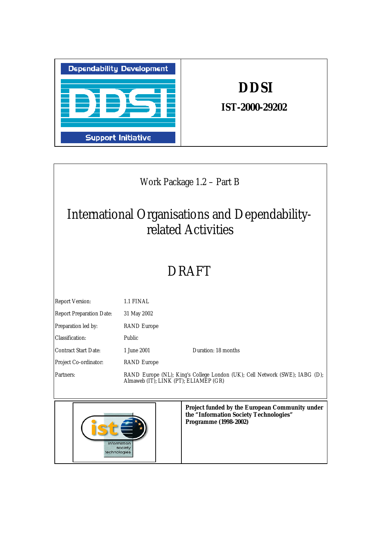

information<br>society<br>technologies

Ī

# **DDSI**

*IST-2000-29202*

 $\mathbf{I}$ 

| Work Package 1.2 – Part B                                            |                                                                                                                          |  |
|----------------------------------------------------------------------|--------------------------------------------------------------------------------------------------------------------------|--|
| International Organisations and Dependability-<br>related Activities |                                                                                                                          |  |
| <b>DRAFT</b>                                                         |                                                                                                                          |  |
| <b>Report Version:</b>                                               | 1.1 FINAL                                                                                                                |  |
| <b>Report Preparation Date:</b>                                      | 31 May 2002                                                                                                              |  |
| Preparation led by:                                                  | <b>RAND</b> Europe                                                                                                       |  |
| Classification:                                                      | Public                                                                                                                   |  |
| <b>Contract Start Date:</b>                                          | Duration: 18 months<br>1 June 2001                                                                                       |  |
| Project Co-ordinator:                                                | <b>RAND</b> Europe                                                                                                       |  |
| Partners:                                                            | RAND Europe (NL); King's College London (UK); Cell Network (SWE); IABG (D);<br>Almaweb (IT); LINK (PT); ELIAMEP (GR)     |  |
|                                                                      | <b>Project funded by the European Community under</b><br>the "Information Society Technologies"<br>Programme (1998-2002) |  |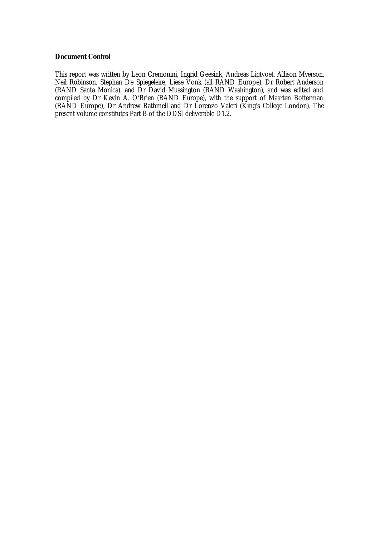## **Document Control**

This report was written by Leon Cremonini, Ingrid Geesink, Andreas Ligtvoet, Allison Myerson, Neil Robinson, Stephan De Spiegeleire, Liese Vonk (all RAND Europe), Dr Robert Anderson (RAND Santa Monica), and Dr David Mussington (RAND Washington), and was edited and compiled by Dr Kevin A. O'Brien (RAND Europe), with the support of Maarten Botterman (RAND Europe), Dr Andrew Rathmell and Dr Lorenzo Valeri (King's College London). The present volume constitutes Part B of the DDSI deliverable D1.2.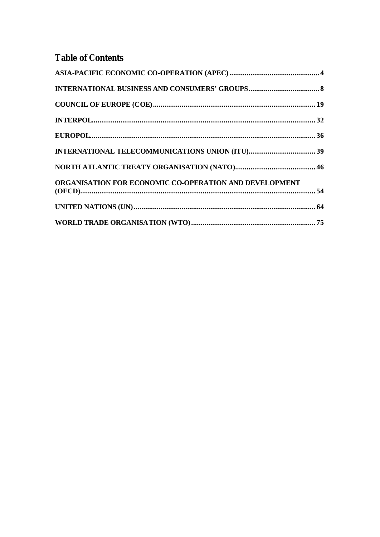## **Table of Contents**

| ORGANISATION FOR ECONOMIC CO-OPERATION AND DEVELOPMENT |  |
|--------------------------------------------------------|--|
|                                                        |  |
|                                                        |  |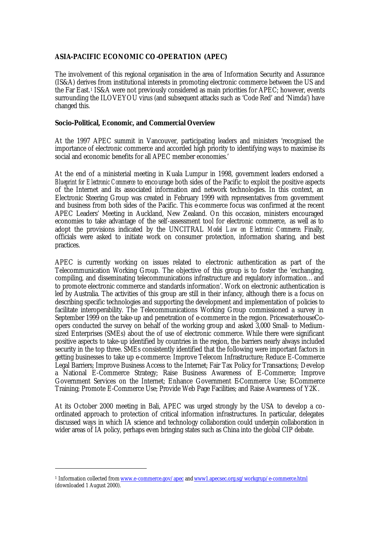## **ASIA-PACIFIC ECONOMIC CO-OPERATION (APEC)**

The involvement of this regional organisation in the area of Information Security and Assurance (IS&A) derives from institutional interests in promoting electronic commerce between the US and the Far East.1 IS&A were not previously considered as main priorities for APEC; however, events surrounding the ILOVEYOU virus (and subsequent attacks such as 'Code Red' and 'Nimda') have changed this.

## **Socio-Political, Economic, and Commercial Overview**

At the 1997 APEC summit in Vancouver, participating leaders and ministers 'recognised the importance of electronic commerce and accorded high priority to identifying ways to maximise its social and economic benefits for all APEC member economies.'

At the end of a ministerial meeting in Kuala Lumpur in 1998, government leaders endorsed a *Blueprint for Electronic Commerce* to encourage both sides of the Pacific to exploit the positive aspects of the Internet and its associated information and network technologies. In this context, an Electronic Steering Group was created in February 1999 with representatives from government and business from both sides of the Pacific. This e-commerce focus was confirmed at the recent APEC Leaders' Meeting in Auckland, New Zealand. On this occasion, ministers encouraged economies to take advantage of the self-assessment tool for electronic commerce, as well as to adopt the provisions indicated by the UNCITRAL *Model Law on Electronic Commerce*. Finally, officials were asked to initiate work on consumer protection, information sharing, and best practices.

APEC is currently working on issues related to electronic authentication as part of the Telecommunication Working Group. The objective of this group is to foster the 'exchanging, compiling, and disseminating telecommunications infrastructure and regulatory information…and to promote electronic commerce and standards information'. Work on electronic authentication is led by Australia. The activities of this group are still in their infancy, although there is a focus on describing specific technologies and supporting the development and implementation of policies to facilitate interoperability. The Telecommunications Working Group commissioned a survey in September 1999 on the take-up and penetration of e-commerce in the region. PricewaterhouseCoopers conducted the survey on behalf of the working group and asked 3,000 Small- to Mediumsized Enterprises (SMEs) about the of use of electronic commerce. While there were significant positive aspects to take-up identified by countries in the region, the barriers nearly always included security in the top three. SMEs consistently identified that the following were important factors in getting businesses to take up e-commerce: Improve Telecom Infrastructure; Reduce E-Commerce Legal Barriers; Improve Business Access to the Internet; Fair Tax Policy for Transactions; Develop a National E-Commerce Strategy; Raise Business Awareness of E-Commerce; Improve Government Services on the Internet: Enhance Government E-Commerce Use: E-Commerce Training; Promote E-Commerce Use; Provide Web Page Facilities; and Raise Awareness of Y2K.

At its October 2000 meeting in Bali, APEC was urged strongly by the USA to develop a coordinated approach to protection of critical information infrastructures. In particular, delegates discussed ways in which IA science and technology collaboration could underpin collaboration in wider areas of IA policy, perhaps even bringing states such as China into the global CIP debate.

<sup>&</sup>lt;sup>1</sup> Information collected from <u>www.e-commerce.gov/apec</u> and <u>www1.apecsec.org.sg/workgrup/e-commerce.html</u> (downloaded 1 August 2000).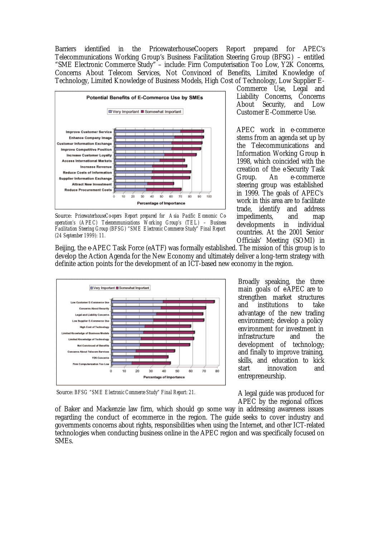Barriers identified in the PricewaterhouseCoopers Report prepared for APEC's Telecommunications Working Group's Business Facilitation Steering Group (BFSG) – entitled "SME Electronic Commerce Study" – include: Firm Computerisation Too Low, Y2K Concerns, Concerns About Telecom Services, Not Convinced of Benefits, Limited Knowledge of Technology, Limited Knowledge of Business Models, High Cost of Technology, Low Supplier E-



Source: *PricewaterhouseCo-opers Report prepared for Asia Pacific Economic Cooperation's (APEC) Telecommunications Working Group's (TEL) – Business Facilitation Steering Group (BFSG) "SME Electronic Commerce Study" Final Report (24 September 1999): 11.*

Beijing, the e-APEC Task Force (eATF) was formally established. The mission of this group is to develop the Action Agenda for the New Economy and ultimately deliver a long-term strategy with definite action points for the development of an ICT-based new economy in the region.



Source: *BFSG "SME Electronic Commerce Study" Final Report: 21.*

of Baker and Mackenzie law firm, which should go some way in addressing awareness issues regarding the conduct of ecommerce in the region. The guide seeks to cover industry and governments concerns about rights, responsibilities when using the Internet, and other ICT-related technologies when conducting business online in the APEC region and was specifically focused on SMEs.

Commerce Use, Legal and Liability Concerns, Concerns About Security, and Low Customer E-Commerce Use.

APEC work in e-commerce stems from an agenda set up by the Telecommunications and Information Working Group in 1998, which coincided with the creation of the e-Security Task Group. An e-commerce steering group was established in 1999. The goals of APEC's work in this area are to facilitate trade, identify and address impediments, and map developments in individual countries. At the 2001 Senior Officials' Meeting (SOMI) in

Broadly speaking, the three main goals of eAPEC are to strengthen market structures and institutions to take advantage of the new trading environment; develop a policy environment for investment in infrastructure and the development of technology; and finally to improve training, skills, and education to kick start innovation and entrepreneurship.

A legal guide was produced for APEC by the regional offices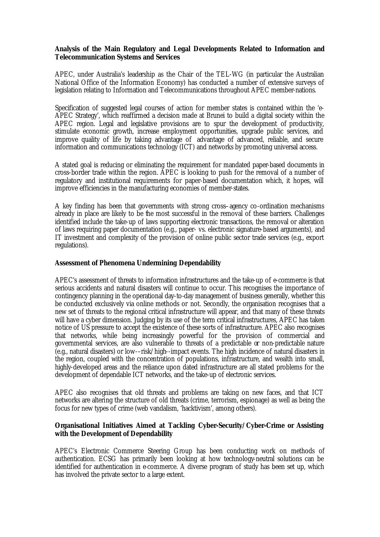## **Analysis of the Main Regulatory and Legal Developments Related to Information and Telecommunication Systems and Services**

APEC, under Australia's leadership as the Chair of the TEL-WG (in particular the Australian National Office of the Information Economy) has conducted a number of extensive surveys of legislation relating to Information and Telecommunications throughout APEC member-nations.

Specification of suggested legal courses of action for member states is contained within the 'e-APEC Strategy', which reaffirmed a decision made at Brunei to build a digital society within the APEC region. Legal and legislative provisions are to spur the development of productivity, stimulate economic growth, increase employment opportunities, upgrade public services, and improve quality of life by taking advantage of advantage of advanced, reliable, and secure information and communications technology (ICT) and networks by promoting universal access.

A stated goal is reducing or eliminating the requirement for mandated paper-based documents in cross-border trade within the region. APEC is looking to push for the removal of a number of regulatory and institutional requirements for paper-based documentation which, it hopes, will improve efficiencies in the manufacturing economies of member-states.

A key finding has been that governments with strong cross–agency co-ordination mechanisms already in place are likely to be the most successful in the removal of these barriers. Challenges identified include the take-up of laws supporting electronic transactions, the removal or alteration of laws requiring paper documentation (e.g., paper- vs. electronic signature-based arguments), and IT investment and complexity of the provision of online public sector trade services (e.g., export regulations).

## **Assessment of Phenomena Undermining Dependability**

APEC's assessment of threats to information infrastructures and the take-up of e-commerce is that serious accidents and natural disasters will continue to occur. This recognises the importance of contingency planning in the operational day-to-day management of business generally, whether this be conducted exclusively via online methods or not. Secondly, the organisation recognises that a new set of threats to the regional critical infrastructure will appear, and that many of these threats will have a cyber dimension. Judging by its use of the term critical infrastructures, APEC has taken notice of US pressure to accept the existence of these sorts of infrastructure. APEC also recognises that networks, while being increasingly powerful for the provision of commercial and governmental services, are also vulnerable to threats of a predictable or non-predictable nature (e.g., natural disasters) or low-–risk/high--impact events. The high incidence of natural disasters in the region, coupled with the concentration of populations, infrastructure, and wealth into small, highly-developed areas and the reliance upon dated infrastructure are all stated problems for the development of dependable ICT networks, and the take-up of electronic services.

APEC also recognises that old threats and problems are taking on new faces, and that ICT networks are altering the structure of old threats (crime, terrorism, espionage) as well as being the focus for new types of crime (web vandalism, 'hacktivism', among others).

## **Organisational Initiatives Aimed at Tackling Cyber-Security/Cyber-Crime or Assisting with the Development of Dependability**

APEC's Electronic Commerce Steering Group has been conducting work on methods of authentication. ECSG has primarily been looking at how technology-neutral solutions can be identified for authentication in e-commerce. A diverse program of study has been set up, which has involved the private sector to a large extent.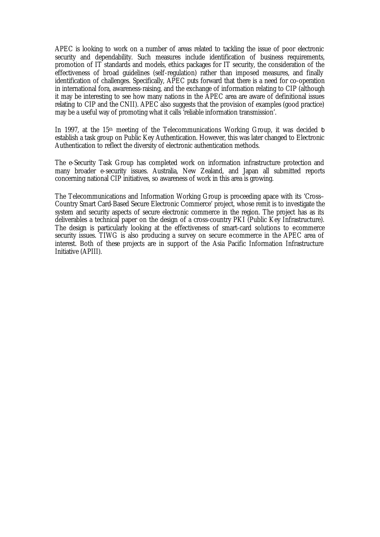APEC is looking to work on a number of areas related to tackling the issue of poor electronic security and dependability. Such measures include identification of business requirements, promotion of IT standards and models, ethics packages for IT security, the consideration of the effectiveness of broad guidelines (self-regulation) rather than imposed measures, and finally identification of challenges. Specifically, APEC puts forward that there is a need for co-operation in international fora, awareness-raising, and the exchange of information relating to CIP (although it may be interesting to see how many nations in the APEC area are aware of definitional issues relating to CIP and the CNII). APEC also suggests that the provision of examples (good practice) may be a useful way of promoting what it calls 'reliable information transmission'.

In 1997, at the  $15<sup>th</sup>$  meeting of the Telecommunications Working Group, it was decided to establish a task group on Public Key Authentication. However, this was later changed to Electronic Authentication to reflect the diversity of electronic authentication methods.

The e-Security Task Group has completed work on information infrastructure protection and many broader e-security issues. Australia, New Zealand, and Japan all submitted reports concerning national CIP initiatives, so awareness of work in this area is growing.

The Telecommunications and Information Working Group is proceeding apace with its 'Cross– Country Smart Card-Based Secure Electronic Commerce' project, whose remit is to investigate the system and security aspects of secure electronic commerce in the region. The project has as its deliverables a technical paper on the design of a cross-country PKI (Public Key Infrastructure). The design is particularly looking at the effectiveness of smart-card solutions to ecommerce security issues. TIWG is also producing a survey on secure e-commerce in the APEC area of interest. Both of these projects are in support of the Asia Pacific Information Infrastructure Initiative (APIII).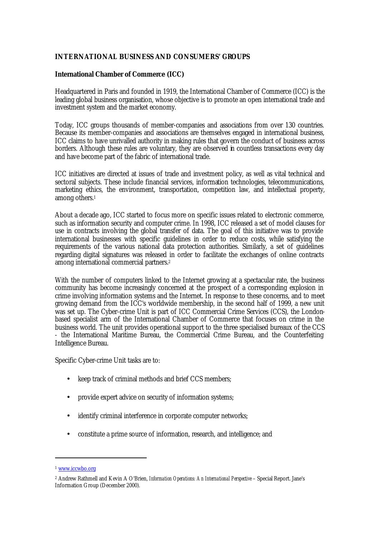## **INTERNATIONAL BUSINESS AND CONSUMERS' GROUPS**

## **International Chamber of Commerce (ICC)**

Headquartered in Paris and founded in 1919, the International Chamber of Commerce (ICC) is the leading global business organisation, whose objective is to promote an open international trade and investment system and the market economy.

Today, ICC groups thousands of member-companies and associations from over 130 countries. Because its member-companies and associations are themselves engaged in international business, ICC claims to have unrivalled authority in making rules that govern the conduct of business across borders. Although these rules are voluntary, they are observed in countless transactions every day and have become part of the fabric of international trade.

ICC initiatives are directed at issues of trade and investment policy, as well as vital technical and sectoral subjects. These include financial services, information technologies, telecommunications, marketing ethics, the environment, transportation, competition law, and intellectual property, among others.<sup>1</sup>

About a decade ago, ICC started to focus more on specific issues related to electronic commerce, such as information security and computer crime. In 1998, ICC released a set of model clauses for use in contracts involving the global transfer of data. The goal of this initiative was to provide international businesses with specific guidelines in order to reduce costs, while satisfying the requirements of the various national data protection authorities. Similarly, a set of guidelines regarding digital signatures was released in order to facilitate the exchanges of online contracts among international commercial partners.<sup>2</sup>

With the number of computers linked to the Internet growing at a spectacular rate, the business community has become increasingly concerned at the prospect of a corresponding explosion in crime involving information systems and the Internet. In response to these concerns, and to meet growing demand from the ICC's worldwide membership, in the second half of 1999, a new unit was set up. The Cyber-crime Unit is part of ICC Commercial Crime Services (CCS), the Londonbased specialist arm of the International Chamber of Commerce that focuses on crime in the business world. The unit provides operational support to the three specialised bureaux of the CCS - the International Maritime Bureau, the Commercial Crime Bureau, and the Counterfeiting Intelligence Bureau.

Specific Cyber-crime Unit tasks are to:

- keep track of criminal methods and brief CCS members;
- provide expert advice on security of information systems;
- identify criminal interference in corporate computer networks;
- constitute a prime source of information, research, and intelligence; and

<sup>1</sup> www.iccwbo.org

<sup>2</sup> Andrew Rathmell and Kevin A O'Brien, *Information Operations: An International Perspective* – Special Report. Jane's Information Group (December 2000).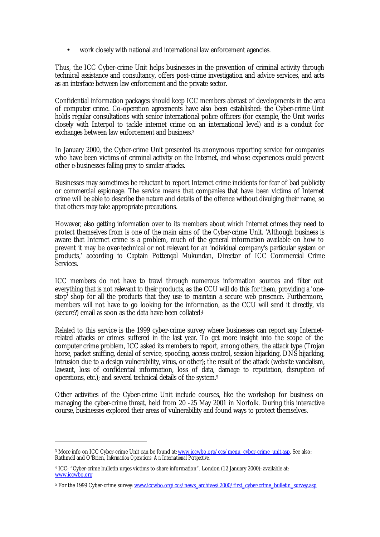• work closely with national and international law enforcement agencies.

Thus, the ICC Cyber-crime Unit helps businesses in the prevention of criminal activity through technical assistance and consultancy, offers post-crime investigation and advice services, and acts as an interface between law enforcement and the private sector.

Confidential information packages should keep ICC members abreast of developments in the area of computer crime. Co-operation agreements have also been established: the Cyber-crime Unit holds regular consultations with senior international police officers (for example, the Unit works closely with Interpol to tackle internet crime on an international level) and is a conduit for exchanges between law enforcement and business.<sup>3</sup>

In January 2000, the Cyber-crime Unit presented its anonymous reporting service for companies who have been victims of criminal activity on the Internet, and whose experiences could prevent other e-businesses falling prey to similar attacks.

Businesses may sometimes be reluctant to report Internet crime incidents for fear of bad publicity or commercial espionage. The service means that companies that have been victims of Internet crime will be able to describe the nature and details of the offence without divulging their name, so that others may take appropriate precautions.

However, also getting information over to its members about which Internet crimes they need to protect themselves from is one of the main aims of the Cyber-crime Unit. 'Although business is aware that Internet crime is a problem, much of the general information available on how to prevent it may be over-technical or not relevant for an individual company's particular system or products,' according to Captain Pottengal Mukundan, Director of ICC Commercial Crime Services.

ICC members do not have to trawl through numerous information sources and filter out everything that is not relevant to their products, as the CCU will do this for them, providing a 'onestop' shop for all the products that they use to maintain a secure web presence. Furthermore, members will not have to go looking for the information, as the CCU will send it directly, via (secure?) email as soon as the data have been collated.<sup>4</sup>

Related to this service is the 1999 cyber-crime survey where businesses can report any Internetrelated attacks or crimes suffered in the last year. To get more insight into the scope of the computer crime problem, ICC asked its members to report, among others, the attack type (Trojan horse, packet sniffing, denial of service, spoofing, access control, session hijacking, DNS hijacking, intrusion due to a design vulnerability, virus, or other); the result of the attack (website vandalism, lawsuit, loss of confidential information, loss of data, damage to reputation, disruption of operations, etc.); and several technical details of the system.<sup>5</sup>

Other activities of the Cyber-crime Unit include courses, like the workshop for business on managing the cyber-crime threat, held from 20 -25 May 2001 in Norfolk. During this interactive course, businesses explored their areas of vulnerability and found ways to protect themselves.

<sup>&</sup>lt;sup>3</sup> More info on ICC Cyber-crime Unit can be found at: www.iccwbo.org/ccs/menu\_cyber-crime\_unit.asp. See also: Rathmell and O'Brien, *Information Operations: An International Perspective*.

<sup>4</sup> ICC: "Cyber-crime bulletin urges victims to share information". London (12 January 2000): available at: www.iccwbo.org

<sup>&</sup>lt;sup>5</sup> For the 1999 Cyber-crime survey: <u>www.iccwbo.org/ccs/news\_archives/2000/first\_cyber-crime\_bulletin\_survey.asp</u>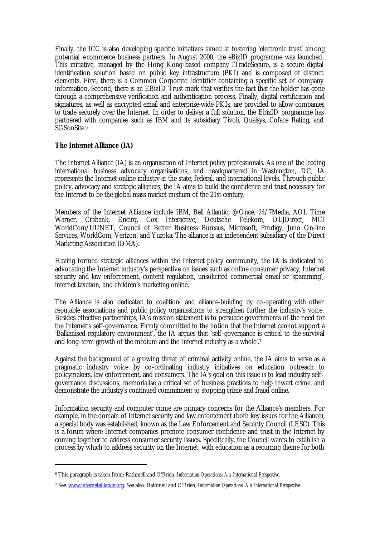Finally, the ICC is also developing specific initiatives aimed at fostering 'electronic trust' among potential e-commerce business partners. In August 2000, the eBizID programme was launched. This initiative, managed by the Hong Kong-based company ITradeSecure, is a secure digital identification solution based on public key infrastructure (PKI) and is composed of distinct elements. First, there is a Common Corporate Identifier containing a specific set of company information. Second, there is an EBizID Trust mark that verifies the fact that the holder has gone through a comprehensive verification and authentication process. Finally, digital certification and signatures, as well as encrypted email and enterprise-wide PKIs, are provided to allow companies to trade securely over the Internet. In order to deliver a full solution, the EbizID programme has partnered with companies such as IBM and its subsidiary Tivoli, Qualsys, Coface Rating, and SGSonSite.<sup>6</sup>

## **The Internet Alliance (IA)**

 $\overline{a}$ 

The Internet Alliance (IA) is an organisation of Internet policy professionals. As one of the leading international business advocacy organisations, and headquartered in Washington, DC, IA represents the Internet online industry at the state, federal, and international levels. Through public policy, advocacy and strategic alliances, the IA aims to build the confidence and trust necessary for the Internet to be the global mass market medium of the 21st century.

Members of the Internet Alliance include IBM, Bell Atlantic, @Once, 24/7Media, AOL Time Warner, Citibank, Encirq, Cox Interactive, Deutsche Telekom, DLJDirect, MCI WorldCom/UUNET, Council of Better Business Bureaus, Microsoft, Prodigy, Juno On-line Services, WorldCom, Verizon, and Yuroka. The alliance is an independent subsidiary of the Direct Marketing Association (DMA).

Having formed strategic alliances within the Internet policy community, the IA is dedicated to advocating the Internet industry's perspective on issues such as online consumer privacy, Internet security and law enforcement, content regulation, unsolicited commercial email or 'spamming', internet taxation, and children's marketing online.

The Alliance is also dedicated to coalition- and alliance-building by co-operating with other reputable associations and public policy organisations to strengthen further the industry's voice. Besides effective partnerships, IA's mission statement is to persuade governments of the need for the Internet's self-governance. Firmly committed to the notion that the Internet cannot support a 'Balkanised regulatory environment', the IA argues that 'self-governance is critical to the survival and long-term growth of the medium and the Internet industry as a whole'.<sup>7</sup>

Against the background of a growing threat of criminal activity online, the IA aims to serve as a pragmatic industry voice by co-ordinating industry initiatives on education outreach to policymakers, law enforcement, and consumers. The IA's goal on this issue is to lead industry selfgovernance discussions, memorialise a critical set of business practices to help thwart crime, and demonstrate the industry's continued commitment to stopping crime and fraud online**.**

Information security and computer crime are primary concerns for the Alliance's members. For example, in the domain of Internet security and law enforcement (both key issues for the Alliance), a special body was established, known as the Law Enforcement and Security Council (LESC). This is a forum where Internet companies promote consumer confidence and trust in the Internet by coming together to address consumer security issues. Specifically, the Council wants to establish a process by which to address security on the Internet, with education as a recurring theme for both

<sup>6</sup> This paragraph is taken from: Rathmell and O'Brien, *Information Operations: An International Perspective*.

<sup>7</sup> See: www.internetalliance.org. See also: Rathmell and O'Brien, *Information Operations: An International Perspective*.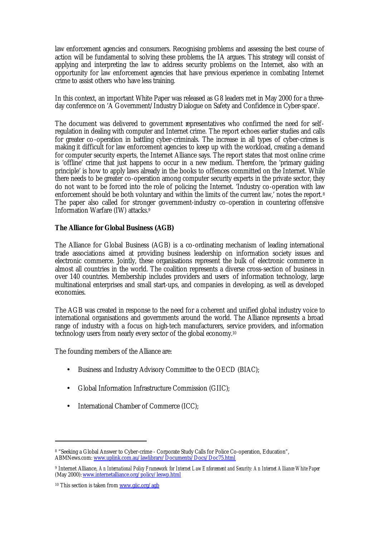law enforcement agencies and consumers. Recognising problems and assessing the best course of action will be fundamental to solving these problems, the IA argues. This strategy will consist of applying and interpreting the law to address security problems on the Internet, also with an opportunity for law enforcement agencies that have previous experience in combating Internet crime to assist others who have less training.

In this context, an important White Paper was released as G8 leaders met in May 2000 for a threeday conference on 'A Government/Industry Dialogue on Safety and Confidence in Cyber-space'.

The document was delivered to government representatives who confirmed the need for selfregulation in dealing with computer and Internet crime. The report echoes earlier studies and calls for greater co-operation in battling cyber-criminals. The increase in all types of cyber-crimes is making it difficult for law enforcement agencies to keep up with the workload, creating a demand for computer security experts, the Internet Alliance says. The report states that most online crime is 'offline' crime that just happens to occur in a new medium. Therefore, the 'primary guiding principle' is how to apply laws already in the books to offences committed on the Internet. While there needs to be greater co-operation among computer security experts in the private sector, they do not want to be forced into the role of policing the Internet. 'Industry co-operation with law enforcement should be both voluntary and within the limits of the current law,' notes the report.<sup>8</sup> The paper also called for stronger government-industry co-operation in countering offensive Information Warfare (IW) attacks.<sup>9</sup>

#### **The Alliance for Global Business (AGB)**

The Alliance for Global Business (AGB) is a co-ordinating mechanism of leading international trade associations aimed at providing business leadership on information society issues and electronic commerce. Jointly, these organisations represent the bulk of electronic commerce in almost all countries in the world. The coalition represents a diverse cross-section of business in over 140 countries. Membership includes providers and users of information technology, large multinational enterprises and small start-ups, and companies in developing, as well as developed economies.

The AGB was created in response to the need for a coherent and unified global industry voice to international organisations and governments around the world. The Alliance represents a broad range of industry with a focus on high-tech manufacturers, service providers, and information technology users from nearly every sector of the global economy.<sup>10</sup>

The founding members of the Alliance are:

- Business and Industry Advisory Committee to the OECD (BIAC);
- Global Information Infrastructure Commission (GIIC);
- International Chamber of Commerce (ICC);

<sup>8</sup> "Seeking a Global Answer to Cyber-crime - Corporate Study Calls for Police Co-operation, Education", ABMNews.com: www.uplink.com.au/lawlibrary/Documents/Docs/Doc75.html

<sup>9</sup> Internet Alliance, *An International Policy Framework for Internet Law Enforcement and Security: An Internet Alliance White Paper* (May 2000): www.internetalliance.org/policy/leswp.html

<sup>10</sup> This section is taken from www.giic.org/agb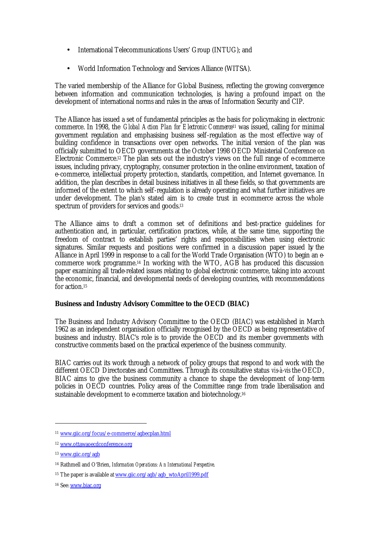- International Telecommunications Users' Group (INTUG); and
- World Information Technology and Services Alliance (WITSA).

The varied membership of the Alliance for Global Business, reflecting the growing convergence between information and communication technologies, is having a profound impact on the development of international norms and rules in the areas of Information Security and CIP.

The Alliance has issued a set of fundamental principles as the basis for policymaking in electronic commerce. In 1998, the *Global Action Plan for Electronic Commerce*11 was issued, calling for minimal government regulation and emphasising business self-regulation as the most effective way of building confidence in transactions over open networks. The initial version of the plan was officially submitted to OECD governments at the October 1998 OECD Ministerial Conference on Electronic Commerce.<sup>12</sup> The plan sets out the industry's views on the full range of  $e$ -commerce issues, including privacy, cryptography, consumer protection in the online environment, taxation of e-commerce, intellectual property protection, standards, competition, and Internet governance. In addition, the plan describes in detail business initiatives in all these fields, so that governments are informed of the extent to which self-regulation is already operating and what further initiatives are under development. The plan's stated aim is to create trust in ecommerce across the whole spectrum of providers for services and goods.<sup>13</sup>

The Alliance aims to draft a common set of definitions and best-practice guidelines for authentication and, in particular, certification practices, while, at the same time, supporting the freedom of contract to establish parties' rights and responsibilities when using electronic signatures. Similar requests and positions were confirmed in a discussion paper issued by the Alliance in April 1999 in response to a call for the World Trade Organisation (WTO) to begin an ecommerce work programme.14 In working with the WTO, AGB has produced this discussion paper examining all trade-related issues relating to global electronic commerce, taking into account the economic, financial, and developmental needs of developing countries, with recommendations for action 15

## **Business and Industry Advisory Committee to the OECD (BIAC)**

The Business and Industry Advisory Committee to the OECD (BIAC) was established in March 1962 as an independent organisation officially recognised by the OECD as being representative of business and industry. BIAC's role is to provide the OECD and its member governments with constructive comments based on the practical experience of the business community.

BIAC carries out its work through a network of policy groups that respond to and work with the different OECD Directorates and Committees. Through its consultative status *vis-à-vis* the OECD, BIAC aims to give the business community a chance to shape the development of long-term policies in OECD countries. Policy areas of the Committee range from trade liberalisation and sustainable development to e-commerce taxation and biotechnology.<sup>16</sup>

<sup>11</sup> www.giic.org/focus/e-commerce/agbecplan.html

<sup>12</sup> www.ottawaoecdconference.org

<sup>13</sup> www.giic.org/agb

<sup>14</sup> Rathmell and O'Brien, *Information Operations: An International Perspective*.

<sup>&</sup>lt;sup>15</sup> The paper is available at www.giic.org/agb/agb\_wtoApril1999.pdf

<sup>16</sup> See: www.biac.org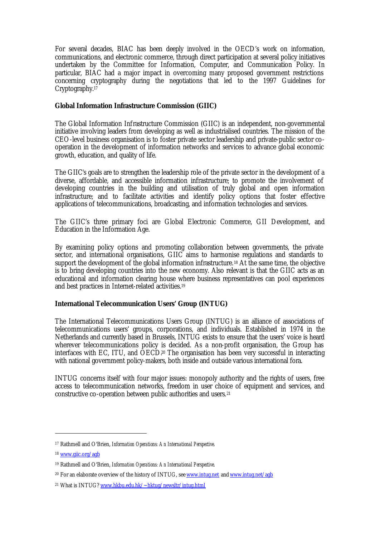For several decades, BIAC has been deeply involved in the OECD's work on information, communications, and electronic commerce, through direct participation at several policy initiatives undertaken by the Committee for Information, Computer, and Communication Policy. In particular, BIAC had a major impact in overcoming many proposed government restrictions concerning cryptography during the negotiations that led to the 1997 Guidelines for Cryptography.<sup>17</sup>

## **Global Information Infrastructure Commission (GIIC)**

The Global Information Infrastructure Commission (GIIC) is an independent, non-governmental initiative involving leaders from developing as well as industrialised countries. The mission of the CEO-level business organisation is to foster private sector leadership and private-public sector cooperation in the development of information networks and services to advance global economic growth, education, and quality of life.

The GIIC's goals are to strengthen the leadership role of the private sector in the development of a diverse, affordable, and accessible information infrastructure; to promote the involvement of developing countries in the building and utilisation of truly global and open information infrastructure; and to facilitate activities and identify policy options that foster effective applications of telecommunications, broadcasting, and information technologies and services.

The GIIC's three primary foci are Global Electronic Commerce, GII Development, and Education in the Information Age.

By examining policy options and promoting collaboration between governments, the private sector, and international organisations, GIIC aims to harmonise regulations and standards to support the development of the global information infrastructure.<sup>18</sup> At the same time, the objective is to bring developing countries into the new economy. Also relevant is that the GIIC acts as an educational and information clearing house where business representatives can pool experiences and best practices in Internet-related activities.<sup>19</sup>

## **International Telecommunication Users' Group (INTUG)**

The International Telecommunications Users Group (INTUG) is an alliance of associations of telecommunications users' groups, corporations, and individuals. Established in 1974 in the Netherlands and currently based in Brussels, INTUG exists to ensure that the users' voice is heard wherever telecommunications policy is decided. As a non-profit organisation, the Group has interfaces with EC, ITU, and  $\overline{OECD}$ <sup>20</sup> The organisation has been very successful in interacting with national government policy-makers, both inside and outside various international fora.

INTUG concerns itself with four major issues: monopoly authority and the rights of users, free access to telecommunication networks, freedom in user choice of equipment and services, and constructive co-operation between public authorities and users.<sup>21</sup>

<sup>17</sup> Rathmell and O'Brien, *Information Operations: An International Perspective*.

<sup>18</sup> www.giic.org/agb

<sup>19</sup> Rathmell and O'Brien, *Information Operations: An International Perspective*.

<sup>&</sup>lt;sup>20</sup> For an elaborate overview of the history of INTUG, see www.intug.net and www.intug.net/agb

<sup>21</sup> What is INTUG? www.hkbu.edu.hk/~hktug/newsltr/intug.html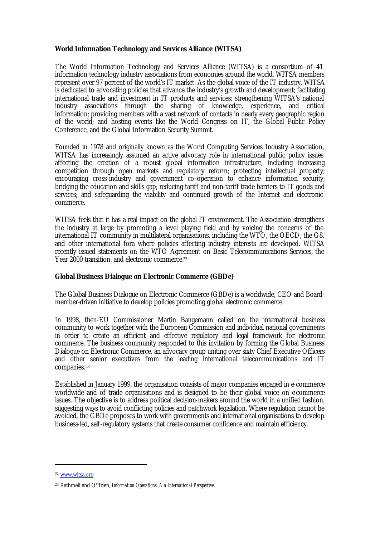## **World Information Technology and Services Alliance (WITSA)**

The World Information Technology and Services Alliance (WITSA) is a consortium of 41 information technology industry associations from economies around the world. WITSA members represent over 97 percent of the world's IT market. As the global voice of the IT industry, WITSA is dedicated to advocating policies that advance the industry's growth and development; facilitating international trade and investment in IT products and services; strengthening WITSA's national industry associations through the sharing of knowledge, experience, and critical information; providing members with a vast network of contacts in nearly every geographic region of the world; and hosting events like the World Congress on IT, the Global Public Policy Conference, and the Global Information Security Summit.

Founded in 1978 and originally known as the World Computing Services Industry Association, WITSA has increasingly assumed an active advocacy role in international public policy issues affecting the creation of a robust global information infrastructure, including increasing competition through open markets and regulatory reform; protecting intellectual property; encouraging cross-industry and government co-operation to enhance information security; bridging the education and skills gap; reducing tariff and non-tariff trade barriers to IT goods and services; and safeguarding the viability and continued growth of the Internet and electronic commerce.

WITSA feels that it has a real impact on the global IT environment. The Association strengthens the industry at large by promoting a level playing field and by voicing the concerns of the international IT community in multilateral organisations, including the WTO, the OECD, the G8, and other international fora where policies affecting industry interests are developed. WITSA recently issued statements on the WTO Agreement on Basic Telecommunications Services, the Year 2000 transition, and electronic commerce.<sup>22</sup>

## **Global Business Dialogue on Electronic Commerce (GBDe)**

The Global Business Dialogue on Electronic Commerce (GBDe) is a worldwide, CEO and Boardmember-driven initiative to develop policies promoting global electronic commerce.

In 1998, then-EU Commissioner Martin Bangemann called on the international business community to work together with the European Commission and individual national governments in order to create an efficient and effective regulatory and legal framework for electronic commerce. The business community responded to this invitation by forming the Global Business Dialogue on Electronic Commerce, an advocacy group uniting over sixty Chief Executive Officers and other senior executives from the leading international telecommunications and IT companies.<sup>23</sup>

Established in January 1999, the organisation consists of major companies engaged in e-commerce worldwide and of trade organisations and is designed to be their global voice on ecommerce issues. The objective is to address political decision-makers around the world in a unified fashion, suggesting ways to avoid conflicting policies and patchwork legislation. Where regulation cannot be avoided, the GBDe proposes to work with governments and international organisations to develop business-led, self-regulatory systems that create consumer confidence and maintain efficiency.

<sup>22</sup> www.witsa.org

<sup>23</sup> Rathmell and O'Brien, *Information Operations: An International Perspective*.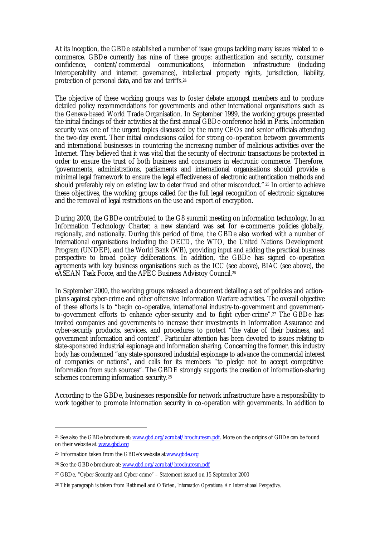At its inception, the GBDe established a number of issue groups tackling many issues related to ecommerce. GBDe currently has nine of these groups: authentication and security, consumer confidence, content/commercial communications, information infrastructure (including interoperability and internet governance), intellectual property rights, jurisdiction, liability, protection of personal data, and tax and tariffs.<sup>24</sup>

The objective of these working groups was to foster debate amongst members and to produce detailed policy recommendations for governments and other international organisations such as the Geneva-based World Trade Organisation. In September 1999, the working groups presented the initial findings of their activities at the first annual GBDe conference held in Paris. Information security was one of the urgent topics discussed by the many CEOs and senior officials attending the two-day event. Their initial conclusions called for strong co-operation between governments and international businesses in countering the increasing number of malicious activities over the Internet. They believed that it was vital that the security of electronic transactions be protected in order to ensure the trust of both business and consumers in electronic commerce. Therefore, 'governments, administrations, parliaments and international organisations should provide a minimal legal framework to ensure the legal effectiveness of electronic authentication methods and should preferably rely on existing law to deter fraud and other misconduct." <sup>25</sup> In order to achieve these objectives, the working groups called for the full legal recognition of electronic signatures and the removal of legal restrictions on the use and export of encryption.

During 2000, the GBDe contributed to the G8 summit meeting on information technology. In an Information Technology Charter, a new standard was set for e-commerce policies globally, regionally, and nationally. During this period of time, the GBDe also worked with a number of international organisations including the OECD, the WTO, the United Nations Development Program (UNDEP), and the World Bank (WB), providing input and adding the practical business perspective to broad policy deliberations. In addition, the GBDe has signed co-operation agreements with key business organisations such as the ICC (see above), BIAC (see above), the eASEAN Task Force, and the APEC Business Advisory Council.<sup>26</sup>

In September 2000, the working groups released a document detailing a set of policies and actionplans against cyber-crime and other offensive Information Warfare activities. The overall objective of these efforts is to "begin co-operative, international industry-to-government and governmentto-government efforts to enhance cyber-security and to fight cyber-crime".27 The GBDe has invited companies and governments to increase their investments in Information Assurance and cyber-security products, services, and procedures to protect "the value of their business, and government information and content". Particular attention has been devoted to issues relating to state-sponsored industrial espionage and information sharing. Concerning the former, this industry body has condemned "any state-sponsored industrial espionage to advance the commercial interest of companies or nations", and calls for its members "to pledge not to accept competitive information from such sources". The GBDE strongly supports the creation of information-sharing schemes concerning information security.<sup>28</sup>

According to the GBDe, businesses responsible for network infrastructure have a responsibility to work together to promote information security in co-operation with governments. In addition to

<sup>&</sup>lt;sup>24</sup> See also the GBDe brochure at: www.gbd.org/acrobat/brochuresm.pdf. More on the origins of GBDe can be found on their website at: www.gbd.org

<sup>25</sup> Information taken from the GBDe's website at www.gbde.org

<sup>26</sup> See the GBDe brochure at: www.gbd.org/acrobat/brochuresm.pdf

<sup>27</sup> GBDe, "Cyber-Security and Cyber-crime" – Statement issued on 15 September 2000

<sup>28</sup> This paragraph is taken from Rathmell and O'Brien, *Information Operations: An International Perspective*.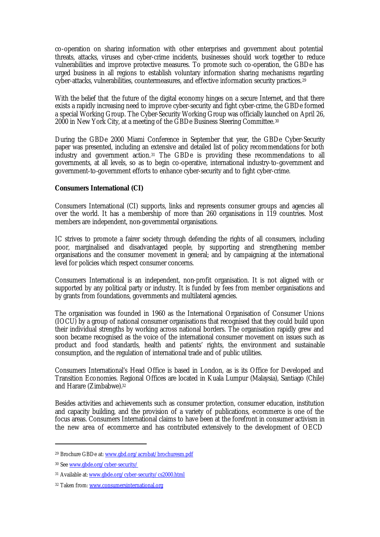co-operation on sharing information with other enterprises and government about potential threats, attacks, viruses and cyber-crime incidents, businesses should work together to reduce vulnerabilities and improve protective measures. To promote such co-operation, the GBDe has urged business in all regions to establish voluntary information sharing mechanisms regarding cyber-attacks, vulnerabilities, countermeasures, and effective information security practices.<sup>29</sup>

With the belief that the future of the digital economy hinges on a secure Internet, and that there exists a rapidly increasing need to improve cyber-security and fight cyber-crime, the GBDe formed a special Working Group. The Cyber-Security Working Group was officially launched on April 26, 2000 in New York City, at a meeting of the GBDe Business Steering Committee.<sup>30</sup>

During the GBDe 2000 Miami Conference in September that year, the GBDe Cyber-Security paper was presented, including an extensive and detailed list of policy recommendations for both industry and government action.<sup>31</sup> The GBDe is providing these recommendations to all governments, at all levels, so as to begin co-operative, international industry-to-government and government-to-government efforts to enhance cyber-security and to fight cyber-crime.

## **Consumers International (CI)**

Consumers International (CI) supports, links and represents consumer groups and agencies all over the world. It has a membership of more than 260 organisations in 119 countries. Most members are independent, non-governmental organisations.

IC strives to promote a fairer society through defending the rights of all consumers, including poor, marginalised and disadvantaged people, by supporting and strengthening member organisations and the consumer movement in general; and by campaigning at the international level for policies which respect consumer concerns.

Consumers International is an independent, non-profit organisation. It is not aligned with or supported by any political party or industry. It is funded by fees from member organisations and by grants from foundations, governments and multilateral agencies.

The organisation was founded in 1960 as the International Organisation of Consumer Unions (IOCU) by a group of national consumer organisations that recognised that they could build upon their individual strengths by working across national borders. The organisation rapidly grew and soon became recognised as the voice of the international consumer movement on issues such as product and food standards, health and patients' rights, the environment and sustainable consumption, and the regulation of international trade and of public utilities.

Consumers International's Head Office is based in London, as is its Office for Developed and Transition Economies. Regional Offices are located in Kuala Lumpur (Malaysia), Santiago (Chile) and Harare (Zimbabwe).<sup>32</sup>

Besides activities and achievements such as consumer protection, consumer education, institution and capacity building, and the provision of a variety of publications, e-commerce is one of the focus areas. Consumers International claims to have been at the forefront in consumer activism in the new area of ecommerce and has contributed extensively to the development of OECD

<sup>29</sup> Brochure GBDe at: www.gbd.org/acrobat/brochuresm.pdf

<sup>30</sup> See www.gbde.org/cyber-security/

<sup>31</sup> Available at: www.gbde.org/cyber-security/cs2000.html

<sup>32</sup> Taken from: www.consumersinternational.org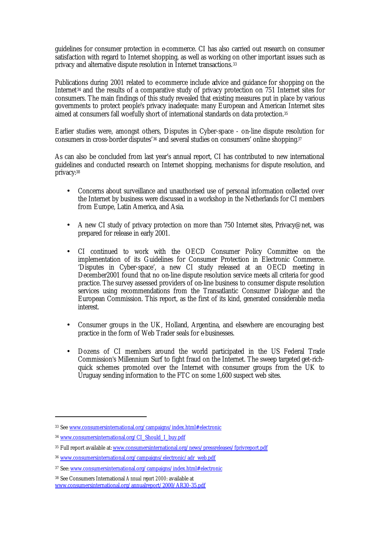guidelines for consumer protection in e-commerce. CI has also carried out research on consumer satisfaction with regard to Internet shopping, as well as working on other important issues such as privacy and alternative dispute resolution in Internet transactions.<sup>33</sup>

Publications during 2001 related to e-commerce include advice and guidance for shopping on the Internet34 and the results of a comparative study of privacy protection on 751 Internet sites for consumers. The main findings of this study revealed that existing measures put in place by various governments to protect people's privacy inadequate: many European and American Internet sites aimed at consumers fall woefully short of international standards on data protection.<sup>35</sup>

Earlier studies were, amongst others, Disputes in Cyber-space - on-line dispute resolution for consumers in cross-border disputes'36 and several studies on consumers' online shopping.<sup>37</sup>

As can also be concluded from last year's annual report, CI has contributed to new international guidelines and conducted research on Internet shopping, mechanisms for dispute resolution, and privacy:<sup>38</sup>

- Concerns about surveillance and unauthorised use of personal information collected over the Internet by business were discussed in a workshop in the Netherlands for CI members from Europe, Latin America, and Asia.
- A new CI study of privacy protection on more than 750 Internet sites, Privacy@net, was prepared for release in early 2001.
- CI continued to work with the OECD Consumer Policy Committee on the implementation of its Guidelines for Consumer Protection in Electronic Commerce. 'Disputes in Cyber-space', a new CI study released at an OECD meeting in December2001 found that no on-line dispute resolution service meets all criteria for good practice. The survey assessed providers of on-line business to consumer dispute resolution services using recommendations from the Transatlantic Consumer Dialogue and the European Commission. This report, as the first of its kind, generated considerable media interest.
- Consumer groups in the UK, Holland, Argentina, and elsewhere are encouraging best practice in the form of Web Trader seals for e-businesses.
- Dozens of CI members around the world participated in the US Federal Trade Commission's Millennium Surf to fight fraud on the Internet. The sweep targeted get-richquick schemes promoted over the Internet with consumer groups from the UK to Uruguay sending information to the FTC on some 1,600 suspect web sites.

<sup>33</sup> See www.consumersinternational.org/campaigns/index.html#electronic

<sup>34</sup> www.consumersinternational.org/CI\_Should\_I\_buy.pdf

<sup>&</sup>lt;sup>35</sup> Full report available at: www.consumersinternational.org/news/pressreleases/fprivreport.pdf

<sup>36</sup> www.consumersinternational.org/campaigns/electronic/adr\_web.pdf

<sup>37</sup> See: www.consumersinternational.org/campaigns/index.html#electronic

<sup>38</sup> See Consumers International *Annual report 2000*: available at www.consumersinternational.org/annualreport/2000/AR30-35.pdf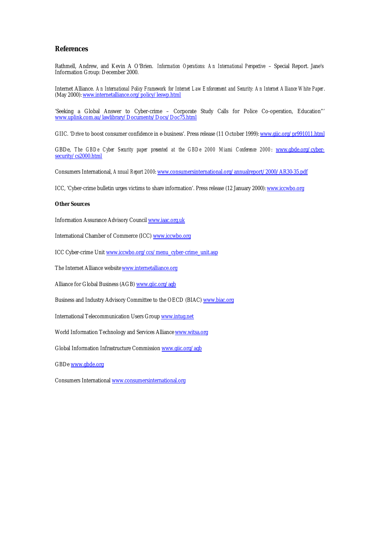#### **References**

Rathmell, Andrew, and Kevin A O'Brien. *Information Operations: An International Perspective* – Special Report. Jane's Information Group: December 2000.

Internet Alliance. *An International Policy Framework for Internet Law Enforcement and Security: An Internet Alliance White Paper*. (May 2000): www.internetalliance.org/policy/leswp.html

'Seeking a Global Answer to Cyber-crime – Corporate Study Calls for Police Co-operation, Education"' www.uplink.com.au/lawlibrary/Documents/Docs/Doc75.html

GIIC. 'Drive to boost consumer confidence in e-business'. Press release (11 October 1999): www.giic.org/pr991011.html

GBDe, The GBDe Cyber Security paper presented at the GBDe 2000 Miami Conference 2000: www.gbde.org/cybersecurity/cs2000.html

Consumers International, *Annual Report 2000*: www.consumersinternational.org/annualreport/2000/AR30-35.pdf

ICC, 'Cyber-crime bulletin urges victims to share information'. Press release (12 January 2000): www.iccwbo.org

#### **Other Sources**

Information Assurance Advisory Council www.iaac.org.uk

International Chamber of Commerce (ICC) www.iccwbo.org

ICC Cyber-crime Unit www.iccwbo.org/ccs/menu\_cyber-crime\_unit.asp

The Internet Alliance website **www.internetalliance.org** 

Alliance for Global Business (AGB) www.giic.org/agb

Business and Industry Advisory Committee to the OECD (BIAC) www.biac.org

International Telecommunication Users Group www.intug.net

World Information Technology and Services Alliance www.witsa.org

Global Information Infrastructure Commission www.giic.org/agb

GBDe www.gbde.org

Consumers International www.consumersinternational.org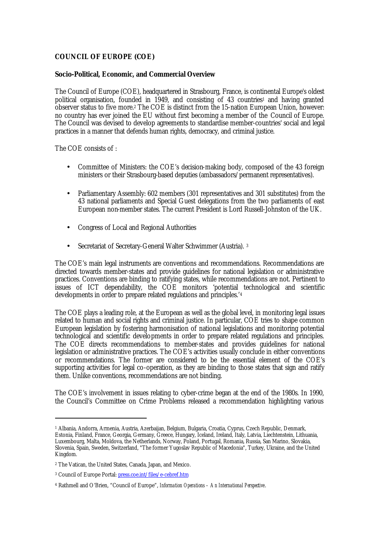## **COUNCIL OF EUROPE (COE)**

#### **Socio-Political, Economic, and Commercial Overview**

The Council of Europe (COE), headquartered in Strasbourg, France, is continental Europe's oldest political organisation, founded in 1949, and consisting of 43 countries<sup>1</sup> and having granted observer status to five more.2 The COE is distinct from the 15-nation European Union, however: no country has ever joined the EU without first becoming a member of the Council of Europe. The Council was devised to develop agreements to standardise member-countries' social and legal practices in a manner that defends human rights, democracy, and criminal justice.

The COE consists of :

- Committee of Ministers: the COE's decision-making body, composed of the 43 foreign ministers or their Strasbourg-based deputies (ambassadors/permanent representatives).
- Parliamentary Assembly: 602 members (301 representatives and 301 substitutes) from the 43 national parliaments and Special Guest delegations from the two parliaments of east European non-member states. The current President is Lord Russell-Johnston of the UK.
- Congress of Local and Regional Authorities
- Secretariat of Secretary-General Walter Schwimmer (Austria). <sup>3</sup>

The COE's main legal instruments are conventions and recommendations. Recommendations are directed towards member-states and provide guidelines for national legislation or administrative practices. Conventions are binding to ratifying states, while recommendations are not. Pertinent to issues of ICT dependability, the COE monitors 'potential technological and scientific developments in order to prepare related regulations and principles.'<sup>4</sup>

The COE plays a leading role, at the European as well as the global level, in monitoring legal issues related to human and social rights and criminal justice. In particular, COE tries to shape common European legislation by fostering harmonisation of national legislations and monitoring potential technological and scientific developments in order to prepare related regulations and principles. The COE directs recommendations to member-states and provides guidelines for national legislation or administrative practices. The COE's activities usually conclude in either conventions or recommendations. The former are considered to be the essential element of the COE's supporting activities for legal co-operation, as they are binding to those states that sign and ratify them. Unlike conventions, recommendations are not binding.

The COE's involvement in issues relating to cyber-crime began at the end of the 1980s. In 1990, the Council's Committee on Crime Problems released a recommendation highlighting various

<sup>1</sup> Albania, Andorra, Armenia, Austria, Azerbaijan, Belgium, Bulgaria, Croatia, Cyprus, Czech Republic, Denmark, Estonia, Finland, France, Georgia, Germany, Greece, Hungary, Iceland, Ireland, Italy, Latvia, Liechtenstein, Lithuania, Luxembourg, Malta, Moldova, the Netherlands, Norway, Poland, Portugal, Romania, Russia, San Marino, Slovakia, Slovenia, Spain, Sweden, Switzerland, "The former Yugoslav Republic of Macedonia", Turkey, Ukraine, and the United Kingdom.

<sup>2</sup> The Vatican, the United States, Canada, Japan, and Mexico.

<sup>&</sup>lt;sup>3</sup> Council of Europe Portal: <u>press.coe.int/files/e-cebref.htm</u>

<sup>4</sup> Rathmell and O'Brien, "Council of Europe", *Information Operations – An International Perspective*.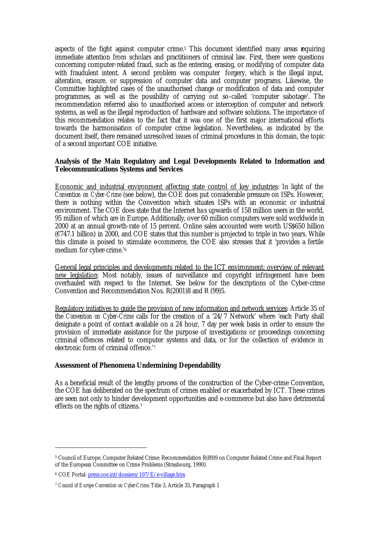aspects of the fight against computer crime.5 This document identified many areas requiring immediate attention from scholars and practitioners of criminal law. First, there were questions concerning computer-related fraud, such as the entering, erasing, or modifying of computer data with fraudulent intent. A second problem was computer forgery, which is the illegal input, alteration, erasure, or suppression of computer data and computer programs. Likewise, the Committee highlighted cases of the unauthorised change or modification of data and computer programmes, as well as the possibility of carrying out so-called 'computer sabotage'. The recommendation referred also to unauthorised access or interception of computer and network systems, as well as the illegal reproduction of hardware and software solutions. The importance of this recommendation relates to the fact that it was one of the first major international efforts towards the harmonisation of computer crime legislation. Nevertheless, as indicated by the document itself, there remained unresolved issues of criminal procedures in this domain, the topic of a second important COE initiative.

## **Analysis of the Main Regulatory and Legal Developments Related to Information and Telecommunications Systems and Services**

Economic and industrial environment affecting state control of key industries: In light of the *Convention on Cyber-Crime* (see below), the COE does put considerable pressure on ISPs. However, there is nothing within the Convention which situates ISPs with an economic or industrial environment. The COE does state that the Internet ha s upwards of 158 million users in the world, 95 million of which are in Europe. Additionally, over 60 million computers were sold worldwide in 2000 at an annual growth-rate of 15 percent. Online sales accounted were worth US\$650 billion (€747.1 billion) in 2000, and COE states that this number is projected to triple in two years. While this climate is poised to stimulate e-commerce, the COE also stresses that it 'provides a fertile medium for cyber-crime.'<sup>6</sup>

General legal principles and developments related to the ICT environment; overview of relevant new legislation: Most notably, issues of surveillance and copyright infringement have been overhauled with respect to the Internet. See below for the descriptions of the Cyber-crime Convention and Recommendation Nos. R(2001)8 and R (99)5.

Regulatory initiatives to guide the provision of new information and network services: Article 35 of the *Convention on Cyber-Crime* calls for the creation of a '24/7 Network' where 'each Party shall designate a point of contact available on a 24 hour, 7 day per week basis in order to ensure the provision of immediate assistance for the purpose of investigations or proceedings concerning criminal offences related to computer systems and data, or for the collection of evidence in electronic form of criminal offence.'<sup>7</sup>

#### **Assessment of Phenomena Undermining Dependability**

As a beneficial result of the lengthy process of the construction of the Cyber-crime Convention, the COE has deliberated on the spectrum of crimes enabled or exacerbated by ICT. These crimes are seen not only to hinder development opportunities and e-commerce but also have detrimental effects on the rights of citizens.<sup>7</sup>

<sup>5</sup> Council of Europe, Computer Related Crime: Recommendation R(89)9 on Computer Related Crime and Final Report of the European Committee on Crime Problems (Strasbourg, 1990).

<sup>&</sup>lt;sup>6</sup> COE Portal: <u>press.coe.int/dossiers/107/E/e-village.htm</u>

<sup>7</sup> *Council of Europe Convention on Cyber-Crime*. Title 3, Article 35, Paragraph 1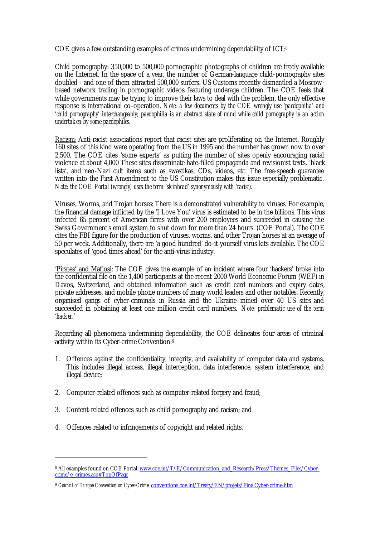COE gives a few outstanding examples of crimes undermining dependability of ICT:<sup>8</sup>

Child pornography: 350,000 to 500,000 pornographic photographs of children are freely available on the Internet. In the space of a year, the number of German-language child-pornography sites doubled - and one of them attracted 500,000 surfers. US Customs recently dismantled a Moscowbased network trading in pornographic videos featuring underage children. The COE feels that while governments may be trying to improve their laws to deal with the problem, the only effective response is international co-operation. *Note: a few documents by the COE wrongly use 'paedophilia' and 'child pornography' interchangeably; paedophilia is an abstract state of mind while child pornography is an action undertaken by some paedophiles.*

Racism: Anti-racist associations report that racist sites are proliferating on the Internet. Roughly 160 sites of this kind were operating from the US in 1995 and the number has grown now to over 2,500. The COE cites 'some experts' as putting the number of sites openly encouraging racial violence at about 4,000 These sites disseminate hate-filled propaganda and revisionist texts, 'black lists', and neo-Nazi cult items such as swastikas, CDs, videos, etc. The free-speech guarantee written into the First Amendment to the US Constitution makes this issue especially problematic. *Note: the COE Portal (wrongly) uses the term 'skinhead' synonymously with 'racist).*

Viruses, Worms, and Trojan horses: There is a demonstrated vulnerability to viruses. For example, the financial damage inflicted by the 'I Love You' virus is estimated to be in the billions. This virus infected 65 percent of American firms with over 200 employees and succeeded in causing the Swiss Government's email system to shut down for more than 24 hours. (COE Portal). The COE cites the FBI figure for the production of viruses, worms, and other Trojan horses at an average of 50 per week. Additionally, there are 'a good hundred' do-it-yourself virus kits available. The COE speculates of 'good times ahead' for the anti-virus industry.

'Pirates' and Mafiosi: The COE gives the example of an incident where four 'hackers' broke into the confidential file on the 1,400 participants at the recent 2000 World Economic Forum (WEF) in Davos, Switzerland, and obtained information such as credit card numbers and expiry dates, private addresses, and mobile phone numbers of many world leaders and other notables. Recently, organised gangs of cyber-criminals in Russia and the Ukraine mined over 40 US sites and succeeded in obtaining at least one million credit card numbers. *Note: problematic use of the term 'hacker.'*

Regarding all phenomena undermining dependability, the COE delineates four areas of criminal activity within its Cyber-crime Convention:<sup>9</sup>

- 1. Offences against the confidentiality, integrity, and availability of computer data and systems. This includes illegal access, illegal interception, data interference, system interference, and illegal device;
- 2. Computer-related offences such as computer-related forgery and fraud;
- 3. Content-related offences such as child pornography and racism; and
- 4. Offences related to infringements of copyright and related rights.

<sup>&</sup>lt;sup>8</sup> All examples found on COE Portal: www.coe.int/T/E/Communication\_and\_Research/Press/Themes\_Files/Cybercrime/e\_crimes.asp#TopOfPage

<sup>&</sup>lt;sup>9</sup> Council of Europe Convention on Cyber-Crime. conventions.coe.int/Treaty/EN/projets/FinalCyber-crime.htm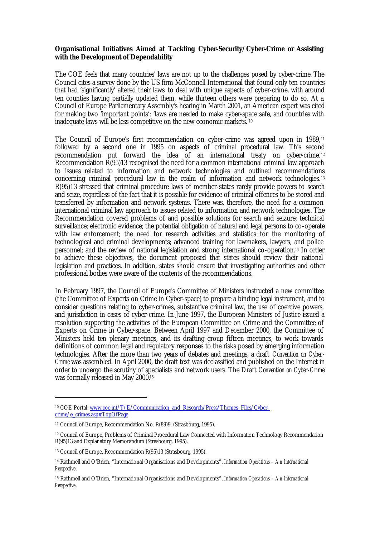## **Organisational Initiatives Aimed at Tackling Cyber-Security/Cyber-Crime or Assisting with the Development of Dependability**

The COE feels that many countries' laws are not up to the challenges posed by cyber-crime. The Council cites a survey done by the US firm McConnell International that found only ten countries that had 'significantly' altered their laws to deal with unique aspects of cyber-crime, with around ten counties having partially updated them, while thirteen others were preparing to do so. At a Council of Europe Parliamentary Assembly's hearing in March 2001, an American expert was cited for making two 'important points': 'laws are needed to make cyber-space safe, and countries with inadequate laws will be less competitive on the new economic markets.'<sup>10</sup>

The Council of Europe's first recommendation on cyber-crime was agreed upon in 1989,<sup>11</sup> followed by a second one in 1995 on aspects of criminal procedural law. This second recommendation put forward the idea of an international treaty on cyber-crime.<sup>12</sup> Recommendation R(95)13 recognised the need for a common international criminal law approach to issues related to information and network technologies and outlined recommendations concerning criminal procedural law in the realm of information and network technologies.<sup>13</sup> R(95)13 stressed that criminal procedure laws of member-states rarely provide powers to search and seize, regardless of the fact that it is possible for evidence of criminal offences to be stored and transferred by information and network systems. There was, therefore, the need for a common international criminal law approach to issues related to information and network technologies. The Recommendation covered problems of and possible solutions for search and seizure; technical surveillance; electronic evidence; the potential obligation of natural and legal persons to co-operate with law enforcement; the need for research activities and statistics for the monitoring of technological and criminal developments; advanced training for lawmakers, lawyers, and police personnel; and the review of national legislation and strong international co-operation.14 In order to achieve these objectives, the document proposed that states should review their national legislation and practices. In addition, states should ensure that investigating authorities and other professional bodies were aware of the contents of the recommendations.

In February 1997, the Council of Europe's Committee of Ministers instructed a new committee (the Committee of Experts on Crime in Cyber-space) to prepare a binding legal instrument, and to consider questions relating to cyber-crimes, substantive criminal law, the use of coercive powers, and jurisdiction in cases of cyber-crime. In June 1997, the European Ministers of Justice issued a resolution supporting the activities of the European Committee on Crime and the Committee of Experts on Crime in Cyber-space. Between April 1997 and December 2000, the Committee of Ministers held ten plenary meetings, and its drafting group fifteen meetings, to work towards definitions of common legal and regulatory responses to the risks posed by emerging information technologies. After the more than two years of debates and meetings, a draft *Convention on Cyber-Crime* was assembled. In April 2000, the draft text was declassified and published on the Internet in order to undergo the scrutiny of specialists and network users. The Draft *Convention on Cyber-Crime* was formally released in May 2000.<sup>15</sup>

<sup>&</sup>lt;sup>10</sup> COE Portal: www.coe.int/T/E/Communication\_and\_Research/Press/Themes\_Files/Cybercrime/e\_crimes.asp#TopOfPage

<sup>11</sup> Council of Europe, Recommendation No. R(89)9. (Strasbourg, 1995).

<sup>12</sup> Council of Europe, Problems of Criminal Procedural Law Connected with Information Technology Recommendation R(95)13 and Explanatory Memorandum (Strasbourg, 1995).

<sup>13</sup> Council of Europe, Recommendation R(95)13 (Strasbourg, 1995).

<sup>14</sup> Rathmell and O'Brien, "International Organisations and Developments", *Information Operations – An International Perspective*.

<sup>15</sup> Rathmell and O'Brien, "International Organisations and Developments", *Information Operations – An International Perspective*.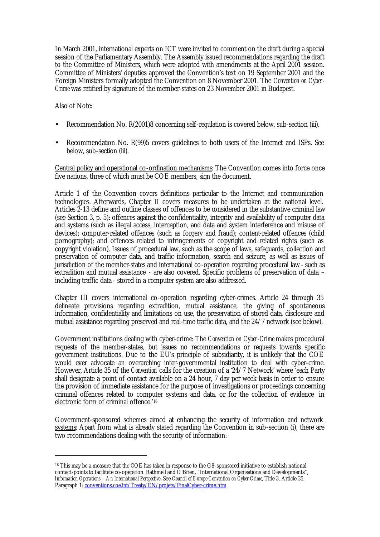In March 2001, international experts on ICT were invited to comment on the draft during a special session of the Parliamentary Assembly. The Assembly issued recommendations regarding the draft to the Committee of Ministers, which were adopted with amendments at the April 2001 session. Committee of Ministers' deputies approved the Convention's text on 19 September 2001 and the Foreign Ministers formally adopted the Convention on 8 November 2001. The *Convention on Cyber-Crime* was ratified by signature of the member-states on 23 November 2001 in Budapest.

Also of Note:

 $\overline{a}$ 

- Recommendation No. R(2001)8 concerning self-regulation is covered below, sub-section (iii).
- Recommendation No. R(99)5 covers guidelines to both users of the Internet and ISPs. See below, sub-section (iii).

Central policy and operational co-ordination mechanisms: The Convention comes into force once five nations, three of which must be COE members, sign the document.

Article 1 of the Convention covers definitions particular to the Internet and communication technologies. Afterwards, Chapter II covers measures to be undertaken at the national level. Articles 2-13 define and outline classes of offences to be considered in the substantive criminal law (see Section 3, p. 5): offences against the confidentiality, integrity and availability of computer data and systems (such as illegal access, interception, and data and system interference and misuse of devices); computer-related offences (such as forgery and fraud); content-related offences (child pornography); and offences related to infringements of copyright and related rights (such as copyright violation). Issues of procedural law, such as the scope of laws, safeguards, collection and preservation of computer data, and traffic information, search and seizure, as well as issues of jurisdiction of the member-states and international co-operation regarding procedural law - such as extradition and mutual assistance - are also covered. Specific problems of preservation of data – including traffic data - stored in a computer system are also addressed.

Chapter III covers international co-operation regarding cyber-crimes. Article 24 through 35 delineate provisions regarding extradition, mutual assistance, the giving of spontaneous information, confidentiality and limitations on use, the preservation of stored data, disclosure and mutual assistance regarding preserved and real-time traffic data, and the 24/7 network (see below).

Government institutions dealing with cyber-crime: The *Convention on Cyber-Crime* makes procedural requests of the member-states, but issues no recommendations or requests towards specific government institutions. Due to the EU's principle of subsidiarity, it is unlikely that the COE would ever advocate an overarching inter-governmental institution to deal with cyber-crime. However, Article 35 of the *Convention* calls for the creation of a '24/7 Network' where 'each Party shall designate a point of contact available on a 24 hour, 7 day per week basis in order to ensure the provision of immediate assistance for the purpose of investigations or proceedings concerning criminal offences related to computer systems and data, or for the collection of evidence in electronic form of criminal offence.'<sup>16</sup>

Government-sponsored schemes aimed at enhancing the security of information and network systems: Apart from what is already stated regarding the Convention in sub-section (i), there are two recommendations dealing with the security of information:

<sup>&</sup>lt;sup>16</sup> This may be a measure that the COE has taken in response to the G8-sponsored initiative to establish national contact-points to facilitate co-operation. Rathmell and O'Brien, "International Organisations and Developments", *Information Operations – An International Perspective*. See *Council of Europe Convention on Cyber-Crime*, Title 3, Article 35, Paragraph 1: conventions.coe.int/Treaty/EN/projets/FinalCyber-crime.htm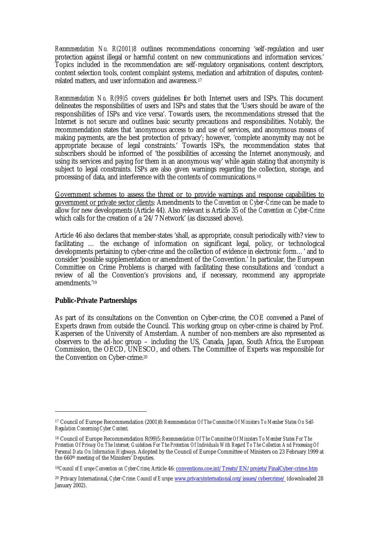*Recommendation No. R(2001)8* outlines recommendations concerning 'self-regulation and user protection against illegal or harmful content on new communications and information services.' Topics included in the recommendation are: self-regulatory organisations, content descriptors, content selection tools, content complaint systems, mediation and arbitration of disputes, contentrelated matters, and user information and awareness.<sup>17</sup>

*Recommendation No. R(99)5* covers guidelines for both Internet users and ISPs. This document delineates the responsibilities of users and ISPs and states that the 'Users should be aware of the responsibilities of ISPs and vice versa'. Towards users, the recommendations stressed that the Internet is not secure and outlines basic security precautions and responsibilities. Notably, the recommendation states that 'anonymous access to and use of services, and anonymous means of making payments, are the best protection of privacy'; however, 'complete anonymity may not be appropriate because of legal constraints.' Towards ISPs, the recommendation states that subscribers should be informed of 'the possibilities of accessing the Internet anonymously, and using its services and paying for them in an anonymous way' while again stating that anonymity is subject to legal constraints. ISPs are also given warnings regarding the collection, storage, and processing of data, and interference with the contents of communications.<sup>18</sup>

Government schemes to assess the threat or to provide warnings and response capabilities to government or private sector clients: Amendments to the *Convention on Cyber-Crime* can be made to allow for new developments (Article 44). Also relevant is Article 35 of the *Convention on Cyber-Crime* which calls for the creation of a '24/7 Network' (as discussed above).

Article 46 also declares that member-states 'shall, as appropriate, consult periodically with? view to facilitating … the exchange of information on significant legal, policy, or technological developments pertaining to cyber-crime and the collection of evidence in electronic form…' and to consider 'possible supplementation or amendment of the Convention.' In particular, the European Committee on Crime Problems is charged with facilitating these consultations and 'conduct a review of all the Convention's provisions and, if necessary, recommend any appropriate amendments.'<sup>19</sup>

#### **Public-Private Partnerships**

 $\overline{a}$ 

As part of its consultations on the Convention on Cyber-crime, the COE convened a Panel of Experts drawn from outside the Council. This working group on cyber-crime is chaired by Prof. Kaspersen of the University of Amsterdam. A number of non-members are also represented as observers to the ad-hoc group – including the US, Canada, Japan, South Africa, the European Commission, the OECD, UNESCO, and others. The Committee of Experts was responsible for the Convention on Cyber-crime.<sup>20</sup>

<sup>17</sup> Council of Europe Recommendation (2001)8: *Recommendation Of The Committee Of Ministers To Member States On Self-Regulation Concerning Cyber Content*.

<sup>18</sup> Council of Europe Recommendation R(99)5: *Recommendation Of The Committee Of Ministers To Member States For The Protection Of Privacy On The Internet; Guidelines For The Protection Of Individuals With Regard To The Collection And Processing Of Personal Data On Information Highways*. Adopted by the Council of Europe Committee of Ministers on 23 February 1999 at the 660th meeting of the Ministers' Deputies.

<sup>19</sup>*Council of Europe Convention on Cyber-Crime*, Article 46: conventions.coe.int/Treaty/EN/projets/FinalCyber-crime.htm

<sup>20</sup> Privacy International, *Cyber-Crime: Council of Europe*: www.privacyinternational.org/issues/cybercrime/ (downloaded 28 January 2002).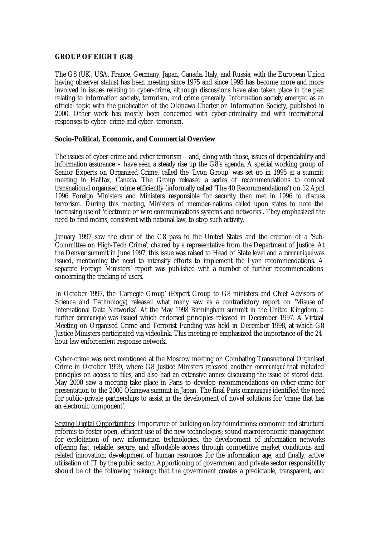## **GROUP OF EIGHT (G8)**

The G8 (UK, USA, France, Germany, Japan, Canada, Italy, and Russia, with the European Union having observer status) has been meeting since 1975 and since 1995 has become more and more involved in issues relating to cyber-crime, although discussions have also taken place in the past relating to information society, terrorism, and crime generally. Information society emerged as an official topic with the publication of the Okinawa Charter on Information Society, published in 2000. Other work has mostly been concerned with cyber-criminality and with international responses to cyber–crime and cyber–terrorism.

#### **Socio-Political, Economic, and Commercial Overview**

The issues of cyber-crime and cyber-terrorism – and, along with those, issues of dependability and information assurance – have seen a steady rise up the G8's agenda. A special working group of Senior Experts on Organised Crime, called the 'Lyon Group' was set up in 1995 at a summit meeting in Halifax, Canada. The Group released a series of recommendations to combat transnational organised crime efficiently (informally called 'The 40 Recommendations') on 12 April 1996 Foreign Ministers and Ministers responsible for security then met in 1996 to discuss terrorism. During this meeting, Ministers of member-nations called upon states to note the increasing use of 'electronic or wire communications systems and networks'. They emphasized the need to find means, consistent with national law, to stop such activity.

January 1997 saw the chair of the G8 pass to the United States and the creation of a 'Sub-Committee on High-Tech Crime', chaired by a representative from the Department of Justice. At the Denver summit in June 1997, this issue was raised to Head of State level and a *communiqué* was issued, mentioning the need to intensify efforts to implement the Lyon recommendations. A separate Foreign Ministers' report was published with a number of further recommendations concerning the tracking of users.

In October 1997, the 'Carnegie Group' (Expert Group to G8 ministers and Chief Advisors of Science and Technology) released what many saw as a contradictory report on 'Misuse of International Data Networks'. At the May 1998 Birmingham summit in the United Kingdom, a further *communiqué* was issued which endorsed principles released in December 1997. A Virtual Meeting on Organised Crime and Terrorist Funding was held in December 1998, at which G8 Justice Ministers participated via videolink. This meeting re-emphasized the importance of the 24 hour law enforcement response network.

Cyber-crime was next mentioned at the Moscow meeting on Combating Transnational Organised Crime in October 1999, where G8 Justice Ministers released another *communiqué* that included principles on access to files, and also had an extensive annex discussing the issue of stored data. May 2000 saw a meeting take place in Paris to develop recommendations on cyber-crime for presentation to the 2000 Okinawa summit in Japan. The final Paris *communiqué* identified the need for public-private partnerships to assist in the development of novel solutions for 'crime that has an electronic component'.

Seizing Digital Opportunities: Importance of building on key foundations: economic and structural reforms to foster open, efficient use of the new technologies; sound macroeconomic management for exploitation of new information technologies, the development of information networks offering fast, reliable, secure, and affordable access through competitive market conditions and related innovation; development of human resources for the information age; and finally, active utilisation of IT by the public sector. Apportioning of government and private sector responsibility should be of the following makeup: that the government creates a predictable, transparent, and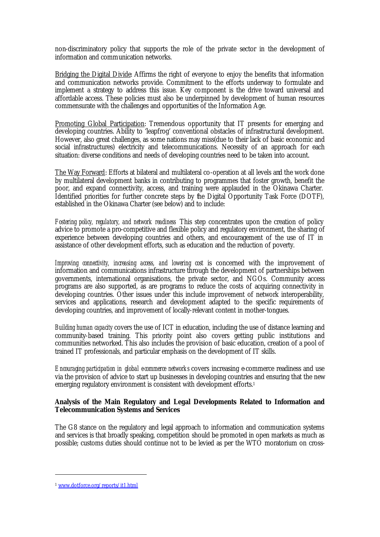non-discriminatory policy that supports the role of the private sector in the development of information and communication networks.

Bridging the Digital Divide: Affirms the right of everyone to enjoy the benefits that information and communication networks provide. Commitment to the efforts underway to formulate and implement a strategy to address this issue. Key component is the drive toward universal and affordable access. These policies must also be underpinned by development of human resources commensurate with the challenges and opportunities of the Information Age.

Promoting Global Participation: Tremendous opportunity that IT presents for emerging and developing countries. Ability to 'leapfrog' conventional obstacles of infrastructural development. However, also great challenges, as some nations may miss(due to their lack of basic economic and social infrastructures) electricity and telecommunications. Necessity of an approach for each situation: diverse conditions and needs of developing countries need to be taken into account.

The Way Forward: Efforts at bilateral and multilateral co-operation at all levels and the work done by multilateral development banks in contributing to programmes that foster growth, benefit the poor, and expand connectivity, access, and training were applauded in the Okinawa Charter. Identified priorities for further concrete steps by the Digital Opportunity Task Force (DOTF), established in the Okinawa Charter (see below) and to include:

*Fostering policy, regulatory, and network readiness* This step concentrates upon the creation of policy advice to promote a pro-competitive and flexible policy and regulatory environment, the sharing of experience between developing countries and others, and encouragement of the use of IT in assistance of other development efforts, such as education and the reduction of poverty.

*Improving connectivity, increasing access, and lowering cost* is concerned with the improvement of information and communications infrastructure through the development of partnerships between governments, international organisations, the private sector, and NGOs. Community access programs are also supported, as are programs to reduce the costs of acquiring connectivity in developing countries. Other issues under this include improvement of network interoperability, services and applications, research and development adapted to the specific requirements of developing countries, and improvement of locally-relevant content in mother-tongues.

*Building human capacity* covers the use of ICT in education, including the use of distance learning and community-based training. This priority point also covers getting public institutions and communities networked. This also includes the provision of basic education, creation of a pool of trained IT professionals, and particular emphasis on the development of IT skills.

*Encouraging participation in global ecommerce networks* covers increasing e-commerce readiness and use via the provision of advice to start up businesses in developing countries and ensuring that the new emerging regulatory environment is consistent with development efforts.<sup>1</sup>

## **Analysis of the Main Regulatory and Legal Developments Related to Information and Telecommunication Systems and Services**

The G8 stance on the regulatory and legal approach to information and communication systems and services is that broadly speaking, competition should be promoted in open markets as much as possible; customs duties should continue not to be levied as per the WTO moratorium on cross-

<sup>1</sup> www.dotforce.org/reports/it1.html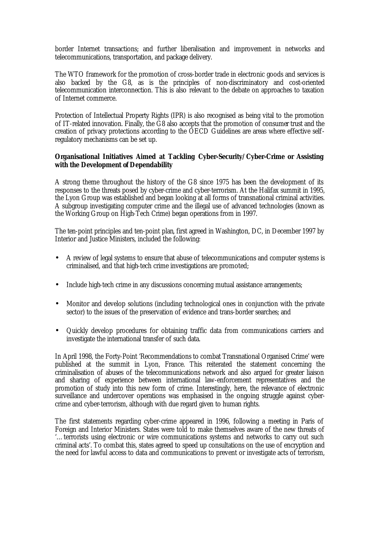border Internet transactions; and further liberalisation and improvement in networks and telecommunications, transportation, and package delivery.

The WTO framework for the promotion of cross-border trade in electronic goods and services is also backed by the G8, as is the principles of non-discriminatory and cost-oriented telecommunication interconnection. This is also relevant to the debate on approaches to taxation of Internet commerce.

Protection of Intellectual Property Rights (IPR) is also recognised as being vital to the promotion of IT-related innovation. Finally, the G8 also accepts that the promotion of consumer trust and the creation of privacy protections according to the OECD Guidelines are areas where effective selfregulatory mechanisms can be set up.

## **Organisational Initiatives Aimed at Tackling Cyber-Security/Cyber-Crime or Assisting with the Development of Dependability**

A strong theme throughout the history of the G8 since 1975 has been the development of its responses to the threats posed by cyber-crime and cyber-terrorism. At the Halifax summit in 1995, the Lyon Group was established and began looking at all forms of transnational criminal activities. A subgroup investigating computer crime and the illegal use of advanced technologies (known as the Working Group on High-Tech Crime) began operations from in 1997.

The ten-point principles and ten-point plan, first agreed in Washington, DC, in December 1997 by Interior and Justice Ministers, included the following:

- A review of legal systems to ensure that abuse of telecommunications and computer systems is criminalised, and that high-tech crime investigations are promoted;
- Include high-tech crime in any discussions concerning mutual assistance arrangements;
- Monitor and develop solutions (including technological ones in conjunction with the private sector) to the issues of the preservation of evidence and trans-border searches; and
- Quickly develop procedures for obtaining traffic data from communications carriers and investigate the international transfer of such data.

In April 1998, the Forty-Point 'Recommendations to combat Transnational Organised Crime' were published at the summit in Lyon, France. This reiterated the statement concerning the criminalisation of abuses of the telecommunications network and also argued for greater liaison and sharing of experience between international law-enforcement representatives and the promotion of study into this new form of crime. Interestingly, here, the relevance of electronic surveillance and undercover operations was emphasised in the ongoing struggle against cybercrime and cyber-terrorism, although with due regard given to human rights.

The first statements regarding cyber-crime appeared in 1996, following a meeting in Paris of Foreign and Interior Ministers. States were told to make themselves aware of the new threats of '…terrorists using electronic or wire communications systems and networks to carry out such criminal acts'. To combat this, states agreed to speed up consultations on the use of encryption and the need for lawful access to data and communications to prevent or investigate acts of terrorism,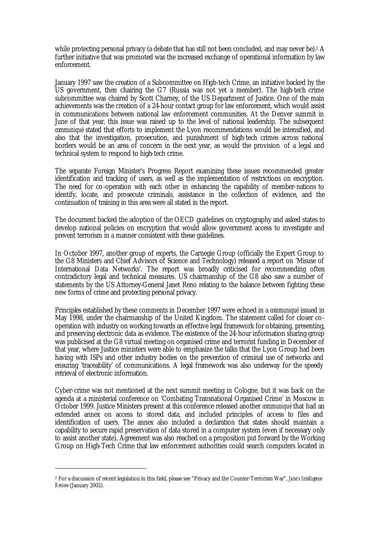while protecting personal privacy (a debate that has still not been concluded, and may never be).<sup>2</sup> A further initiative that was promoted was the increased exchange of operational information by law enforcement.

January 1997 saw the creation of a Subcommittee on High-tech Crime, an initiative backed by the US government, then chairing the G7 (Russia was not yet a member). The high-tech crime subcommittee was chaired by Scott Charney, of the US Department of Justice. One of the main achievements was the creation of a 24-hour contact group for law enforcement, which would assist in communications between national law enforcement communities. At the Denver summit in June of that year, this issue was raised up to the level of national leadership. The subsequent *communiqué* stated that efforts to implement the Lyon recommendations would be intensified, and also that the investigation, prosecution, and punishment of high-tech crimes across national borders would be an area of concern in the next year, as would the provision of a legal and technical system to respond to high-tech crime.

The separate Foreign Minister's Progress Report examining these issues recommended greater identification and tracking of users, as well as the implementation of restrictions on encryption. The need for co-operation with each other in enhancing the capability of member-nations to identify, locate, and prosecute criminals, assistance in the collection of evidence, and the continuation of training in this area were all stated in the report.

The document backed the adoption of the OECD guidelines on cryptography and asked states to develop national policies on encryption that would allow government access to investigate and prevent terrorism in a manner consistent with these guidelines.

In October 1997, another group of experts, the Carnegie Group (officially the Expert Group to the G8 Ministers and Chief Advisors of Science and Technology) released a report on 'Misuse of International Data Networks'. The report was broadly criticised for recommending often contradictory legal and technical measures. US chairmanship of the G8 also saw a number of statements by the US Attorney-General Janet Reno relating to the balance between fighting these new forms of crime and protecting personal privacy.

Principles established by these comments in December 1997 were echoed in a *communiqué* issued in May 1998, under the chairmanship of the United Kingdom. The statement called for closer cooperation with industry on working towards an effective legal framework for obtaining, presenting, and preserving electronic data as evidence. The existence of the 24-hour information sharing group was publicised at the G8 virtual meeting on organised crime and terrorist funding in December of that year, where Justice ministers were able to emphasize the talks that the Lyon Group had been having with ISPs and other industry bodies on the prevention of criminal use of networks and ensuring 'traceability' of communications. A legal framework was also underway for the speedy retrieval of electronic information.

Cyber-crime was not mentioned at the next summit meeting in Cologne, but it was back on the agenda at a ministerial conference on 'Combating Transnational Organised Crime' in Moscow in October 1999. Justice Ministers present at this conference released another *communiqué* that had an extended annex on access to stored data, and included principles of access to files and identification of users. The annex also included a declaration that states should maintain a capability to secure rapid preservation of data stored in a computer system (even if necessary only to assist another state). Agreement was also reached on a proposition put forward by the Working Group on High-Tech Crime that law enforcement authorities could search computers located in

<sup>2</sup> For a discussion of recent legislation in this field, please see "Privacy and the Counter-Terrorism War", *Jane's Intelligence Review* (January 2002).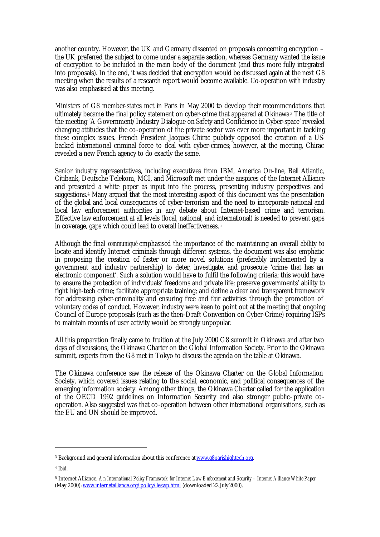another country. However, the UK and Germany dissented on proposals concerning encryption – the UK preferred the subject to come under a separate section, whereas Germany wanted the issue of encryption to be included in the main body of the document (and thus more fully integrated into proposals). In the end, it was decided that encryption would be discussed again at the next G8 meeting when the results of a research report would become available. Co-operation with industry was also emphasised at this meeting.

Ministers of G8 member-states met in Paris in May 2000 to develop their recommendations that ultimately became the final policy statement on cyber-crime that appeared at Okinawa.3 The title of the meeting 'A Government/Industry Dialogue on Safety and Confidence in Cyber-space' revealed changing attitudes that the co-operation of the private sector was ever more important in tackling these complex issues. French President Jacques Chirac publicly opposed the creation of a USbacked international criminal force to deal with cyber-crimes; however, at the meeting, Chirac revealed a new French agency to do exactly the same.

Senior industry representatives, including executives from IBM, America On-line, Bell Atlantic, Citibank, Deutsche Telekom, MCI, and Microsoft met under the auspices of the Internet Alliance and presented a white paper as input into the process, presenting industry perspectives and suggestions.4 Many argued that the most interesting aspect of this document was the presentation of the global and local consequences of cyber-terrorism and the need to incorporate national and local law enforcement authorities in any debate about Internet-based crime and terrorism. Effective law enforcement at all levels (local, national, and international) is needed to prevent gaps in coverage, gaps which could lead to overall ineffectiveness.<sup>5</sup>

Although the final *communiqué* emphasised the importance of the maintaining an overall ability to locate and identify Internet criminals through different systems, the document was also emphatic in proposing the creation of faster or more novel solutions (preferably implemented by a government and industry partnership) to deter, investigate, and prosecute 'crime that has an electronic component'. Such a solution would have to fulfil the following criteria: this would have to ensure the protection of individuals' freedoms and private life; preserve governments' ability to fight high-tech crime; facilitate appropriate training; and define a clear and transparent framework for addressing cyber-criminality and ensuring free and fair activities through the promotion of voluntary codes of conduct. However, industry were keen to point out at the meeting that ongoing Council of Europe proposals (such as the then-Draft Convention on Cyber-Crime) requiring ISPs to maintain records of user activity would be strongly unpopular.

All this preparation finally came to fruition at the July 2000 G8 summit in Okinawa and after two days of discussions, the Okinawa Charter on the Global Information Society. Prior to the Okinawa summit, experts from the G8 met in Tokyo to discuss the agenda on the table at Okinawa.

The Okinawa conference saw the release of the Okinawa Charter on the Global Information Society, which covered issues relating to the social, economic, and political consequences of the emerging information society. Among other things, the Okinawa Charter called for the application of the OECD 1992 guidelines on Information Security and also stronger public–private cooperation. Also suggested was that co-operation between other international organisations, such as the EU and UN should be improved.

<sup>&</sup>lt;sup>3</sup> Background and general information about this conference at <u>www.g8parishightech.org</u>.

<sup>4</sup> *Ibid*.

<sup>5</sup> Internet Alliance, *An International Policy Framework for Internet Law Enforcement and Security – Internet Alliance White Paper*  (May 2000): www.internetalliance.org/policy/leswp.html (downloaded 22 July 2000).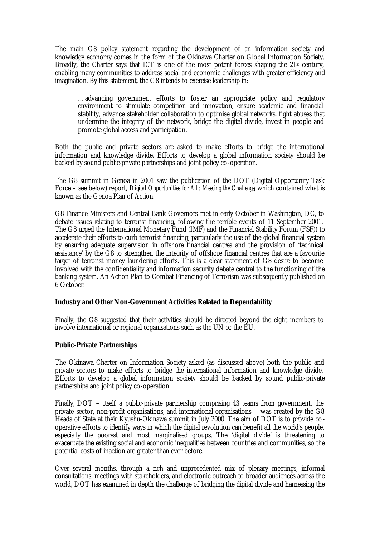The main G8 policy statement regarding the development of an information society and knowledge economy comes in the form of the Okinawa Charter on Global Information Society. Broadly, the Charter says that ICT is one of the most potent forces shaping the  $21<sup>st</sup>$  century, enabling many communities to address social and economic challenges with greater efficiency and imagination. By this statement, the G8 intends to exercise leadership in:

…advancing government efforts to foster an appropriate policy and regulatory environment to stimulate competition and innovation, ensure academic and financial stability, advance stakeholder collaboration to optimise global networks, fight abuses that undermine the integrity of the network, bridge the digital divide, invest in people and promote global access and participation.

Both the public and private sectors are asked to make efforts to bridge the international information and knowledge divide. Efforts to develop a global information society should be backed by sound public-private partnerships and joint policy co-operation.

The G8 summit in Genoa in 2001 saw the publication of the DOT (Digital Opportunity Task Force – see below) report, *Digital Opportunities for All: Meeting the Challenge*, which contained what is known as the Genoa Plan of Action.

G8 Finance Ministers and Central Bank Governors met in early October in Washington, DC, to debate issues relating to terrorist financing, following the terrible events of 11 September 2001. The G8 urged the International Monetary Fund (IMF) and the Financial Stability Forum (FSF)) to accelerate their efforts to curb terrorist financing, particularly the use of the global financial system by ensuring adequate supervision in offshore financial centres and the provision of 'technical assistance' by the G8 to strengthen the integrity of offshore financial centres that are a favourite target of terrorist money laundering efforts. This is a clear statement of G8 desire to become involved with the confidentiality and information security debate central to the functioning of the banking system. An Action Plan to Combat Financing of Terrorism was subsequently published on 6 October.

#### **Industry and Other Non-Government Activities Related to Dependability**

Finally, the G8 suggested that their activities should be directed beyond the eight members to involve international or regional organisations such as the UN or the EU.

#### **Public-Private Partnerships**

The Okinawa Charter on Information Society asked (as discussed above) both the public and private sectors to make efforts to bridge the international information and knowledge divide. Efforts to develop a global information society should be backed by sound public-private partnerships and joint policy co-operation.

Finally, DOT – itself a public-private partnership comprising 43 teams from government, the private sector, non-profit organisations, and international organisations – was created by the G8 Heads of State at their Kyushu-Okinawa summit in July 2000. The aim of DOT is to provide cooperative efforts to identify ways in which the digital revolution can benefit all the world's people, especially the poorest and most marginalised groups. The 'digital divide' is threatening to exacerbate the existing social and economic inequalities between countries and communities, so the potential costs of inaction are greater than ever before.

Over several months, through a rich and unprecedented mix of plenary meetings, informal consultations, meetings with stakeholders, and electronic outreach to broader audiences across the world, DOT has examined in depth the challenge of bridging the digital divide and harnessing the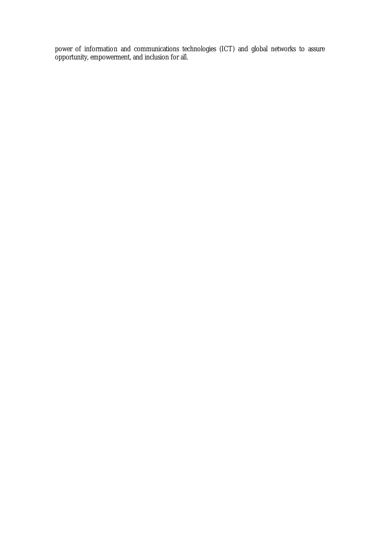power of information and communications technologies (ICT) and global networks to assure opportunity, empowerment, and inclusion for all.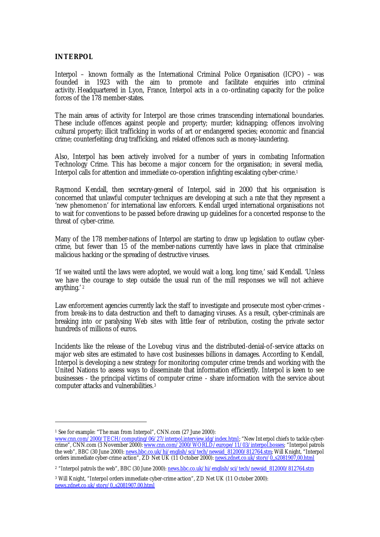## **INTERPOL**

Interpol – known formally as the International Criminal Police Organisation (ICPO) – was founded in 1923 with the aim to promote and facilitate enquiries into criminal activity. Headquartered in Lyon, France, Interpol acts in a co-ordinating capacity for the police forces of the 178 member-states.

The main areas of activity for Interpol are those crimes transcending international boundaries. These include offences against people and property; murder; kidnapping; offences involving cultural property; illicit trafficking in works of art or endangered species; economic and financial crime; counterfeiting; drug trafficking, and related offences such as money-laundering.

Also, Interpol has been actively involved for a number of years in combating Information Technology Crime. This has become a major concern for the organisation; in several media, Interpol calls for attention and immediate co-operation infighting escalating cyber-crime.<sup>1</sup>

Raymond Kendall, then secretary-general of Interpol, said in 2000 that his organisation is concerned that unlawful computer techniques are developing at such a rate that they represent a 'new phenomenon' for international law enforcers. Kendall urged international organisations not to wait for conventions to be passed before drawing up guidelines for a concerted response to the threat of cyber-crime.

Many of the 178 member-nations of Interpol are starting to draw up legislation to outlaw cybercrime, but fewer than 15 of the member-nations currently have laws in place that criminalise malicious hacking or the spreading of destructive viruses.

'If we waited until the laws were adopted, we would wait a long, long time,' said Kendall. 'Unless we have the courage to step outside the usual run of the mill responses we will not achieve anything.' <sup>2</sup>

Law enforcement agencies currently lack the staff to investigate and prosecute most cyber-crimes from break-ins to data destruction and theft to damaging viruses. As a result, cyber-criminals are breaking into or paralysing Web sites with little fear of retribution, costing the private sector hundreds of millions of euros.

Incidents like the release of the Lovebug virus and the distributed-denial-of-service attacks on major web sites are estimated to have cost businesses billions in damages. According to Kendall, Interpol is developing a new strategy for monitoring computer crime trends and working with the United Nations to assess ways to disseminate that information efficiently. Interpol is keen to see businesses - the principal victims of computer crime - share information with the service about computer attacks and vulnerabilities.<sup>3</sup>

<sup>&</sup>lt;sup>1</sup> See for example: "The man from Interpol", CNN.com (27 June 2000):

www.cnn.com/2000/TECH/computing/06/27/interpol.interview.idg/index.html; "New Int erpol chiefs to tackle cybercrime", CNN.com (3 November 2000): www.cnn.com/2000/WORLD/europe/11/03/interpol.bosses; "Interpol patrols the web", BBC (30 June 2000): <u>news.bbc.co.uk/hi/english/sci/tech/newsid\_812000/812764.stm;</u> Will Knight, "Interpol orders immediate cyber-crime action", ZD Net UK (11 October 2000): <u>news.zdnet.co.uk/story/0,,s2081907,00.html</u>

<sup>&</sup>lt;sup>2</sup> "Interpol patrols the web", BBC (30 June 2000): <u>news.bbc.co.uk/hi/english/sci/tech/newsid\_812000/812764.stm</u>

<sup>3</sup> Will Knight, "Interpol orders immediate cyber-crime action", ZD Net UK (11 October 2000): news.zdnet.co.uk/story/0,,s2081907,00.html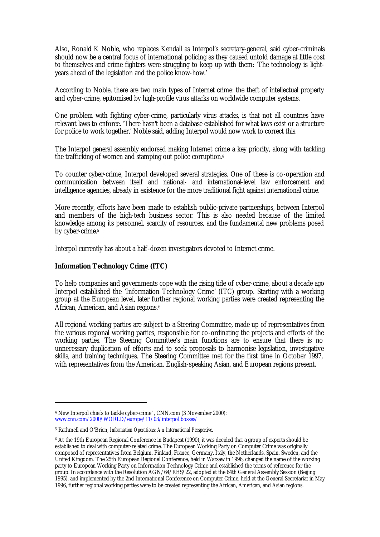Also, Ronald K Noble, who replaces Kendall as Interpol's secretary-general, said cyber-criminals should now be a central focus of international policing as they caused untold damage at little cost to themselves and crime fighters were struggling to keep up with them: 'The technology is lightyears ahead of the legislation and the police know-how.'

According to Noble, there are two main types of Internet crime: the theft of intellectual property and cyber-crime, epitomised by high-profile virus attacks on worldwide computer systems.

One problem with fighting cyber-crime, particularly virus attacks, is that not all countries have relevant laws to enforce. 'There hasn't been a database established for what laws exist or a structure for police to work together,' Noble said, adding Interpol would now work to correct this.

The Interpol general assembly endorsed making Internet crime a key priority, along with tackling the trafficking of women and stamping out police corruption.<sup>4</sup>

To counter cyber-crime, Interpol developed several strategies. One of these is co-operation and communication between itself and national- and international-level law enforcement and intelligence agencies, already in existence for the more traditional fight against international crime.

More recently, efforts have been made to establish public-private partnerships, between Interpol and members of the high-tech business sector. This is also needed because of the limited knowledge among its personnel, scarcity of resources, and the fundamental new problems posed by cyber-crime.<sup>5</sup>

Interpol currently has about a half-dozen investigators devoted to Internet crime.

## **Information Technology Crime (ITC)**

 $\overline{a}$ 

To help companies and governments cope with the rising tide of cyber-crime, about a decade ago Interpol established the 'Information Technology Crime' (ITC) group. Starting with a working group at the European level, later further regional working parties were created representing the African, American, and Asian regions.<sup>6</sup>

All regional working parties are subject to a Steering Committee, made up of representatives from the various regional working parties, responsible for co-ordinating the projects and efforts of the working parties. The Steering Committee's main functions are to ensure that there is no unnecessary duplication of efforts and to seek proposals to harmonise legislation, investigative skills, and training techniques. The Steering Committee met for the first time in October 1997, with representatives from the American, English-speaking Asian, and European regions present.

<sup>4</sup> New Interpol chiefs to tackle cyber-crime", CNN.com (3 November 2000): www.cnn.com/2000/WORLD/europe/11/03/interpol.bosses/

<sup>5</sup> Rathmell and O'Brien, *Information Operations: An International Perspective*.

<sup>6</sup> At the 19th European Regional Conference in Budapest (1990), it was decided that a group of experts should be established to deal with computer-related crime. The European Working Party on Computer Crime was originally composed of representatives from Belgium, Finland, France, Germany, Italy, the Netherlands, Spain, Sweden, and the United Kingdom. The 25th European Regional Conference, held in Warsaw in 1996, changed the name of the working party to European Working Party on Information Technology Crime and established the terms of reference for the group. In accordance with the Resolution AGN/64/RES/22, adopted at the 64th General Assembly Session (Beijing 1995), and implemented by the 2nd International Conference on Computer Crime, held at the General Secretariat in May 1996, further regional working parties were to be created representing the African, American, and Asian regions.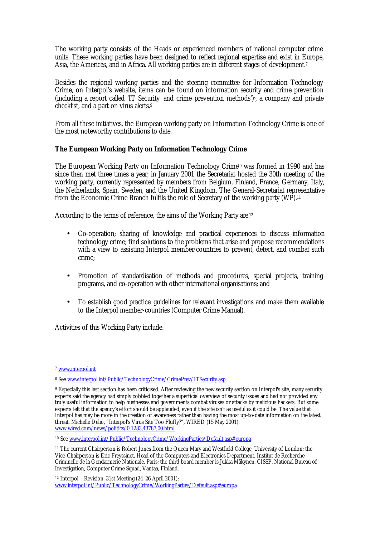The working party consists of the Heads or experienced members of national computer crime units. These working parties have been designed to reflect regional expertise and exist in Europe, Asia, the Americas, and in Africa. All working parties are in different stages of development.<sup>7</sup>

Besides the regional working parties and the steering committee for Information Technology Crime, on Interpol's website, items can be found on information security and crime prevention (including a report called 'IT Security and crime prevention methods')8, a company and private checklist, and a part on virus alerts.<sup>9</sup>

From all these initiatives, the European working party on Information Technology Crime is one of the most noteworthy contributions to date.

## **The European Working Party on Information Technology Crime**

The European Working Party on Information Technology Crime<sup>10</sup> was formed in 1990 and has since then met three times a year; in January 2001 the Secretariat hosted the 30th meeting of the working party, currently represented by members from Belgium, Finland, France, Germany, Italy, the Netherlands, Spain, Sweden, and the United Kingdom. The General-Secretariat representative from the Economic Crime Branch fulfils the role of Secretary of the working party (WP).<sup>11</sup>

According to the terms of reference, the aims of the Working Party are:<sup>12</sup>

- Co-operation; sharing of knowledge and practical experiences to discuss information technology crime; find solutions to the problems that arise and propose recommendations with a view to assisting Interpol member-countries to prevent, detect, and combat such crime;
- Promotion of standardisation of methods and procedures, special projects, training programs, and co-operation with other international organisations; and
- To establish good practice guidelines for relevant investigations and make them available to the Interpol member-countries (Computer Crime Manual).

Activities of this Working Party include:

<sup>7</sup> www.interpol.int

<sup>&</sup>lt;sup>8</sup> See <u>www.interpol.int/Public/TechnologyCrime/CrimePrev/ITSecurity.asp</u>

<sup>9</sup> Especially this last section has been criticised. After reviewing the new security section on Interpol's site, many security experts said the agency had simply cobbled together a superficial overview of security issues and had not provided any truly useful information to help businesses and governments combat viruses or attacks by malicious hackers. But some experts felt that the agency's effort should be applauded, even if the site isn't as useful as it could be. The value that Interpol has may be more in the creation of awareness rather than having the most up-to-date information on the latest threat. Michelle Delio, "Interpol's Virus Site Too Fluffy?", WIRED (15 May 2001): www.wired.com/news/politics/0,1283,43787,00.html

<sup>10</sup> See www.interpol.int/Public/TechnologyCrime/WorkingParties/Default.asp#europa

<sup>11</sup> The current Chairperson is Robert Jones from the Queen Mary and Westfield College, University of London; the Vice-Chairperson is Eric Freyssinet, Head of the Computers and Electronics Department, Institut de Recherche Criminelle de la Gendarmerie Nationale, Paris; the third board member is Jukka Mäkynen, CISSP, National Bureau of Investigation, Computer Crime Squad, Vantaa, Finland.

 $12$  Interpol – Revision, 31st Meeting (24-26 April 2001): www.interpol.int/Public/TechnologyCrime/WorkingParties/Default.asp#europa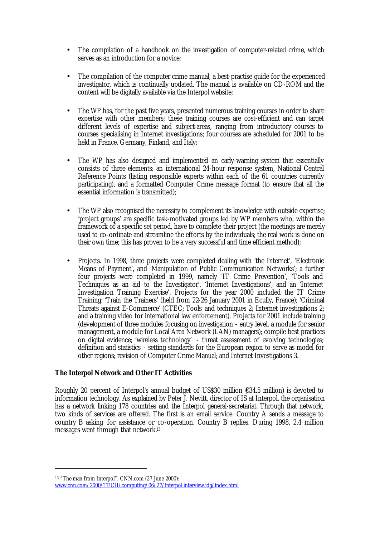- The compilation of a handbook on the investigation of computer-related crime, which serves as an introduction for a novice;
- The compilation of the computer crime manual, a best-practise guide for the experienced investigator, which is continually updated. The manual is available on CD-ROM and the content will be digitally available via the Interpol website;
- The WP has, for the past five years, presented numerous training courses in order to share expertise with other members; these training courses are cost-efficient and can target different levels of expertise and subject-areas, ranging from introductory courses to courses specialising in Internet investigations; four courses are scheduled for 2001 to be held in France, Germany, Finland, and Italy;
- The WP has also designed and implemented an early-warning system that essentially consists of three elements: an international 24-hour response system, National Central Reference Points (listing responsible experts within each of the 61 countries currently participating), and a formatted Computer Crime message format (to ensure that all the essential information is transmitted);
- The WP also recognised the necessity to complement its knowledge with outside expertise; 'project groups' are specific task-motivated groups led by WP members who, within the framework of a specific set period, have to complete their project (the meetings are merely used to co-ordinate and streamline the efforts by the individuals; the real work is done on their own time; this has proven to be a very successful and time efficient method);
- Projects. In 1998, three projects were completed dealing with 'the Internet', 'Electronic Means of Payment', and 'Manipulation of Public Communication Networks'; a further four projects were completed in 1999, namely 'IT Crime Prevention', 'Tools and Techniques as an aid to the Investigator', 'Internet Investigations', and an 'Internet Investigation Training Exercise'. Projects for the year 2000 included the IT Crime Training: 'Train the Trainers' (held from 22-26 January 2001 in Ecully, France); 'Criminal Threats against E-Commerce' (CTEC; Tools and techniques 2; Internet investigations 2; and a training video for international law enforcement). Projects for 2001 include training (development of three modules focusing on investigation - entry level, a module for senior management, a module for Local Area Network (LAN) managers); compile best practices on digital evidence; 'wireless technology' - threat assessment of evolving technologies; definition and statistics - setting standards for the European region to serve as model for other regions; revision of Computer Crime Manual; and Internet Investigations 3.

## **The Interpol Network and Other IT Activities**

 $\overline{a}$ 

Roughly 20 percent of Interpol's annual budget of US\$30 million (€34.5 million) is devoted to information technology. As explained by Peter J. Nevitt, director of IS at Interpol, the organisation has a network linking 178 countries and the Interpol general-secretariat. Through that network, two kinds of services are offered. The first is an email service. Country A sends a message to country B asking for assistance or co-operation. Country B replies. During 1998, 2.4 million messages went through that network.<sup>13</sup>

<sup>13</sup> "The man from Interpol", CNN.com (27 June 2000): www.cnn.com/2000/TECH/computing/06/27/interpol.interview.idg/index.html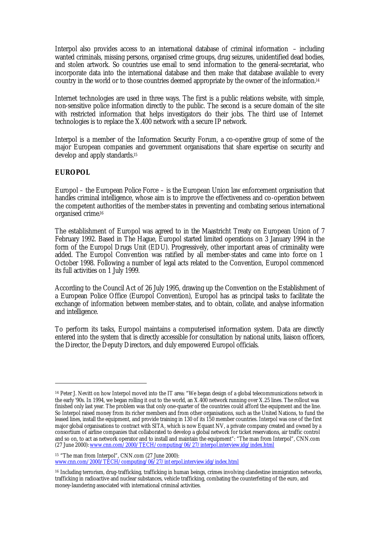Interpol also provides access to an international database of criminal information – including wanted criminals, missing persons, organised crime groups, drug seizures, unidentified dead bodies, and stolen artwork. So countries use email to send information to the general-secretariat, who incorporate data into the international database and then make that database available to every country in the world or to those countries deemed appropriate by the owner of the information.<sup>14</sup>

Internet technologies are used in three ways. The first is a public relations website, with simple, non-sensitive police information directly to the public. The second is a secure domain of the site with restricted information that helps investigators do their jobs. The third use of Internet technologies is to replace the X.400 network with a secure IP network.

Interpol is a member of the Information Security Forum, a co-operative group of some of the major European companies and government organisations that share expertise on security and develop and apply standards.<sup>15</sup>

## **EUROPOL**

 $\overline{a}$ 

Europol – the European Police Force – is the European Union law enforcement organisation that handles criminal intelligence, whose aim is to improve the effectiveness and co-operation between the competent authorities of the member-states in preventing and combating serious international organised crime. 16

The establishment of Europol was agreed to in the Maastricht Treaty on European Union of 7 February 1992. Based in The Hague, Europol started limited operations on 3 January 1994 in the form of the Europol Drugs Unit (EDU). Progressively, other important areas of criminality were added. The Europol Convention was ratified by all member-states and came into force on 1 October 1998. Following a number of legal acts related to the Convention, Europol commenced its full activities on 1 July 1999.

According to the Council Act of 26 July 1995, drawing up the Convention on the Establishment of a European Police Office (Europol Convention), Europol has as principal tasks to facilitate the exchange of information between member-states, and to obtain, collate, and analyse information and intelligence.

To perform its tasks, Europol maintains a computerised information system. Data are directly entered into the system that is directly accessible for consultation by national units, liaison officers, the Director, the Deputy Directors, and duly empowered Europol officials.

<sup>15</sup> "The man from Interpol", CNN.com (27 June 2000): www.cnn.com/2000/TECH/computing/06/27/int erpol.interview.idg/index.html

<sup>14</sup> Peter J. Nevitt on how Interpol moved into the IT area: "We began design of a global telecommunications network in the early '90s. In 1994, we began rolling it out to the world, an X.400 network running over X.25 lines. The rollout was finished only last year. The problem was that only one-quarter of the countries could afford the equipment and the line. So Interpol raised money from its richer members and from other organisations, such as the United Nations, to fund the leased lines, install the equipment, and provide training in 130 of its 150 member countries. Interpol was one of the first major global organisations to contract with SITA, which is now Equant NV, a private company created and owned by a consortium of airline companies that collaborated to develop a global network for ticket reservations, air traffic control and so on, to act as network operator and to install and maintain the equipment": "The man from Interpol", CNN.com (27 June 2000): www.cnn.com/2000/TECH/computing/06/27/interpol.interview.idg/index.html

<sup>16</sup> Including terrorism, drug-trafficking, trafficking in human beings, crimes involving clandestine immigration networks, trafficking in radioactive and nuclear substances, vehicle trafficking, combating the counterfeiting of the euro, and money-laundering associated with international criminal activities.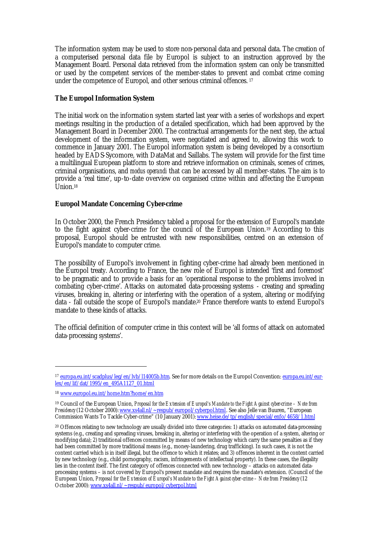The information system may be used to store non-personal data and personal data. The creation of a computerised personal data file by Europol is subject to an instruction approved by the Management Board. Personal data retrieved from the information system can only be transmitted or used by the competent services of the member-states to prevent and combat crime coming under the competence of Europol, and other serious criminal offences. <sup>17</sup>

# **The Europol Information System**

The initial work on the information system started last year with a series of workshops and expert meetings resulting in the production of a detailed specification, which had been approved by the Management Board in December 2000. The contractual arrangements for the next step, the actual development of the information system, were negotiated and agreed to, allowing this work to commence in January 2001. The Europol information system is being developed by a consortium headed by EADS-Sycomore, with DataMat and Saillabs. The system will provide for the first time a multilingual European platform to store and retrieve information on criminals, scenes of crimes, criminal organisations, and *modus operandi* that can be accessed by all member-states. The aim is to provide a 'real time', up-to-date overview on organised crime within and affecting the European  $\overline{I}$  Inion 18

## **Europol Mandate Concerning Cyber-crime**

In October 2000, the French Presidency tabled a proposal for the extension of Europol's mandate to the fight against cyber-crime for the council of the European Union.19 According to this proposal, Europol should be entrusted with new responsibilities, centred on an extension of Europol's mandate to computer crime.

The possibility of Europol's involvement in fighting cyber-crime had already been mentioned in the Europol treaty. According to France, the new role of Europol is intended 'first and foremost' to be pragmatic and to provide a basis for an 'operational response to the problems involved in combating cyber-crime'. Attacks on automated data-processing systems - creating and spreading viruses, breaking in, altering or interfering with the operation of a system, altering or modifying data - fall outside the scope of Europol's mandate.20 France therefore wants to extend Europol's mandate to these kinds of attacks.

The official definition of computer crime in this context will be 'all forms of attack on automated data-processing systems'.

<sup>&</sup>lt;sup>17</sup> europa.eu.int/scadplus/leg/en/lvb/l14005b.htm. See for more details on the Europol Convention: europa.eu.int/eurlex/en/lif/dat/1995/en\_495A1127\_01.html

<sup>18</sup> www.europol.eu.int/home.htm?home/en.htm

<sup>19</sup> Council of the European Union, *Proposal for the Extension of Europol's Mandate to the Fight Against cyber-crime – Note from Presidency* (12 October 2000): www.xs4all.nl/~respub/europol/cyberpol.html. See also Jelle van Buuren, "European Commission Wants To Tackle Cyber-crime" (10 January 2001): www.heise.de/tp/english/special/enfo/4658/1.html

<sup>20</sup> Offences relating to new technology are usually divided into three categories: 1) attacks on automated data-processing systems (e.g., creating and spreading viruses, breaking in, altering or interfering with the operation of a system, altering or modifying data); 2) traditional offences committed by means of new technology which carry the same penalties as if they had been committed by more traditional means (e.g., money-laundering, drug trafficking). In such cases, it is not the content carried which is in itself illegal, but the offence to which it relates; and 3) offences inherent in the content carried by new technology (e.g., child pornography, racism, infringements of intellectual property). In these cases, the illegality lies in the content itself. The first category of offences connected with new technology – attacks on automated dataprocessing systems – is not covered by Europol's present mandate and requires the mandate's extension. (Council of the European Union, *Proposal for the Extension of Europol's Mandate to the Fight Against cyber-crime – Note from Presidency* (12 October 2000): www.xs4all.nl/~respub/europol/cyberpol.html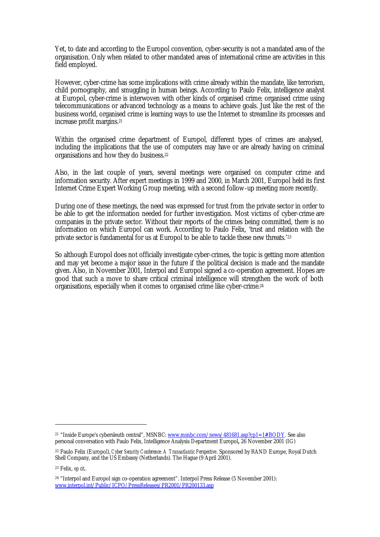Yet, to date and according to the Europol convention, cyber-security is not a mandated area of the organisation. Only when related to other mandated areas of international crime are activities in this field employed.

However, cyber-crime has some implications with crime already within the mandate, like terrorism, child pornography, and smuggling in human beings. According to Paulo Felix, intelligence analyst at Europol, cyber-crime is interwoven with other kinds of organised crime; organised crime using telecommunications or advanced technology as a means to achieve goals. Just like the rest of the business world, organised crime is learning ways to use the Internet to streamline its processes and increase profit margins.<sup>21</sup>

Within the organised crime department of Europol, different types of crimes are analysed, including the implications that the use of computers may have or are already having on criminal organisations and how they do business.<sup>22</sup>

Also, in the last couple of years, several meetings were organised on computer crime and information security. After expert meetings in 1999 and 2000, in March 2001, Europol held its first Internet Crime Expert Working Group meeting, with a second follow-up meeting more recently.

During one of these meetings, the need was expressed for trust from the private sector in order to be able to get the information needed for further investigation. Most victims of cyber-crime are companies in the private sector. Without their reports of the crimes being committed, there is no information on which Europol can work. According to Paulo Felix, 'trust and relation with the private sector is fundamental for us at Europol to be able to tackle these new threats.'<sup>23</sup>

So although Europol does not officially investigate cyber-crimes, the topic is getting more attention and may yet become a major issue in the future if the political decision is made and the mandate given. Also, in November 2001, Interpol and Europol signed a co-operation agreement. Hopes are good that such a move to share critical criminal intelligence will strengthen the work of both organisations, especially when it comes to organised crime like cyber-crime.<sup>24</sup>

<sup>21</sup> "Inside Europe's cybersleuth central", MSNBC: www.msnbc.com/news/481681.asp?cp1=1#BODY. See also personal conversation with Paulo Felix, Intelligence Analysis Department Europol**,** 26 November 2001 (IG)

<sup>22</sup> Paulo Felix (Europol), *Cyber Security Conference: A Transatlantic Perspective*. Sponsored by RAND Europe, Royal Dutch Shell Company, and the US Embassy (Netherlands). The Hague (9 April 2001).

<sup>23</sup> Felix, *op cit*.*.*

<sup>24</sup> "Interpol and Europol sign co-operation agreement". Interpol Press Release (5 November 2001): www.interpol.int/Public/ICPO/PressReleases/PR2001/PR200133.asp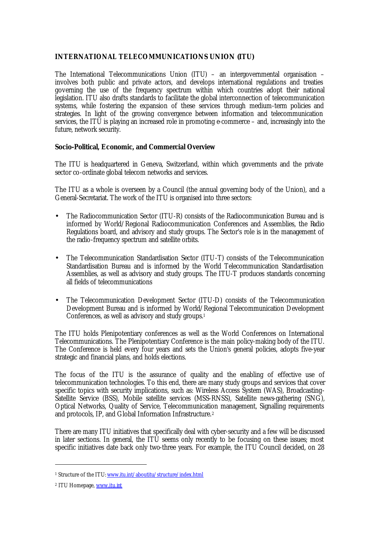# **INTERNATIONAL TELECOMMUNICATIONS UNION (ITU)**

The International Telecommunications Union (ITU) – an intergovernmental organisation – involves both public and private actors, and develops international regulations and treaties governing the use of the frequency spectrum within which countries adopt their national legislation. ITU also drafts standards to facilitate the global interconnection of telecommunication systems, while fostering the expansion of these services through medium-term policies and strategies. In light of the growing convergence between information and telecommunication services, the ITU is playing an increased role in promoting e-commerce – and, increasingly into the future, network security.

## **Socio-Political, Economic, and Commercial Overview**

The ITU is headquartered in Geneva, Switzerland, within which governments and the private sector co-ordinate global telecom networks and services.

The ITU as a whole is overseen by a Council (the annual governing body of the Union), and a General-Secretariat. The work of the ITU is organised into three sectors:

- The Radiocommunication Sector (ITU-R) consists of the Radiocommunication Bureau and is informed by World/Regional Radiocommunication Conferences and Assemblies, the Radio Regulations board, and advisory and study groups. The Sector's role is in the management of the radio-frequency spectrum and satellite orbits.
- The Telecommunication Standardisation Sector (ITU-T) consists of the Telecommunication Standardisation Bureau and is informed by the World Telecommunication Standardisation Assemblies, as well as advisory and study groups. The ITU-T produces standards concerning all fields of telecommunications
- The Telecommunication Development Sector (ITU-D) consists of the Telecommunication Development Bureau and is informed by World/Regional Telecommunication Development Conferences, as well as advisory and study groups.<sup>1</sup>

The ITU holds Plenipotentiary conferences as well as the World Conferences on International Telecommunications. The Plenipotentiary Conference is the main policy-making body of the ITU. The Conference is held every four years and sets the Union's general policies, adopts five-year strategic and financial plans, and holds elections.

The focus of the ITU is the assurance of quality and the enabling of effective use of telecommunication technologies. To this end, there are many study groups and services that cover specific topics with security implications, such as: Wireless Access System (WAS), Broadcasting-Satellite Service (BSS), Mobile satellite services (MSS-RNSS), Satellite news-gathering (SNG), Optical Networks, Quality of Service, Telecommunication management, Signalling requirements and protocols, IP, and Global Information Infrastructure.<sup>2</sup>

There are many ITU initiatives that specifically deal with cyber-security and a few will be discussed in later sections. In general, the ITU seems only recently to be focusing on these issues; most specific initiatives date back only two-three years. For example, the ITU Council decided, on 28

<sup>&</sup>lt;sup>1</sup> Structure of the ITU: <u>www.itu.int/aboutitu/structure/index.html</u>

<sup>&</sup>lt;sup>2</sup> ITU Homepage, <u>www.itu.int</u>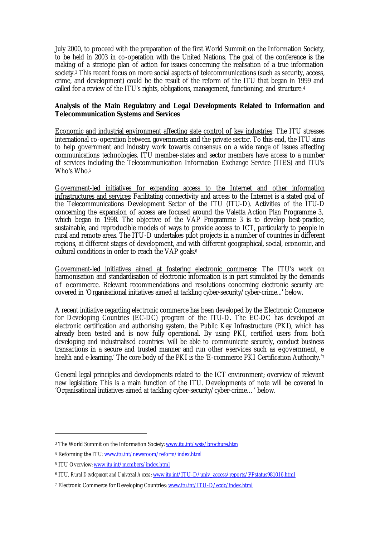July 2000, to proceed with the preparation of the first World Summit on the Information Society, to be held in 2003 in co-operation with the United Nations. The goal of the conference is the making of a strategic plan of action for issues concerning the realisation of a true information society.<sup>3</sup> This recent focus on more social aspects of telecommunications (such as security, access, crime, and development) could be the result of the reform of the ITU that began in 1999 and called for a review of the ITU's rights, obligations, management, functioning, and structure.<sup>4</sup>

# **Analysis of the Main Regulatory and Legal Developments Related to Information and Telecommunication Systems and Services**

Economic and industrial environment affecting state control of key industries: The ITU stresses international co-operation between governments and the private sector. To this end, the ITU aims to help government and industry work towards consensus on a wide range of issues affecting communications technologies. ITU member-states and sector members have access to a number of services including the Telecommunication Information Exchange Service (TIES) and ITU's Who's Who.<sup>5</sup>

Government-led initiatives for expanding access to the Internet and other information infrastructures and services: Facilitating connectivity and access to the Internet is a stated goal of the Telecommunications Development Sector of the ITU (ITU-D). Activities of the ITU-D concerning the expansion of access are focused around the Valetta Action Plan Programme 3, which began in 1998. The objective of the VAP Programme 3 is to develop best-practice, sustainable, and reproducible models of ways to provide access to ICT, particularly to people in rural and remote areas. The ITU-D undertakes pilot projects in a number of countries in different regions, at different stages of development, and with different geographical, social, economic, and cultural conditions in order to reach the VAP goals.<sup>6</sup>

Government-led initiatives aimed at fostering electronic commerce: The ITU's work on harmonisation and standardisation of electronic information is in part stimulated by the demands of e-commerce. Relevant recommendations and resolutions concerning electronic security are covered in 'Organisational initiatives aimed at tackling cyber-security/cyber-crime...' below.

A recent initiative regarding electronic commerce has been developed by the Electronic Commerce for Developing Countries (EC-DC) program of the ITU-D. The EC-DC has developed an electronic certification and authorising system, the Public Key Infrastructure (PKI), which has already been tested and is now fully operational. By using PKI, certified users from both developing and industrialised countries 'will be able to communicate securely, conduct business transactions in a secure and trusted manner and run other eservices such as egovernment, ehealth and e-learning.' The core body of the PKI is the 'E-commerce PKI Certification Authority.'7

General legal principles and developments related to the ICT environment; overview of relevant new legislation: This is a main function of the ITU. Developments of note will be covered in 'Organisational initiatives aimed at tackling cyber-security/cyber-crime…' below.

<sup>&</sup>lt;sup>3</sup> The World Summit on the Information Society: <u>www.itu.int/wsis/brochure.htm</u>

<sup>&</sup>lt;sup>4</sup> Reforming the ITU: <u>www.itu.int/newsroom/reform/index.html</u>

<sup>&</sup>lt;sup>5</sup> ITU Overview: <u>www.itu.int/members/index.html</u>

<sup>6</sup> ITU, *Rural Development and Universal Access*: www.itu.int/ITU-D/univ\_access/reports/PPstatus981016.html

<sup>&</sup>lt;sup>7</sup> Electronic Commerce for Developing Countries: www.itu.int/ITU-D/ecdc/index.html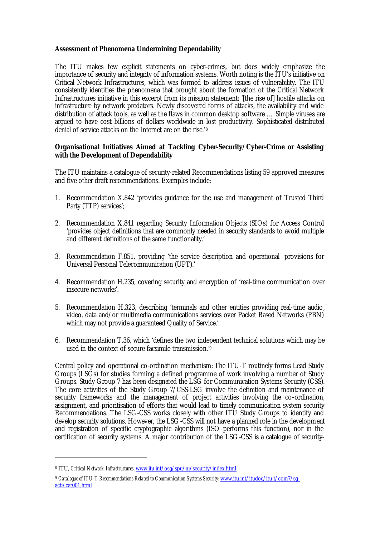## **Assessment of Phenomena Undermining Dependability**

The ITU makes few explicit statements on cyber-crimes, but does widely emphasize the importance of security and integrity of information systems. Worth noting is the ITU's initiative on Critical Network Infrastructures, which was formed to address issues of vulnerability. The ITU consistently identifies the phenomena that brought about the formation of the Critical Network Infrastructures initiative in this excerpt from its mission statement: '[the rise of] hostile attacks on infrastructure by network predators. Newly discovered forms of attacks, the availability and wide distribution of attack tools, as well as the flaws in common desktop software … Simple viruses are argued to have cost billions of dollars worldwide in lost productivity. Sophisticated distributed denial of service attacks on the Internet are on the rise.'<sup>8</sup>

## **Organisational Initiatives Aimed at Tackling Cyber-Security/Cyber-Crime or Assisting with the Development of Dependability**

The ITU maintains a catalogue of security-related Recommendations listing 59 approved measures and five other draft recommendations. Examples include:

- 1. Recommendation X.842 'provides guidance for the use and management of Trusted Third Party (TTP) services';
- 2. Recommendation X.841 regarding Security Information Objects (SIOs) for Access Control 'provides object definitions that are commonly needed in security standards to avoid multiple and different definitions of the same functionality.'
- 3. Recommendation F.851, providing 'the service description and operational provisions for Universal Personal Telecommunication (UPT).'
- 4. Recommendation H.235, covering security and encryption of 'real-time communication over insecure networks'.
- 5. Recommendation H.323, describing 'terminals and other entities providing real-time audio, video, data and/or multimedia communications services over Packet Based Networks (PBN) which may not provide a guaranteed Quality of Service.'
- 6. Recommendation T.36, which 'defines the two independent technical solutions which may be used in the context of secure facsimile transmission.<sup>'9</sup>

Central policy and operational co-ordination mechanism: The ITU-T routinely forms Lead Study Groups (LSGs) for studies forming a defined programme of work involving a number of Study Groups. Study Group 7 has been designated the LSG for Communication Systems Security (CSS). The core activities of the Study Group 7/CSS-LSG involve the definition and maintenance of security frameworks and the management of project activities involving the co-ordination, assignment, and prioritisation of efforts that would lead to timely communication system security Recommendations. The LSG-CSS works closely with other ITU Study Groups to identify and develop security solutions. However, the LSG-CSS will not have a planned role in the development and registration of specific cryptographic algorithms (ISO performs this function), nor in the certification of security systems. A major contribution of the LSG-CSS is a catalogue of security-

<sup>8</sup> ITU, *Critical Network Infrastructures*. www.itu.int/osg/spu/ni/security/index.html

<sup>&</sup>lt;sup>9</sup> Catalogue of ITU-T Recommendations Related to Communication Systems Security: www.itu.int/itudoc/itu-t/com7/sgacti/cat001.html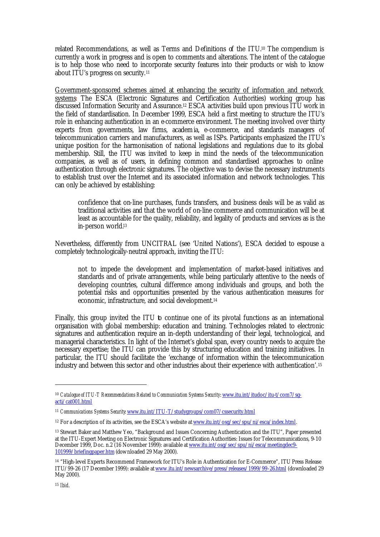related Recommendations, as well as Terms and Definitions of the ITU.10 The compendium is currently a work in progress and is open to comments and alterations. The intent of the catalogue is to help those who need to incorporate security features into their products or wish to know about ITU's progress on security.<sup>11</sup>

Government-sponsored schemes aimed at enhancing the security of information and network systems: The ESCA (Electronic Signatures and Certification Authorities) working group has discussed Information Security and Assurance.12 ESCA activities build upon previous ITU work in the field of standardisation. In December 1999, ESCA held a first meeting to structure the ITU's role in enhancing authentication in an e-commerce environment. The meeting involved over thirty experts from governments, law firms, academia, e-commerce, and standards managers of telecommunication carriers and manufacturers, as well as ISPs. Participants emphasized the ITU's unique position for the harmonisation of national legislations and regulations due to its global membership. Still, the ITU was invited to keep in mind the needs of the telecommunication companies, as well as of users, in defining common and standardised approaches to online authentication through electronic signatures. The objective was to devise the necessary instruments to establish trust over the Internet and its associated information and network technologies. This can only be achieved by establishing:

confidence that on-line purchases, funds transfers, and business deals will be as valid as traditional activities and that the world of on-line commerce and communication will be at least as accountable for the quality, reliability, and legality of products and services as is the in-person world.<sup>13</sup>

Nevertheless, differently from UNCITRAL (see 'United Nations'), ESCA decided to espouse a completely technologically-neutral approach, inviting the ITU:

not to impede the development and implementation of market-based initiatives and standards and of private arrangements, while being particularly attentive to the needs of developing countries, cultural difference among individuals and groups, and both the potential risks and opportunities presented by the various authentication measures for economic, infrastructure, and social development.<sup>14</sup>

Finally, this group invited the ITU to continue one of its pivotal functions as an international organisation with global membership: education and training. Technologies related to electronic signatures and authentication require an in-depth understanding of their legal, technological, and managerial characteristics. In light of the Internet's global span, every country needs to acquire the necessary expertise; the ITU can provide this by structuring education and training initiatives. In particular, the ITU should facilitate the 'exchange of information within the telecommunication industry and between this sector and other industries about their experience with authentication'.<sup>15</sup>

<sup>10</sup> *Catalogue of ITU-T Recommendations Related to Communication Systems Security*: www.itu.int/itudoc/itu-t/com7/sgacti/cat001.html

<sup>11</sup> *Communications Systems Security*: www.itu.int/ITU-T/studygroups/com07/cssecurity.html

<sup>&</sup>lt;sup>12</sup> For a description of its activities, see the ESCA's website at www.itu.int/osg/sec/spu/ni/esca/index.html.

<sup>13</sup> Stewart Baker and Matthew Yeo, "Background and Issues Concerning Authentication and the ITU", Paper presented at the ITU-Expert Meeting on Electronic Signatures and Certification Authorities: Issues for Telecommunications, 9-10 December 1999, Doc. n.2 (16 November 1999): available at www.itu.int/osg/sec/spu/ni/esca/meetingdec9-101999/briefingpaper.htm (downloaded 29 May 2000).

<sup>14</sup> "High-level Experts Recommend Framework for ITU's Role in Authentication for E-Commerce", ITU Press Release ITU/99-26 (17 December 1999): available at www.itu.int/newsarchive/press/releases/1999/99-26.html (downloaded 29 May 2000).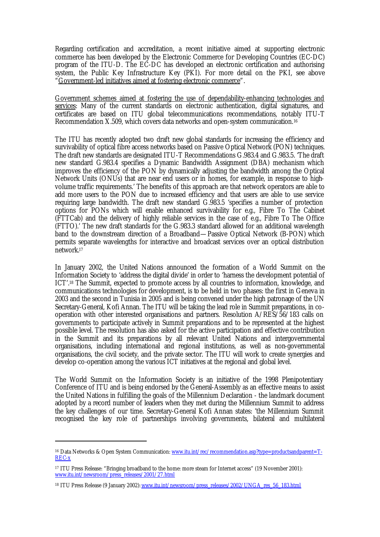Regarding certification and accreditation, a recent initiative aimed at supporting electronic commerce has been developed by the Electronic Commerce for Developing Countries (EC-DC) program of the ITU-D. The EC-DC has developed an electronic certification and authorising system, the Public Key Infrastructure Key (PKI). For more detail on the PKI, see above "Government-led initiatives aimed at fostering electronic commerce".

Government schemes aimed at fostering the use of dependability-enhancing technologies and services: Many of the current standards on electronic authentication, digital signatures, and certificates are based on ITU global telecommunications recommendations, notably ITU-T Recommendation X.509, which covers data networks and open-system communication.<sup>16</sup>

The ITU has recently adopted two draft new global standards for increasing the efficiency and survivability of optical fibre access networks based on Passive Optical Network (PON) techniques. The draft new standards are designated ITU-T Recommendations G.983.4 and G.983.5. 'The draft new standard G.983.4 specifies a Dynamic Bandwidth Assignment (DBA) mechanism which improves the efficiency of the PON by dynamically adjusting the bandwidth among the Optical Network Units (ONUs) that are near end users or in homes, for example, in response to highvolume traffic requirements.' The benefits of this approach are that network operators are able to add more users to the PON due to increased efficiency and that users are able to use service requiring large bandwidth. The draft new standard G.983.5 'specifies a number of protection options for PONs which will enable enhanced survivability for e.g., Fibre To The Cabinet (FTTCab) and the delivery of highly reliable services in the case of e.g., Fibre To The Office (FTTO).' The new draft standards for the G.983.3 standard allowed for an additional wavelength band to the downstream direction of a Broadband—Passive Optical Network (B-PON) which permits separate wavelengths for interactive and broadcast services over an optical distribution network.<sup>17</sup>

In January 2002, the United Nations announced the formation of a World Summit on the Information Society to 'address the digital divide' in order to 'harness the development potential of ICT'.18 The Summit, expected to promote access by all countries to information, knowledge, and communications technologies for development, is to be held in two phases: the first in Geneva in 2003 and the second in Tunisia in 2005 and is being convened under the high patronage of the UN Secretary-General, Kofi Annan. The ITU will be taking the lead role in Summit preparations, in cooperation with other interested organisations and partners. Resolution A/RES/56/183 calls on governments to participate actively in Summit preparations and to be represented at the highest possible level. The resolution has also asked for the active participation and effective contribution in the Summit and its preparations by all relevant United Nations and intergovernmental organisations, including international and regional institutions, as well as non-governmental organisations, the civil society, and the private sector. The ITU will work to create synergies and develop co-operation among the various ICT initiatives at the regional and global level.

The World Summit on the Information Society is an initiative of the 1998 Plenipotentiary Conference of ITU and is being endorsed by the General-Assembly as an effective means to assist the United Nations in fulfilling the goals of the Millennium Declaration - the landmark document adopted by a record number of leaders when they met during the Millennium Summit to address the key challenges of our time. Secretary-General Kofi Annan states: 'the Millennium Summit recognised the key role of partnerships involving governments, bilateral and multilateral

<sup>&</sup>lt;sup>16</sup> Data Networks & Open System Communication: www.itu.int/rec/recommendation.asp?type=productsandparent=T-REC-x

<sup>17</sup> ITU Press Release: "Bringing broadband to the home: more steam for Internet access" (19 November 2001): www.itu.int/newsroom/press\_releases/2001/27.html

<sup>&</sup>lt;sup>18</sup> ITU Press Release (9 January 2002): www.itu.int/newsroom/press\_releases/2002/UNGA\_res\_56\_183.html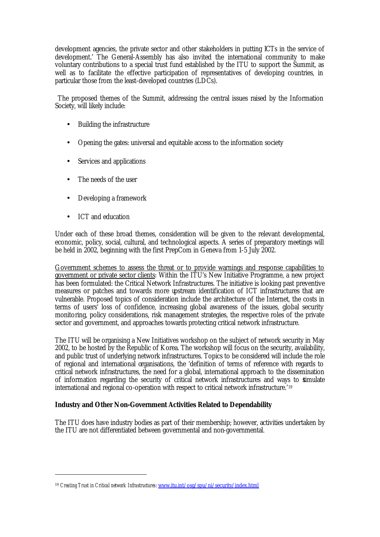development agencies, the private sector and other stakeholders in putting ICTs in the service of development.' The General-Assembly has also invited the international community to make voluntary contributions to a special trust fund established by the ITU to support the Summit, as well as to facilitate the effective participation of representatives of developing countries, in particular those from the least-developed countries (LDCs).

 The proposed themes of the Summit, addressing the central issues raised by the Information Society, will likely include:

- Building the infrastructure
- Opening the gates: universal and equitable access to the information society
- Services and applications
- The needs of the user
- Developing a framework
- ICT and education

 $\overline{a}$ 

Under each of these broad themes, consideration will be given to the relevant developmental, economic, policy, social, cultural, and technological aspects. A series of preparatory meetings will be held in 2002, beginning with the first PrepCom in Geneva from 1-5 July 2002.

Government schemes to assess the threat or to provide warnings and response capabilities to government or private sector clients: Within the ITU's New Initiative Programme, a new project has been formulated: the Critical Network Infrastructures. The initiative is looking past preventive measures or patches and towards more upstream identification of ICT infrastructures that are vulnerable. Proposed topics of consideration include the architecture of the Internet, the costs in terms of users' loss of confidence, increasing global awareness of the issues, global security monitoring, policy considerations, risk management strategies, the respective roles of the private sector and government, and approaches towards protecting critical network infrastructure.

The ITU will be organising a New Initiatives workshop on the subject of network security in May 2002, to be hosted by the Republic of Korea. The workshop will focus on the security, availability, and public trust of underlying network infrastructures. Topics to be considered will include the role of regional and international organisations, the 'definition of terms of reference with regards to critical network infrastructures, the need for a global, international approach to the dissemination of information regarding the security of critical network infrastructures and ways to stimulate international and regional co-operation with respect to critical network infrastructure.'<sup>19</sup>

# **Industry and Other Non-Government Activities Related to Dependability**

The ITU does have industry bodies as part of their membership; however, activities undertaken by the ITU are not differentiated between governmental and non-governmental.

<sup>19</sup> *Creating Trust in Critical network Infrastructures*: www.itu.int/osg/spu/ni/security/index.html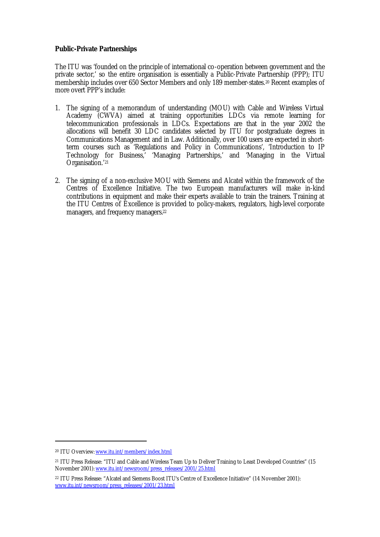## **Public-Private Partnerships**

The ITU was 'founded on the principle of international co-operation between government and the private sector,' so the entire organisation is essentially a Public-Private Partnership (PPP); ITU membership includes over 650 Sector Members and only 189 member-states.20 Recent examples of more overt PPP's include:

- 1. The signing of a memorandum of understanding (MOU) with Cable and Wireless Virtual Academy (CWVA) aimed at training opportunities LDCs via remote learning for telecommunication professionals in LDCs. Expectations are that in the year 2002 the allocations will benefit 30 LDC candidates selected by ITU for postgraduate degrees in Communications Management and in Law. Additionally, over 100 users are expected in shortterm courses such as 'Regulations and Policy in Communications', 'Introduction to IP Technology for Business,' 'Managing Partnerships,' and 'Managing in the Virtual Organisation.' 21
- 2. The signing of a non-exclusive MOU with Siemens and Alcatel within the framework of the Centres of Excellence Initiative. The two European manufacturers will make in-kind contributions in equipment and make their experts available to train the trainers. Training at the ITU Centres of Excellence is provided to policy-makers, regulators, high-level corporate managers, and frequency managers.<sup>22</sup>

<sup>20</sup> ITU Overview: www.itu.int/members/index.html

<sup>21</sup> ITU Press Release: "ITU and Cable and Wireless Team Up to Deliver Training to Least Developed Countries" (15 November 2001): www.itu.int/newsroom/press\_releases/2001/25.html

<sup>22</sup> ITU Press Release: "Alcatel and Siemens Boost ITU's Centre of Excellence Initiative" (14 November 2001): www.itu.int/newsroom/press\_releases/2001/23.html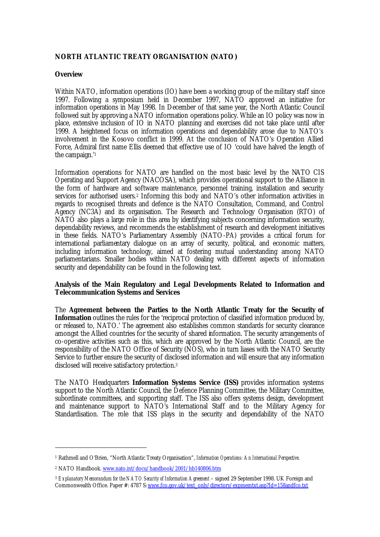# **NORTH ATLANTIC TREATY ORGANISATION (NATO)**

### **Overview**

Within NATO, information operations (IO) have been a working group of the military staff since 1997. Following a symposium held in December 1997, NATO approved an initiative for information operations in May 1998. In December of that same year, the North Atlantic Council followed suit by approving a NATO information operations policy. While an IO policy was now in place, extensive inclusion of IO in NATO planning and exercises did not take place until after 1999. A heightened focus on information operations and dependability arose due to NATO's involvement in the Kosovo conflict in 1999. At the conclusion of NATO's Operation Allied Force, Admiral first name Ellis deemed that effective use of IO 'could have halved the length of the campaign.'<sup>1</sup>

Information operations for NATO are handled on the most basic level by the NATO CIS Operating and Support Agency (NACOSA), which provides operational support to the Alliance in the form of hardware and software maintenance, personnel training, installation and security services for authorised users.<sup>2</sup> Informing this body and NATO's other information activities in regards to recognised threats and defence is the NATO Consultation, Command, and Control Agency (NC3A) and its organisation. The Research and Technology Organisation (RTO) of NATO also plays a large role in this area by identifying subjects concerning information security, dependability reviews, and recommends the establishment of research and development initiatives in these fields. NATO's Parliamentary Assembly (NATO-PA) provides a critical forum for international parliamentary dialogue on an array of security, political, and economic matters, including information technology, aimed at fostering mutual understanding among NATO parliamentarians. Smaller bodies within NATO dealing with different aspects of information security and dependability can be found in the following text.

### **Analysis of the Main Regulatory and Legal Developments Related to Information and Telecommunication Systems and Services**

The **Agreement between the Parties to the North Atlantic Treaty for the Security of Information** outlines the rules for the 'reciprocal protection of classified information produced by, or released to, NATO.' The agreement also establishes common standards for security clearance amongst the Allied countries for the security of shared information. The security arrangements of co-operative activities such as this, which are approved by the North Atlantic Council, are the responsibility of the NATO Office of Security (NOS), who in turn liases with the NATO Security Service to further ensure the security of disclosed information and will ensure that any information disclosed will receive satisfactory protection.<sup>3</sup>

The NATO Headquarters **Information Systems Service (ISS)** provides information systems support to the North Atlantic Council, the Defence Planning Committee, the Military Committee, subordinate committees, and supporting staff. The ISS also offers systems design, development and maintenance support to NATO's International Staff and to the Military Agency for Standardisation. The role that ISS plays in the security and dependability of the NATO

<sup>1</sup> Rathmell and O'Brien, "North Atlantic Treaty Organisation", *Information Operations: An International Perspective*.

<sup>&</sup>lt;sup>2</sup> NATO Handbook. <u>www.nato.int/docu/handbook/2001/hb140806.htm</u>

<sup>&</sup>lt;sup>3</sup> Explanatory Memorandum for the NATO Security of Information Agreement – signed 29 September 1998. UK Foreign and Commonwealth Office. Paper #: 4787 S: www.fco.gov.uk/text\_only/directory/expmemtxt.asp?Id=158andfco.txt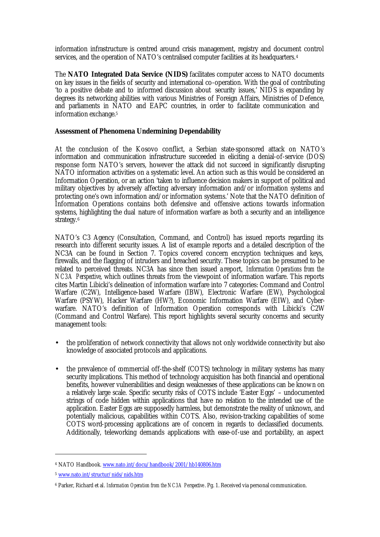information infrastructure is centred around crisis management, registry and document control services, and the operation of NATO's centralised computer facilities at its headquarters.<sup>4</sup>

The **NATO Integrated Data Service (NIDS)** facilitates computer access to NATO documents on key issues in the fields of security and international co-operation. With the goal of contributing 'to a positive debate and to informed discussion about security issues,' NIDS is expanding by degrees its networking abilities with various Ministries of Foreign Affairs, Ministries of Defence, and parliaments in NATO and EAPC countries, in order to facilitate communication and information exchange.<sup>5</sup>

## **Assessment of Phenomena Undermining Dependability**

At the conclusion of the Kosovo conflict, a Serbian state-sponsored attack on NATO's information and communication infrastructure succeeded in eliciting a denial-of-service (DOS) response form NATO's servers, however the attack did not succeed in significantly disrupting NATO information activities on a systematic level. An action such as this would be considered an Information Operation, or an action 'taken to influence decision makers in support of political and military objectives by adversely affecting adversary information and/or information systems and protecting one's own information and/or information systems.' Note that the NATO definition of Information Operations contains both defensive and offensive actions towards information systems, highlighting the dual nature of information warfare as both a security and an intelligence strategy.<sup>6</sup>

NATO's C3 Agency (Consultation, Command, and Control) has issued reports regarding its research into different security issues. A list of example reports and a detailed description of the NC3A can be found in Section 7. Topics covered concern encryption techniques and keys, firewalls, and the flagging of intruders and breached security. These topics can be presumed to be related to perceived threats. NC3A has since then issued a report, *Information Operations from the NC3A Perspective*, which outlines threats from the viewpoint of information warfare. This reports cites Martin Libicki's delineation of information warfare into 7 categories: Command and Control Warfare (C2W), Intelligence-based Warfare (IBW), Electronic Warfare (EW), Psychological Warfare (PSYW), Hacker Warfare (HW?), Economic Information Warfare (EIW), and Cyberwarfare. NATO's definition of Information Operation corresponds with Libicki's C2W (Command and Control Warfare). This report highlights several security concerns and security management tools:

- the proliferation of network connectivity that allows not only worldwide connectivity but also knowledge of associated protocols and applications.
- the prevalence of commercial off-the-shelf (COTS) technology in military systems has many security implications. This method of technology acquisition has both financial and operational benefits, however vulnerabilities and design weaknesses of these applications can be known on a relatively large scale. Specific security risks of COTS include 'Easter Eggs' – undocumented strings of code hidden within applications that have no relation to the intended use of the application. Easter Eggs are supposedly harmless, but demonstrate the reality of unknown, and potentially malicious, capabilities within COTS. Also, revision-tracking capabilities of some COTS word-processing applications are of concern in regards to declassified documents. Additionally, teleworking demands applications with ease-of-use and portability, an aspect

<sup>&</sup>lt;sup>4</sup> NATO Handbook. <u>www.nato.int/docu/handbook/2001/hb140806.htm</u>

<sup>5</sup> www.nato.int/structur/nids/nids.htm

<sup>6</sup> Parker, Richard et al. *Information Operation from the NC3A Perspective* . Pg. 1. Received via personal communication.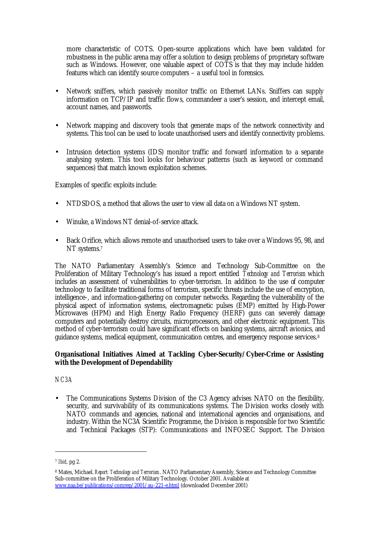more characteristic of COTS. Open-source applications which have been validated for robustness in the public arena may offer a solution to design problems of proprietary software such as Windows. However, one valuable aspect of COTS is that they may include hidden features which can identify source computers – a useful tool in forensics.

- Network sniffers, which passively monitor traffic on Ethernet LANs. Sniffers can supply information on TCP/IP and traffic flows, commandeer a user's session, and intercept email, account names, and passwords.
- Network mapping and discovery tools that generate maps of the network connectivity and systems. This tool can be used to locate unauthorised users and identify connectivity problems.
- Intrusion detection systems (IDS) monitor traffic and forward information to a separate analysing system. This tool looks for behaviour patterns (such as keyword or command sequences) that match known exploitation schemes.

Examples of specific exploits include:

- NTDSDOS, a method that allows the user to view all data on a Windows NT system.
- Winuke, a Windows NT denial-of-service attack.
- Back Orifice, which allows remote and unauthorised users to take over a Windows 95, 98, and NT systems.<sup>7</sup>

The NATO Parliamentary Assembly's Science and Technology Sub-Committee on the Proliferation of Military Technology's has issued a report entitled *Technology and Terrorism* which includes an assessment of vulnerabilities to cyber-terrorism. In addition to the use of computer technology to facilitate traditional forms of terrorism, specific threats include the use of encryption, intelligence-, and information-gathering on computer networks. Regarding the vulnerability of the physical aspect of information systems, electromagnetic pulses (EMP) emitted by High-Power Microwaves (HPM) and High Energy Radio Frequency (HERF) guns can severely damage computers and potentially destroy circuits, microprocessors, and other electronic equipment. This method of cyber-terrorism could have significant effects on banking systems, aircraft avionics, and guidance systems, medical equipment, communication centres, and emergency response services.<sup>8</sup>

## **Organisational Initiatives Aimed at Tackling Cyber-Security/Cyber-Crime or Assisting with the Development of Dependability**

*NC3A*

The Communications Systems Division of the C3 Agency advises NATO on the flexibility, security, and survivability of its communications systems. The Division works closely with NATO commands and agencies, national and international agencies and organisations, and industry. Within the NC3A Scientific Programme, the Division is responsible for two Scientific and Technical Packages (STP): Communications and INFOSEC Support. The Division

<sup>7</sup> *Ibid*, pg 2.

<sup>8</sup> Mates, Michael. *Report: Technology and Terrorism*. NATO Parliamentary Assembly, Science and Technology Committee Sub-committee on the Proliferation of Military Technology. October 2001. Available at www.naa.be/publications/comrep/2001/au-221-e.html (downloaded December 2001)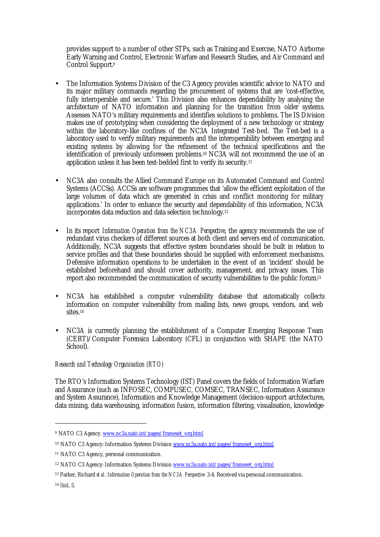provides support to a number of other STPs, such as Training and Exercise, NATO Airborne Early Warning and Control, Electronic Warfare and Research Studies, and Air Command and Control Support.<sup>9</sup>

- The Information Systems Division of the C3 Agency provides scientific advice to NATO and its major military commands regarding the procurement of systems that are 'cost-effective, fully interoperable and secure.' This Division also enhances dependability by analysing the architecture of NATO information and planning for the transition from older systems. Assesses NATO's military requirements and identifies solutions to problems. The IS Division makes use of prototyping when considering the deployment of a new technology or strategy within the laboratory-like confines of the NC3A Integrated Test-bed. The Test-bed is a laboratory used to verify military requirements and the interoperability between emerging and existing systems by allowing for the refinement of the technical specifications and the identification of previously unforeseen problems.10 NC3A will not recommend the use of an application unless it has been test-bedded first to verify its security.<sup>11</sup>
- NC3A also consults the Allied Command Europe on its Automated Command and Control Systems (ACCSs). ACCSs are software programmes that 'allow the efficient exploitation of the large volumes of data which are generated in crisis and conflict monitoring for military applications.' In order to enhance the security and dependability of this information, NC3A incorporates data reduction and data selection technology.<sup>12</sup>
- In its report *Information Operation from the NC3A Perspective*, the agency recommends the use of redundant virus checkers of different sources at both client and servers end of communication. Additionally, NC3A suggests that effective system boundaries should be built in relation to service profiles and that these boundaries should be supplied with enforcement mechanisms. Defensive information operations to be undertaken in the event of an 'incident' should be established beforehand and should cover authority, management, and privacy issues. This report also recommended the communication of security vulnerabilities to the public forum.<sup>13</sup>
- NC3A has established a computer vulnerability database that automatically collects information on computer vulnerability from mailing lists, news groups, vendors, and web sites<sup>14</sup>
- NC3A is currently planning the establishment of a Computer Emerging Response Team (CERT)/Computer Forensics Laboratory (CFL) in conjunction with SHAPE (the NATO School).

# *Research and Technology Organisation (RTO)*

The RTO's Information Systems Technology (IST) Panel covers the fields of Information Warfare and Assurance (such as INFOSEC, COMPUSEC, COMSEC, TRANSEC, Information Assurance and System Assurance), Information and Knowledge Management (decision-support architectures, data mining, data warehousing, information fusion, information filtering, visualisation, knowledge-

<sup>&</sup>lt;sup>9</sup> NATO C3 Agency. www.nc3a.nato.int/pages/frameset\_org.html

<sup>&</sup>lt;sup>10</sup> NATO C3 Agency: Information Systems Division www.nc3a.nato.int/pages/frameset\_org.html

<sup>11</sup> NATO C3 Agency, personal communication.

<sup>&</sup>lt;sup>12</sup> NATO C3 Agency: Information Systems Division www.nc3a.nato.int/pages/frameset\_org.html

<sup>13</sup> Parker, Richard *et al*. *Information Operation from the NC3A Perspective* 3-4. Received via personal communication.

<sup>14</sup> *Ibid*, 5.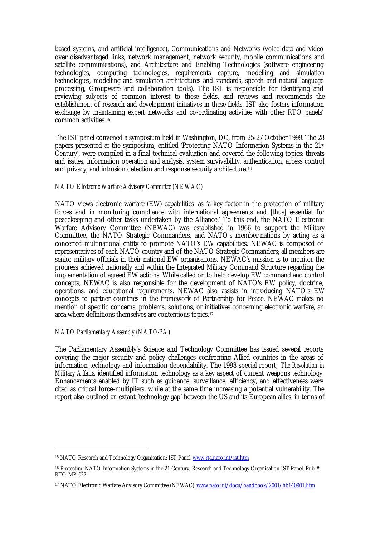based systems, and artificial intelligence), Communications and Networks (voice data and video over disadvantaged links, network management, network security, mobile communications and satellite communications), and Architecture and Enabling Technologies (software engineering technologies, computing technologies, requirements capture, modelling and simulation technologies, modelling and simulation architectures and standards, speech and natural language processing, Groupware and collaboration tools). The IST is responsible for identifying and reviewing subjects of common interest to these fields, and reviews and recommends the establishment of research and development initiatives in these fields. IST also fosters information exchange by maintaining expert networks and co-ordinating activities with other RTO panels' common activities.<sup>15</sup>

The IST panel convened a symposium held in Washington, DC, from 25-27 October 1999. The 28 papers presented at the symposium, entitled 'Protecting NATO Information Systems in the 21<sup>st</sup> Century', were compiled in a final technical evaluation and covered the following topics: threats and issues, information operation and analysis, system survivability, authentication, access control and privacy, and intrusion detection and response security architecture.<sup>16</sup>

# *NATO Electronic Warfare Advisory Committee (NEWAC)*

NATO views electronic warfare (EW) capabilities as 'a key factor in the protection of military forces and in monitoring compliance with international agreements and [thus] essential for peacekeeping and other tasks undertaken by the Alliance.' To this end, the NATO Electronic Warfare Advisory Committee (NEWAC) was established in 1966 to support the Military Committee, the NATO Strategic Commanders, and NATO's member-nations by acting as a concerted multinational entity to promote NATO's EW capabilities. NEWAC is composed of representatives of each NATO country and of the NATO Strategic Commanders; all members are senior military officials in their national EW organisations. NEWAC's mission is to monitor the progress achieved nationally and within the Integrated Military Command Structure regarding the implementation of agreed EW actions. While called on to help develop EW command and control concepts, NEWAC is also responsible for the development of NATO's EW policy, doctrine, operations, and educational requirements. NEWAC also assists in introducing NATO's EW concepts to partner countries in the framework of Partnership for Peace. NEWAC makes no mention of specific concerns, problems, solutions, or initiatives concerning electronic warfare, an area where definitions themselves are contentious topics.<sup>17</sup>

### *NATO Parliamentary Assembly (NATO-PA)*

 $\overline{a}$ 

The Parliamentary Assembly's Science and Technology Committee has issued several reports covering the major security and policy challenges confronting Allied countries in the areas of information technology and information dependability. The 1998 special report, *The Revolution in Military Affairs*, identified information technology as a key aspect of current weapons technology. Enhancements enabled by IT such as guidance, surveillance, efficiency, and effectiveness were cited as critical force-multipliers, while at the same time increasing a potential vulnerability. The report also outlined an extant 'technology gap' between the US and its European allies, in terms of

<sup>15</sup> NATO Research and Technology Organisation; IST Panel. www.rta.nato.int/ist.htm

<sup>&</sup>lt;sup>16</sup> Protecting NATO Information Systems in the 21 Century, Research and Technology Organisation IST Panel. Pub # RTO-MP-027

<sup>17</sup> NATO Electronic Warfare Advisory Committee (NEWAC). www.nato.int/docu/handbook/2001/hb140901.htm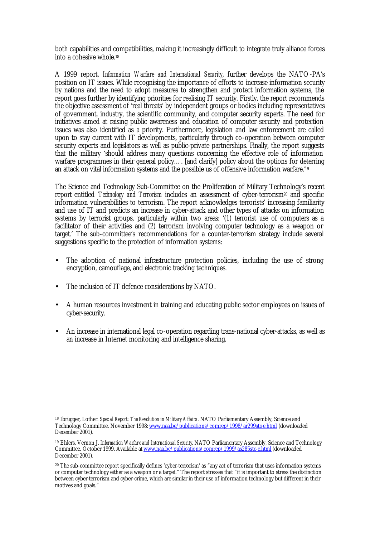both capabilities and compatibilities, making it increasingly difficult to integrate truly alliance forces into a cohesive whole.<sup>18</sup>

A 1999 report, *Information Warfare and International Security*, further develops the NATO-PA's position on IT issues. While recognising the importance of efforts to increase information security by nations and the need to adopt measures to strengthen and protect information systems, the report goes further by identifying priorities for realising IT security. Firstly, the report recommends the objective assessment of 'real threats' by independent groups or bodies including representatives of government, industry, the scientific community, and computer security experts. The need for initiatives aimed at raising public awareness and education of computer security and protection issues was also identified as a priority. Furthermore, legislation and law enforcement are called upon to stay current with IT developments, particularly through co-operation between computer security experts and legislators as well as public-private partnerships. Finally, the report suggests that the military 'should address many questions concerning the effective role of information warfare programmes in their general policy…. [and clarify] policy about the options for deterring an attack on vital information systems and the possible us of offensive information warfare.'<sup>19</sup>

The Science and Technology Sub-Committee on the Proliferation of Military Technology's recent report entitled *Technology and Terrorism* includes an assessment of cyber-terrorism<sup>20</sup> and specific information vulnerabilities to terrorism. The report acknowledges terrorists' increasing familiarity and use of IT and predicts an increase in cyber-attack and other types of attacks on information systems by terrorist groups, particularly within two areas: '(1) terrorist use of computers as a facilitator of their activities and (2) terrorism involving computer technology as a weapon or target.' The sub-committee's recommendations for a counter-terrorism strategy include several suggestions specific to the protection of information systems:

- The adoption of national infrastructure protection policies, including the use of strong encryption, camouflage, and electronic tracking techniques.
- The inclusion of IT defence considerations by NATO.

- A human resources investment in training and educating public sector employees on issues of cyber-security.
- An increase in international legal co-operation regarding trans-national cyber-attacks, as well as an increase in Internet monitoring and intelligence sharing.

<sup>18</sup> Ibrügger, Lother. *Special Report: The Revolution in Military Affairs*. NATO Parliamentary Assembly, Science and Technology Committee. November 1998: www.naa.be/publications/comrep/1998/ar299stc-e.html (downloaded December 2001).

<sup>19</sup> Ehlers, Vernon J. *Information Warfare and International Security*. NATO Parliamentary Assembly, Science and Technology Committee. October 1999. Available at www.naa.be/publications/comrep/1999/as285stc-e.html (downloaded December 2001).

<sup>20</sup> The sub-committee report specifically defines 'cyber-terrorism' as "any act of terrorism that uses information systems or computer technology either as a weapon or a target." The report stresses that "it is important to stress the distinction between cyber-terrorism and cyber-crime, which are similar in their use of information technology but different in their motives and goals."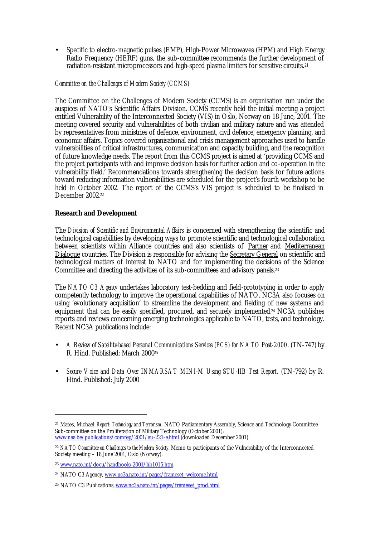• Specific to electro-magnetic pulses (EMP), High-Power Microwaves (HPM) and High Energy Radio Frequency (HERF) guns, the sub-committee recommends the further development of radiation-resistant microprocessors and high-speed plasma limiters for sensitive circuits.<sup>21</sup>

### *Committee on the Challenges of Modern Society (CCMS)*

The Committee on the Challenges of Modern Society (CCMS) is an organisation run under the auspices of NATO's Scientific Affairs Division. CCMS recently held the initial meeting a project entitled Vulnerability of the Interconnected Society (VIS) in Oslo, Norway on 18 June, 2001. The meeting covered security and vulnerabilities of both civilian and military nature and was attended by representatives from ministries of defence, environment, civil defence, emergency planning, and economic affairs. Topics covered organisational and crisis management approaches used to handle vulnerabilities of critical infrastructures, communication and capacity building, and the recognition of future knowledge needs. The report from this CCMS project is aimed at 'providing CCMS and the project participants with and improve decision basis for further action and co-operation in the vulnerability field.' Recommendations towards strengthening the decision basis for future actions toward reducing information vulnerabilities are scheduled for the project's fourth workshop to be held in October 2002. The report of the CCMS's VIS project is scheduled to be finalised in December 2002.<sup>22</sup>

## **Research and Development**

The *Division of Scientific and Environmental Affairs* is concerned with strengthening the scientific and technological capabilities by developing ways to promote scientific and technological collaboration between scientists within Alliance countries and also scientists of Partner and Mediterranean Dialogue countries. The Division is responsible for advising the Secretary General on scientific and technological matters of interest to NATO and for implementing the decisions of the Science Committee and directing the activities of its sub-committees and advisory panels.<sup>23</sup>

The *NATO C3 Agency* undertakes laboratory test-bedding and field-prototyping in order to apply competently technology to improve the operational capabilities of NATO. NC3A also focuses on using 'evolutionary acquisition' to streamline the development and fielding of new systems and equipment that can be easily specified, procured, and securely implemented.<sup>24</sup> NC3A publishes reports and reviews concerning emerging technologies applicable to NATO, tests, and technology. Recent NC3A publications include:

- *A Review of Satellite-based Personal Communications Services (PCS) for NATO Post-2000*. (TN-747) by R. Hind. Published: March 2000<sup>25</sup>
- *Secure Voice and Data Over INMARSAT MINI-M Using STU-IIB Test Report*. (TN-792) by R. Hind. Published: July 2000

<sup>21</sup> Mates, Michael. *Report: Technology and Terrorism*. NATO Parliamentary Assembly, Science and Technology Committee Sub-committee on the Proliferation of Military Technology (October 2001): www.naa.be/publications/comrep/2001/au-221-e.html (downloaded December 2001).

<sup>22</sup> *NATO Committee on Challenges to the Modern Society*. Memo to participants of the Vulnerability of the Interconnected Society meeting – 18 June 2001, Oslo (Norway).

<sup>23</sup> www.nato.int/docu/handbook/2001/hb1015.htm

<sup>24</sup> NATO C3 Agency, www.nc3a.nato.int/pages/frameset\_welcome.html

<sup>25</sup> NATO C3 Publications, www.nc3a.nato.int/pages/frameset\_prod.html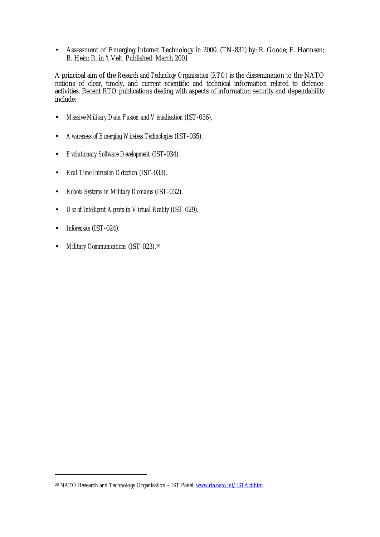• Assessment of Emerging Internet Technology in 2000. (TN-831) by: R. Goode; E. Harmsen; B. Hein; R. in 't Velt. Published: March 2001

A principal aim of the *Research and Technology Organisation (RTO)* is the dissemination to the NATO nations of clear, timely, and current scientific and technical information related to defence activities. Recent RTO publications dealing with aspects of information security and dependability include:

- *Massive Military Data Fusion and Visualisation* (IST-036).
- *Awareness of Emerging Wireless Technologies* (IST-035).
- *Evolutionary Software Development* (IST-034).
- *Real Time Intrusion Detection* (IST-033).
- *Robots Systems in Military Domains* (IST-032).
- *Use of Intelligent Agents in Virtual Reality* (IST-029).
- *Inforensics* (IST-024).

 $\overline{a}$ 

• *Military Communications* (IST-023).<sup>26</sup>

<sup>&</sup>lt;sup>26</sup> NATO Research and Technology Organisation - IST Panel: www.rta.nato.int/ISTAct.htm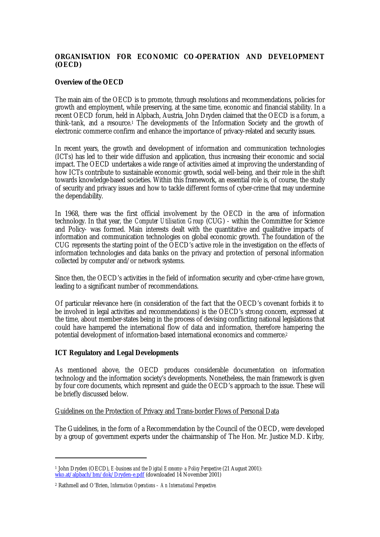# **ORGANISATION FOR ECONOMIC CO-OPERATION AND DEVELOPMENT (OECD)**

### **Overview of the OECD**

The main aim of the OECD is to promote, through resolutions and recommendations, policies for growth and employment, while preserving, at the same time, economic and financial stability. In a recent OECD forum, held in Alpbach, Austria, John Dryden claimed that the OECD is a forum, a think-tank, and a resource.1 The developments of the Information Society and the growth of electronic commerce confirm and enhance the importance of privacy-related and security issues.

In recent years, the growth and development of information and communication technologies (ICTs) has led to their wide diffusion and application, thus increasing their economic and social impact. The OECD undertakes a wide range of activities aimed at improving the understanding of how ICTs contribute to sustainable economic growth, social well-being, and their role in the shift towards knowledge-based societies. Within this framework, an essential role is, of course, the study of security and privacy issues and how to tackle different forms of cyber-crime that may undermine the dependability.

In 1968, there was the first official involvement by the OECD in the area of information technology. In that year, the *Computer Utilisation Group* (CUG) - within the Committee for Science and Policy- was formed. Main interests dealt with the quantitative and qualitative impacts of information and communication technologies on global economic growth. The foundation of the CUG represents the starting point of the OECD's active role in the investigation on the effects of information technologies and data banks on the privacy and protection of personal information collected by computer and/or network systems.

Since then, the OECD's activities in the field of information security and cyber-crime have grown, leading to a significant number of recommendations.

Of particular relevance here (in consideration of the fact that the OECD's covenant forbids it to be involved in legal activities and recommendations) is the OECD's strong concern, expressed at the time, about member-states being in the process of devising conflicting national legislations that could have hampered the international flow of data and information, therefore hampering the potential development of information-based international economics and commerce.<sup>2</sup>

### **ICT Regulatory and Legal Developments**

 $\overline{a}$ 

As mentioned above, the OECD produces considerable documentation on information technology and the information society's developments. Nonetheless, the main framework is given by four core documents, which represent and guide the OECD's approach to the issue. These will be briefly discussed below.

# Guidelines on the Protection of Privacy and Trans-border Flows of Personal Data

The Guidelines, in the form of a Recommendation by the Council of the OECD, were developed by a group of government experts under the chairmanship of The Hon. Mr. Justice M.D. Kirby,

<sup>1</sup> John Dryden (OECD), *E-business and the Digital Economy- a Policy Perspective* (21 August 2001): wko.at/alpbach/bm/dok/Dryden-e.pdf (downloaded 14 November 2001)

<sup>2</sup> Rathmell and O'Brien, *Information Operations – An International Perspective.*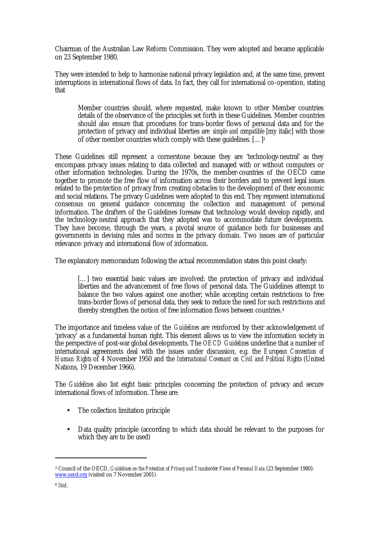Chairman of the Australian Law Reform Commission. They were adopted and became applicable on 23 September 1980.

They were intended to help to harmonise national privacy legislation and, at the same time, prevent interruptions in international flows of data. In fact, they call for international co-operation, stating that

Member countries should, where requested, make known to other Member countries details of the observance of the principles set forth in these Guidelines. Member countries should also ensure that procedures for trans-border flows of personal data and for the protection of privacy and individual liberties are *simple and compatible* [my italic] with those of other member countries which comply with these guidelines. […]<sup>3</sup>

These Guidelines still represent a cornerstone because they are 'technology-neutral' as they encompass privacy issues relating to data collected and managed with or without computers or other information technologies. During the 1970s, the member-countries of the OECD came together to promote the free flow of information across their borders and to prevent legal issues related to the protection of privacy from creating obstacles to the development of their economic and social relations. The privacy Guidelines were adopted to this end. They represent international consensus on general guidance concerning the collection and management of personal information. The drafters of the Guidelines foresaw that technology would develop rapidly, and the technology-neutral approach that they adopted was to accommodate future developments. They have become, through the years, a pivotal source of guidance both for businesses and governments in devising rules and norms in the privacy domain. Two issues are of particular relevance: privacy and international flow of information.

The explanatory memorandum following the actual recommendation states this point clearly:

[...] two essential basic values are involved: the protection of privacy and individual liberties and the advancement of free flows of personal data. The Guidelines attempt to balance the two values against one another; while accepting certain restrictions to free trans-border flows of personal data, they seek to reduce the need for such restrictions and thereby strengthen the notion of free information flows between countries.<sup>4</sup>

The importance and timeless value of the *Guidelines* are reinforced by their acknowledgement of 'privacy' as a fundamental human right. This element allows us to view the information society in the perspective of post-war global developments. The *OECD Guidelines* underline that a number of international agreements deal with the issues under discussion, e.g. the *European Convention of Human Rights* of 4 November 1950 and the *International Covenant on Civil and Political Rights* (United Nations, 19 December 1966).

The *Guidelines* also list eight basic principles concerning the protection of privacy and secure international flows of information. These are:

- The collection limitation principle
- Data quality principle (according to which data should be relevant to the purposes for which they are to be used)

<sup>3</sup> Council of the OECD, *Guidelines on the Protection of Privacy and Transborder Flows of Personal Data* (23 September 1980): www.oecd.org (visited on 7 November 2001)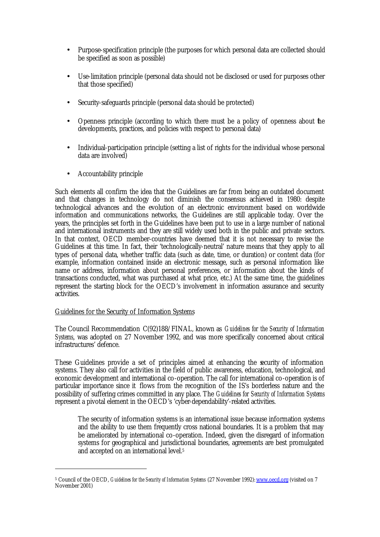- Purpose-specification principle (the purposes for which personal data are collected should be specified as soon as possible)
- Use-limitation principle (personal data should not be disclosed or used for purposes other that those specified)
- Security-safeguards principle (personal data should be protected)
- Openness principle (according to which there must be a policy of openness about the developments, practices, and policies with respect to personal data)
- Individual-participation principle (setting a list of rights for the individual whose personal data are involved)
- Accountability principle

Such elements all confirm the idea that the Guidelines are far from being an outdated document and that changes in technology do not diminish the consensus achieved in 1980: despite technological advances and the evolution of an electronic environment based on worldwide information and communications networks, the Guidelines are still applicable today. Over the years, the principles set forth in the Guidelines have been put to use in a large number of national and international instruments and they are still widely used both in the public and private sectors. In that context, OECD member-countries have deemed that it is not necessary to revise the Guidelines at this time. In fact, their 'technologically-neutral' nature means that they apply to all types of personal data, whether traffic data (such as date, time, or duration) or content data (for example, information contained inside an electronic message, such as personal information like name or address, information about personal preferences, or information about the kinds of transactions conducted, what was purchased at what price, etc.) At the same time, the guidelines represent the starting block for the OECD's involvement in information assurance and security activities.

### Guidelines for the Security of Information Systems

 $\overline{a}$ 

The Council Recommendation C(92)188/FINAL, known as *Guidelines for the Security of Information Systems*, was adopted on 27 November 1992, and was more specifically concerned about critical infrastructures' defence.

These Guidelines provide a set of principles aimed at enhancing the security of information systems. They also call for activities in the field of public awareness, education, technological, and economic development and international co-operation. The call for international co-operation is of particular importance since it flows from the recognition of the IS's borderless nature and the possibility of suffering crimes committed in any place. The *Guidelines for Security of Information Systems* represent a pivotal element in the OECD's 'cyber-dependability'-related activities.

The security of information systems is an international issue because information systems and the ability to use them frequently cross national boundaries. It is a problem that may be ameliorated by international co-operation. Indeed, given the disregard of information systems for geographical and jurisdictional boundaries, agreements are best promulgated and accepted on an international level.<sup>5</sup>

<sup>&</sup>lt;sup>5</sup> Council of the OECD, *Guidelines for the Security of Information Systems* (27 November 1992): *www.oecd.org* (visited on 7 November 2001)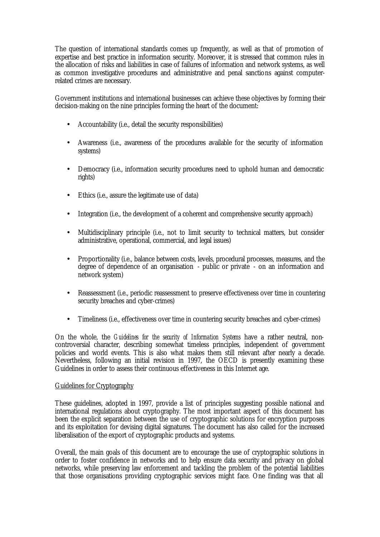The question of international standards comes up frequently, as well as that of promotion of expertise and best practice in information security. Moreover, it is stressed that common rules in the allocation of risks and liabilities in case of failures of information and network systems, as well as common investigative procedures and administrative and penal sanctions against computerrelated crimes are necessary.

Government institutions and international businesses can achieve these objectives by forming their decision-making on the nine principles forming the heart of the document:

- Accountability (i.e., detail the security responsibilities)
- Awareness (i.e., awareness of the procedures available for the security of information systems)
- Democracy (i.e., information security procedures need to uphold human and democratic rights)
- Ethics (i.e., assure the legitimate use of data)
- Integration (i.e., the development of a coherent and comprehensive security approach)
- Multidisciplinary principle (i.e., not to limit security to technical matters, but consider administrative, operational, commercial, and legal issues)
- Proportionality (i.e., balance between costs, levels, procedural processes, measures, and the degree of dependence of an organisation - public or private - on an information and network system)
- Reassessment (i.e., periodic reassessment to preserve effectiveness over time in countering security breaches and cyber-crimes)
- Timeliness (i.e., effectiveness over time in countering security breaches and cyber-crimes)

On the whole, the *Guidelines for the security of Information Systems* have a rather neutral, noncontroversial character, describing somewhat timeless principles, independent of government policies and world events. This is also what makes them still relevant after nearly a decade. Nevertheless, following an initial revision in 1997, the OECD is presently examining these Guidelines in order to assess their continuous effectiveness in this Internet age.

### Guidelines for Cryptography

These guidelines, adopted in 1997, provide a list of principles suggesting possible national and international regulations about cryptography. The most important aspect of this document has been the explicit separation between the use of cryptographic solutions for encryption purposes and its exploitation for devising digital signatures. The document has also called for the increased liberalisation of the export of cryptographic products and systems.

Overall, the main goals of this document are to encourage the use of cryptographic solutions in order to foster confidence in networks and to help ensure data security and privacy on global networks, while preserving law enforcement and tackling the problem of the potential liabilities that those organisations providing cryptographic services might face. One finding was that all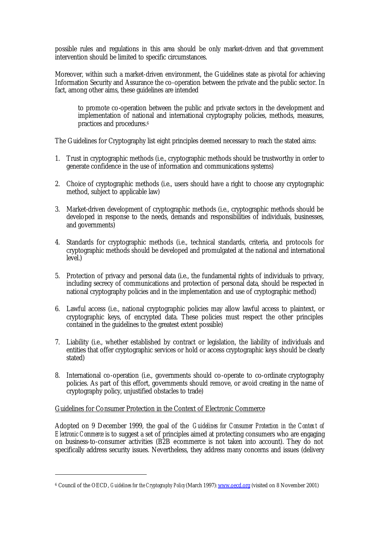possible rules and regulations in this area should be only market-driven and that government intervention should be limited to specific circumstances.

Moreover, within such a market-driven environment, the Guidelines state as pivotal for achieving Information Security and Assurance the co-operation between the private and the public sector. In fact, among other aims, these guidelines are intended

to promote co-operation between the public and private sectors in the development and implementation of national and international cryptography policies, methods, measures, practices and procedures.<sup>6</sup>

The Guidelines for Cryptography list eight principles deemed necessary to reach the stated aims:

- 1. Trust in cryptographic methods (i.e., cryptographic methods should be trustworthy in order to generate confidence in the use of information and communications systems)
- 2. Choice of cryptographic methods (i.e., users should have a right to choose any cryptographic method, subject to applicable law)
- 3. Market-driven development of cryptographic methods (i.e., cryptographic methods should be developed in response to the needs, demands and responsibilities of individuals, businesses, and governments)
- 4. Standards for cryptographic methods (i.e., technical standards, criteria, and protocols for cryptographic methods should be developed and promulgated at the national and international level.)
- 5. Protection of privacy and personal data (i.e., the fundamental rights of individuals to privacy, including secrecy of communications and protection of personal data, should be respected in national cryptography policies and in the implementation and use of cryptographic method)
- 6. Lawful access (i.e., national cryptographic policies may allow lawful access to plaintext, or cryptographic keys, of encrypted data. These policies must respect the other principles contained in the guidelines to the greatest extent possible)
- 7. Liability (i.e., whether established by contract or legislation, the liability of individuals and entities that offer cryptographic services or hold or access cryptographic keys should be clearly stated)
- 8. International co-operation (i.e., governments should co-operate to co-ordinate cryptography policies. As part of this effort, governments should remove, or avoid creating in the name of cryptography policy, unjustified obstacles to trade)

### Guidelines for Consumer Protection in the Context of Electronic Commerce

 $\overline{a}$ 

Adopted on 9 December 1999, the goal of the *Guidelines for Consumer Protection in the Context of Electronic Commerce* is to suggest a set of principles aimed at protecting consumers who are engaging on business-to-consumer activities (B2B ecommerce is not taken into account). They do not specifically address security issues. Nevertheless, they address many concerns and issues (delivery

<sup>6</sup> Council of the OECD, *Guidelines for the Cryptography Policy* (March 1997): www.oecd.org (visited on 8 November 2001)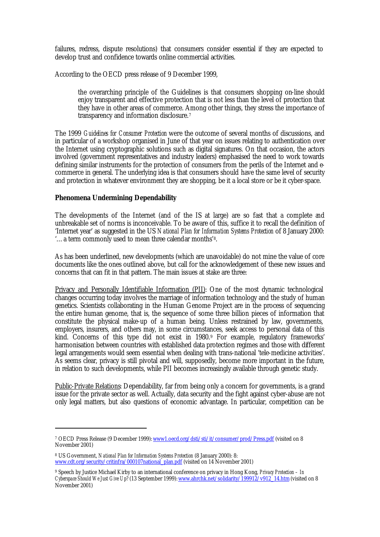failures, redress, dispute resolutions) that consumers consider essential if they are expected to develop trust and confidence towards online commercial activities.

According to the OECD press release of 9 December 1999,

the overarching principle of the Guidelines is that consumers shopping on-line should enjoy transparent and effective protection that is not less than the level of protection that they have in other areas of commerce. Among other things, they stress the importance of transparency and information disclosure.<sup>7</sup>

The 1999 *Guidelines for Consumer Protection* were the outcome of several months of discussions, and in particular of a workshop organised in June of that year on issues relating to authentication over the Internet using cryptographic solutions such as digital signatures. On that occasion, the actors involved (government representatives and industry leaders) emphasised the need to work towards defining similar instruments for the protection of consumers from the perils of the Internet and ecommerce in general. The underlying idea is that consumers should have the same level of security and protection in whatever environment they are shopping, be it a local store or be it cyber-space.

# **Phenomena Undermining Dependability**

The developments of the Internet (and of the IS at large) are so fast that a complete and unbreakable set of norms is inconceivable. To be aware of this, suffice it to recall the definition of 'Internet year' as suggested in the US *National Plan for Information Systems Protection* of 8 January 2000: '…a term commonly used to mean three calendar months'8.

As has been underlined, new developments (which are unavoidable) do not mine the value of core documents like the ones outlined above, but call for the acknowledgement of these new issues and concerns that can fit in that pattern. The main issues at stake are three:

Privacy and Personally Identifiable Information (PII): One of the most dynamic technological changes occurring today involves the marriage of information technology and the study of human genetics. Scientists collaborating in the Human Genome Project are in the process of sequencing the entire human genome, that is, the sequence of some three billion pieces of information that constitute the physical make-up of a human being. Unless restrained by law, governments, employers, insurers, and others may, in some circumstances, seek access to personal data of this kind. Concerns of this type did not exist in 1980.<sup>9</sup> For example, regulatory frameworks' harmonisation between countries with established data protection regimes and those with different legal arrangements would seem essential when dealing with trans-national 'tele-medicine activities'. As seems clear, privacy is still pivotal and will, supposedly, become more important in the future, in relation to such developments, while PII becomes increasingly available through genetic study.

Public-Private Relations: Dependability, far from being only a concern for governments, is a grand issue for the private sector as well. Actually, data security and the fight against cyber-abuse are not only legal matters, but also questions of economic advantage. In particular, competition can be

<sup>&</sup>lt;sup>7</sup> OECD Press Release (9 December 1999): <u>www1.oecd.org/dsti/sti/it/consumer/prod/Press.pdf</u> (visited on 8 November 2001)

<sup>8</sup> US Government, *National Plan for Information Systems Protection* (8 January 2000): 8: www.cdt.org/security/critinfra/000107national\_plan.pdf (visited on 14 November 2001)

<sup>9</sup> Speech by Justice Michael Kirby to an international conference on privacy in Hong Kong, *Privacy Protection – In Cyberspace Should We Just Give Up?* (13 September 1999): www.ahrchk.net/solidarity/199912/v912<sup>'</sup> 14.htm (visited on 8 November 2001)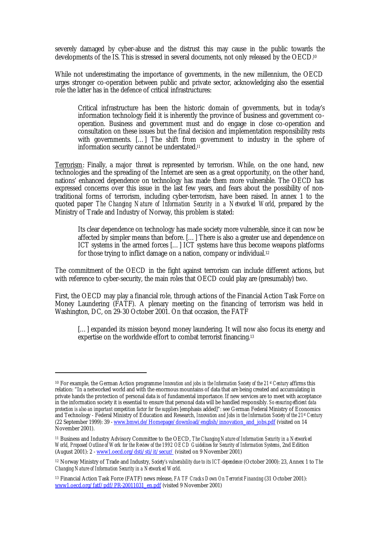severely damaged by cyber-abuse and the distrust this may cause in the public towards the developments of the IS. This is stressed in several documents, not only released by the OECD.<sup>10</sup>

While not underestimating the importance of governments, in the new millennium, the OECD urges stronger co-operation between public and private sector, acknowledging also the essential role the latter has in the defence of critical infrastructures:

Critical infrastructure has been the historic domain of governments, but in today's information technology field it is inherently the province of business and government cooperation. Business and government must and do engage in close co-operation and consultation on these issues but the final decision and implementation responsibility rests with governments. […] The shift from government to industry in the sphere of information security cannot be understated.<sup>11</sup>

Terrorism: Finally, a major threat is represented by terrorism. While, on the one hand, new technologies and the spreading of the Internet are seen as a great opportunity, on the other hand, nations' enhanced dependence on technology has made them more vulnerable. The OECD has expressed concerns over this issue in the last few years, and fears about the possibility of nontraditional forms of terrorism, including cyber-terrorism, have been raised. In annex 1 to the quoted paper *The Changing Nature of Information Security in a Networked World*, prepared by the Ministry of Trade and Industry of Norway, this problem is stated:

Its clear dependence on technology has made society more vulnerable, since it can now be affected by simpler means than before. […] There is also a greater use and dependence on ICT systems in the armed forces […] ICT systems have thus become weapons platforms for those trying to inflict damage on a nation, company or individual.<sup>12</sup>

The commitment of the OECD in the fight against terrorism can include different actions, but with reference to cyber-security, the main roles that OECD could play are (presumably) two.

First, the OECD may play a financial role, through actions of the Financial Action Task Force on Money Laundering (FATF). A plenary meeting on the financing of terrorism was held in Washington, DC, on 29-30 October 2001. On that occasion, the FATF

[...] expanded its mission beyond money laundering. It will now also focus its energy and expertise on the worldwide effort to combat terrorist financing.<sup>13</sup>

<sup>10</sup> For example, the German Action programme *Innovation and jobs in the Information Society of the 21st Century* affirms this relation: "In a networked world and with the enormous mountains of data that are being created and accumulating in private hands the protection of personal data is of fundamental importance. If new services are to meet with acceptance in the information society it is essential to ensure that personal data will be handled responsibly. *So ensuring efficient data protection is also an important competition factor for the suppliers* [emphasis added]": see German Federal Ministry of Economics and Technology - Federal Ministry of Education and Research, *Innovation and Jobs in the Information Society of the 21st Century* (22 September 1999): 39 - www.bmwi.de/Homepage/download/english/innovation\_and\_jobs.pdf (visited on 14 November 2001).

<sup>11</sup> Business and Industry Advisory Committee to the OECD, *The Changing Nature of Information Security in a Networked World, Proposed Outline of Work for the Review of the 1992 OECD Guidelines for Security of Information Systems*, 2nd Edition (August 2001): 2 - www1.oecd.org/dsti/sti/it/secur/ (visited on 9 November 2001)

<sup>12</sup> Norway Ministry of Trade and Industry, *Society's vulnerability due to its ICT-dependence* (October 2000): 23, Annex 1 to *The Changing Nature of Information Security in a Networked World*.

<sup>13</sup> Financial Action Task Force (FATF) news release, *FATF Cracks Down On Terrorist Financing* (31 October 2001): www1.oecd.org/fatf/pdf/PR-20011031\_en.pdf (visited 9 November 2001)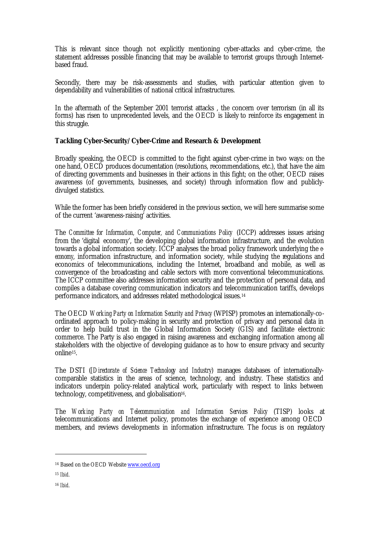This is relevant since though not explicitly mentioning cyber-attacks and cyber-crime, the statement addresses possible financing that may be available to terrorist groups through Internetbased fraud.

Secondly, there may be risk-assessments and studies, with particular attention given to dependability and vulnerabilities of national critical infrastructures.

In the aftermath of the September 2001 terrorist attacks , the concern over terrorism (in all its forms) has risen to unprecedented levels, and the OECD is likely to reinforce its engagement in this struggle.

## **Tackling Cyber-Security/Cyber-Crime and Research & Development**

Broadly speaking, the OECD is committed to the fight against cyber-crime in two ways: on the one hand, OECD produces documentation (resolutions, recommendations, etc.), that have the aim of directing governments and businesses in their actions in this fight; on the other, OECD raises awareness (of governments, businesses, and society) through information flow and publiclydivulged statistics.

While the former has been briefly considered in the previous section, we will here summarise some of the current 'awareness-raising' activities.

The *Committee for Information, Computer, and Communications Policy* (ICCP) addresses issues arising from the 'digital economy', the developing global information infrastructure, and the evolution towards a global information society. ICCP analyses the broad policy framework underlying the *eeconomy*, information infrastructure, and information society, while studying the regulations and economics of telecommunications, including the Internet, broadband and mobile, as well as convergence of the broadcasting and cable sectors with more conventional telecommunications. The ICCP committee also addresses information security and the protection of personal data, and compiles a database covering communication indicators and telecommunication tariffs, develops performance indicators, and addresses related methodological issues.<sup>14</sup>

The OECD *Working Party on Information Security and Privacy* (WPISP) promotes an internationally-coordinated approach to policy-making in security and protection of privacy and personal data in order to help build trust in the Global Information Society (GIS) and facilitate electronic commerce. The Party is also engaged in raising awareness and exchanging information among all stakeholders with the objective of developing guidance as to how to ensure privacy and security online15.

The DSTI (*[Directorate of Science Technology and Industry*) manages databases of internationallycomparable statistics in the areas of science, technology, and industry. These statistics and indicators underpin policy-related analytical work, particularly with respect to links between technology, competitiveness, and globalisation<sup>16</sup>.

The *Working Party on Telecommunication and Information Services Policy* (TISP) looks at telecommunications and Internet policy, promotes the exchange of experience among OECD members, and reviews developments in information infrastructure. The focus is on regulatory

<sup>&</sup>lt;sup>14</sup> Based on the OECD Website www.oecd.org

<sup>15</sup> *Ibid*.

<sup>16</sup> *Ibid*.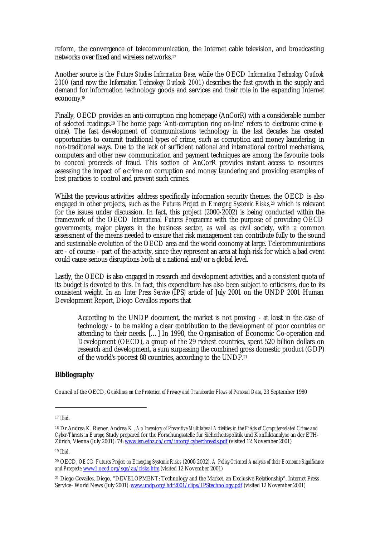reform, the convergence of telecommunication, the Internet cable television, and broadcasting networks over fixed and wireless networks.<sup>17</sup>

Another source is the *Future Studies Information Base*, while the OECD *Information Technology Outlook 2000* (and now the *Information Technology Outlook 2001*) describes the fast growth in the supply and demand for information technology goods and services and their role in the expanding Internet economy.<sup>18</sup>

Finally, OECD provides an anti-corruption ring homepage (AnCorR) with a considerable number of selected readings.19 The home page 'Anti-corruption ring on-line' refers to electronic crime (*ecrime*). The fast development of communications technology in the last decades has created opportunities to commit traditional types of crime, such as corruption and money laundering, in non-traditional ways. Due to the lack of sufficient national and international control mechanisms, computers and other new communication and payment techniques are among the favourite tools to conceal proceeds of fraud. This section of AnCorR provides instant access to resources assessing the impact of e-crime on corruption and money laundering and providing examples of best practices to control and prevent such crimes.

Whilst the previous activities address specifically information security themes, the OECD is also engaged in other projects, such as the *Futures Project on Emerging Systemic Risks,20* which is relevant for the issues under discussion. In fact, this project (2000-2002) is being conducted within the framework of the OECD *International Futures Programme* with the purpose of providing OECD governments, major players in the business sector, as well as civil society, with a common assessment of the means needed to ensure that risk management can contribute fully to the sound and sustainable evolution of the OECD area and the world economy at large. Telecommunications are - of course - part of the activity, since they represent an area at high-risk for which a bad event could cause serious disruptions both at a national and/or a global level.

Lastly, the OECD is also engaged in research and development activities, and a consistent quota of its budget is devoted to this. In fact, this expenditure has also been subject to criticisms, due to its consistent weight. In an *Inter Press Service* (IPS) article of July 2001 on the UNDP 2001 Human Development Report, Diego Cevallos reports that

According to the UNDP document, the market is not proving - at least in the case of technology - to be making a clear contribution to the development of poor countries or attending to their needs. […] In 1998, the Organisation of Economic Co-operation and Development (OECD), a group of the 29 richest countries, spent 520 billion dollars on research and development, a sum surpassing the combined gross domestic product (GDP) of the world's poorest 88 countries, according to the UNDP.<sup>21</sup>

# **Bibliography**

Council of the OECD, *Guidelines on the Protection of Privacy and Transborder Flows of Personal Data*, 23 September 1980

<sup>17</sup> *Ibid*.

<sup>18</sup> Dr Andrea K. Riener, Andrea K., *An Inventory of Preventive Multilateral Activities in the Fields of Computer-related Crime and Cyber-Threats in Europe*, Study prepared for the Forschungsstelle für Sicherheitspolitik und Konfliktanalyse an der ETH-Zürich, Vienna (July 2001): 74: www.isn.ethz.ch/crn/intorg/cyberthreads.pdf (visited 12 November 2001)

<sup>19</sup> *Ibid*.

<sup>20</sup> OECD, *OECD Futures Project on Emerging Systemic Risks* (2000-2002), *A Policy-Oriented Analysis of their Economic Significance and Prospects*: www1.oecd.org/sge/au/risks.htm (visited 12 November 2001)

<sup>21</sup> Diego Cevalles, Diego, "DEVELOPMENT: Technology and the Market, an Exclusive Relationship", Internet Press Service- World News (July 2001): www.undp.org/hdr2001/clips/IPStechnology.pdf (visited 12 November 2001)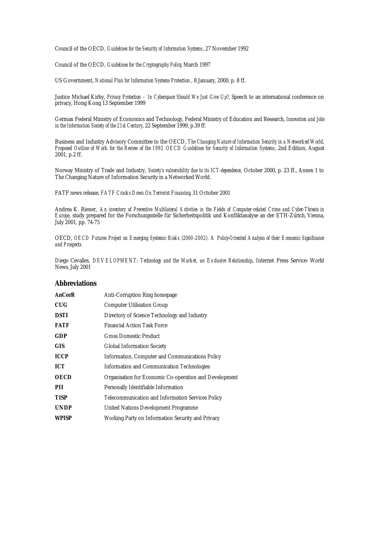Council of the OECD, *Guidelines for the Security of Information Systems*, 27 November 1992

Council of the OECD, *Guidelines for the Cryptography Policy*, March 1997

US Government, *National Plan for Information Systems Protection* , 8 January, 2000, p. 8 ff.

Justice Michael Kirby, *Privacy Protection – In Cyberspace Should We Just Give Up?*, Speech to an international conference on privacy, Hong Kong 13 September 1999

German Federal Ministry of Economics and Technology, Federal Ministry of Education and Research, *Innovation and Jobs in the Information Society of the 21st Century*, 22 September 1999, p.39 ff.

Business and Industry Advisory Committee to the OECD, *The Changing Nature of Information Security in a Networked World, Proposed Outline of Work for the Review of the 1992 OECD Guidelines for Security of Information Systems*, 2nd Edition, August 2001, p.2 ff.

Norway Ministry of Trade and Industry, *Society's vulnerability due to its ICT-dependence*, October 2000, p. 23 ff., Annex 1 to The Changing Nature of Information Security in a Networked World.

FATF news release, *FATF Cracks Down On Terrorist Financing*, 31 October 2001

Andrea K. Riener, *An inventory of Preventive Multilateral Activities in the Fields of Computer-related Crime and Cyber-Threats in Europe*, study prepared for the Forschungsstelle für Sicherheitspolitik und Konfliktanalyse an der ETH-Zürich, Vienna, July 2001, pp. 74-75

OECD, *OECD Futures Project on Emerging Systemic Risks (2000-2002). A Policy-Oriented Analysis of their Economic Significance and Prospects*

Diego Cevalles, *DEVELOPMENT: Technology and the Market, an Exclusive Relationship*, Internet Press Service- World News, July 2001

#### **Abbreviations**

| Anti-Corruption Ring homepage                          |
|--------------------------------------------------------|
| <b>Computer Utilisation Group</b>                      |
| Directory of Science Technology and Industry           |
| <b>Financial Action Task Force</b>                     |
| <b>Gross Domestic Product</b>                          |
| <b>Global Information Society</b>                      |
| Information, Computer and Communications Policy        |
| <b>Information and Communication Technologies</b>      |
| Organisation for Economic Co-operation and Development |
| Personally Identifiable Information                    |
| Telecommunication and Information Services Policy      |
| United Nations Development Programme                   |
| Working Party on Information Security and Privacy      |
|                                                        |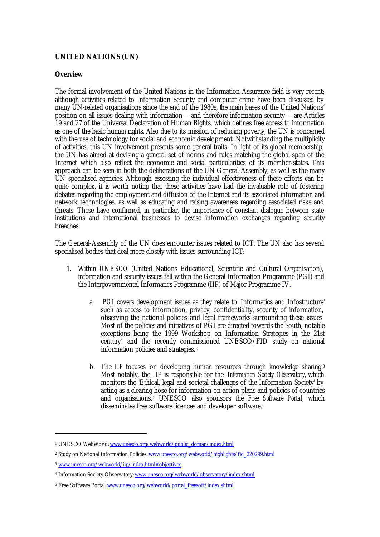# **UNITED NATIONS (UN)**

### **Overview**

The formal involvement of the United Nations in the Information Assurance field is very recent; although activities related to Information Security and computer crime have been discussed by many UN-related organisations since the end of the 1980s, the main bases of the United Nations' position on all issues dealing with information – and therefore information security – are Articles 19 and 27 of the Universal Declaration of Human Rights, which defines free access to information as one of the basic human rights. Also due to its mission of reducing poverty, the UN is concerned with the use of technology for social and economic development. Notwithstanding the multiplicity of activities, this UN involvement presents some general traits. In light of its global membership, the UN has aimed at devising a general set of norms and rules matching the global span of the Internet which also reflect the economic and social particularities of its member-states. This approach can be seen in both the deliberations of the UN General-Assembly, as well as the many UN specialised agencies. Although assessing the individual effectiveness of these efforts can be quite complex, it is worth noting that these activities have had the invaluable role of fostering debates regarding the employment and diffusion of the Internet and its associated information and network technologies, as well as educating and raising awareness regarding associated risks and threats. These have confirmed, in particular, the importance of constant dialogue between state institutions and international businesses to devise information exchanges regarding security breaches.

The General-Assembly of the UN does encounter issues related to ICT. The UN also has several specialised bodies that deal more closely with issues surrounding ICT:

- 1. Within *UNESCO* (United Nations Educational, Scientific and Cultural Organisation), information and security issues fall within the General Information Programme (PGI) and the Intergovernmental Informatics Programme (IIP) of Major Programme IV.
	- a. *PGI* covers development issues as they relate to 'Informatics and Infostructure' such as access to information, privacy, confidentiality, security of information, observing the national policies and legal frameworks surrounding these issues. Most of the policies and initiatives of PGI are directed towards the South, notable exceptions being the 1999 Workshop on Information Strategies in the 21st century1 and the recently commissioned UNESCO/FID study on national information policies and strategies.<sup>2</sup>
	- b. The *IIP* focuses on developing human resources through knowledge sharing.<sup>3</sup> Most notably, the IIP is responsible for the *Information Society Observatory*, which monitors the 'Ethical, legal and societal challenges of the Information Society' by acting as a clearing hose for information on action plans and policies of countries and organisations.4 UNESCO also sponsors the *Free Software Portal*, which disseminates free software licences and developer software.<sup>5</sup>

<sup>&</sup>lt;sup>1</sup> UNESCO WebWorld: www.unesco.org/webworld/public\_doman/index.html

<sup>&</sup>lt;sup>2</sup> Study on National Information Policies: <u>www.unesco.org/webworld/highlights/fid\_220299.html</u>

<sup>3</sup> www.unesco.org/webworld/iip/index.html#objectives

<sup>&</sup>lt;sup>4</sup> Information Society Observatory: www.unesco.org/webworld/observatory/index.shtml

<sup>&</sup>lt;sup>5</sup> Free Software Portal: www.unesco.org/webworld/portal\_freesoft/index.shtml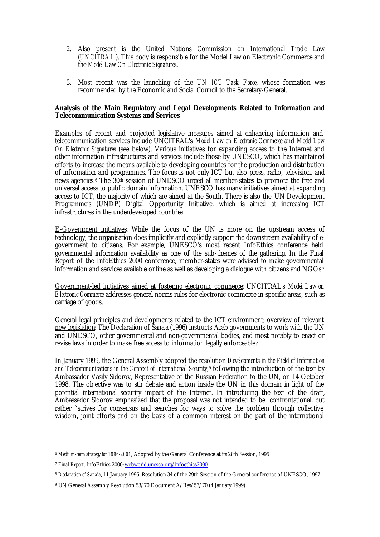- 2. Also present is the United Nations Commission on International Trade Law (*UNCITRAL*). This body is responsible for the Model Law on Electronic Commerce and the *Model Law On Electronic Signatures*.
- 3. Most recent was the launching of the *UN ICT Task Force*, whose formation was recommended by the Economic and Social Council to the Secretary-General.

## **Analysis of the Main Regulatory and Legal Developments Related to Information and Telecommunication Systems and Services**

Examples of recent and projected legislative measures aimed at enhancing information and telecommunication services include UNCITRAL's *Model Law on Electronic Commerce* and *Model Law On Electronic Signatures* (see below). Various initiatives for expanding access to the Internet and other information infrastructures and services include those by UNESCO, which has maintained efforts to increase the means available to developing countries for the production and distribution of information and programmes. The focus is not only ICT but also press, radio, television, and news agencies.6 The 30th session of UNESCO urged all member-states to promote the free and universal access to public domain information. UNESCO has many initiatives aimed at expanding access to ICT, the majority of which are aimed at the South. There is also the UN Development Programme's (UNDP) Digital Opportunity Initiative, which is aimed at increasing ICT infrastructures in the underdeveloped countries.

E-Government initiatives: While the focus of the UN is more on the upstream access of technology, the organisation does implicitly and explicitly support the downstream availability of egovernment to citizens. For example, UNESCO's most recent InfoEthics conference held governmental information availability as one of the sub-themes of the gathering. In the Final Report of the InfoEthics 2000 conference, member-states were advised to make governmental information and services available online as well as developing a dialogue with citizens and NGOs.<sup>7</sup>

Government-led initiatives aimed at fostering electronic commerce: UNCITRAL's *Model Law on Electronic Commerce* addresses general norms rules for electronic commerce in specific areas, such as carriage of goods.

General legal principles and developments related to the ICT environment; overview of relevant new legislation: The Declaration of Sana'a (1996) instructs Arab governments to work with the UN and UNESCO, other governmental and non-governmental bodies, and most notably to enact or revise laws in order to make free access to information legally enforceable.<sup>8</sup>

In January 1999, the General Assembly adopted the resolution *Developments in the Field of Information and Telecommunications in the Context of International Security*, <sup>9</sup> following the introduction of the text by Ambassador Vasily Sidorov, Representative of the Russian Federation to the UN, on 14 October 1998. The objective was to stir debate and action inside the UN in this domain in light of the potential international security impact of the Internet. In introducing the text of the draft, Ambassador Sidorov emphasized that the proposal was not intended to be confrontational, but rather "strives for consensus and searches for ways to solve the problem through collective wisdom, joint efforts and on the basis of a common interest on the part of the international

<sup>6</sup> *Medium-term strategy for 1996-2001,* Adopted by the General Conference at its 28th Session, 1995

<sup>7</sup> *Final Report*, InfoEthics 2000: webworld.unesco.org/infoethics2000

<sup>8</sup> *Declaration of Sana'a*, 11 January 1996. Resolution 34 of the 29th Session of the General conference of UNESCO, 1997.

<sup>9</sup> UN General Assembly Resolution 53/70 Document A/Res/53/70 (4 January 1999)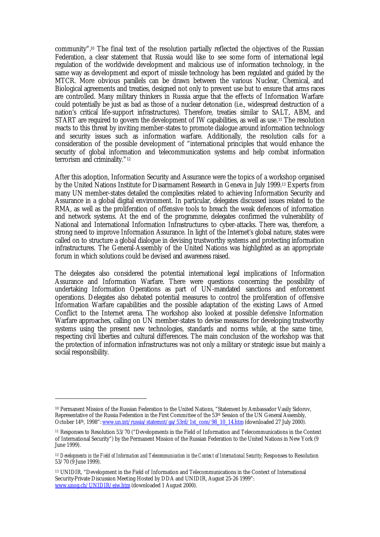community".10 The final text of the resolution partially reflected the objectives of the Russian Federation, a clear statement that Russia would like to see some form of international legal regulation of the worldwide development and malicious use of information technology, in the same way as development and export of missile technology has been regulated and guided by the MTCR. More obvious parallels can be drawn between the various Nuclear, Chemical, and Biological agreements and treaties, designed not only to prevent use but to ensure that arms races are controlled. Many military thinkers in Russia argue that the effects of Information Warfare could potentially be just as bad as those of a nuclear detonation (i.e., widespread destruction of a nation's critical life-support infrastructures). Therefore, treaties similar to SALT, ABM, and START are required to govern the development of IW capabilities, as well as use.11 The resolution reacts to this threat by inviting member-states to promote dialogue around information technology and security issues such as information warfare. Additionally, the resolution calls for a consideration of the possible development of "international principles that would enhance the security of global information and telecommunication systems and help combat information terrorism and criminality."<sup>12</sup>

After this adoption, Information Security and Assurance were the topics of a workshop organised by the United Nations Institute for Disarmament Research in Geneva in July 1999.13 Experts from many UN member-states detailed the complexities related to achieving Information Security and Assurance in a global digital environment. In particular, delegates discussed issues related to the RMA, as well as the proliferation of offensive tools to breach the weak defences of information and network systems. At the end of the programme, delegates confirmed the vulnerability of National and International Information Infrastructures to cyber-attacks. There was, therefore, a strong need to improve Information Assurance. In light of the Internet's global nature, states were called on to structure a global dialogue in devising trustworthy systems and protecting information infrastructures. The General-Assembly of the United Nations was highlighted as an appropriate forum in which solutions could be devised and awareness raised.

The delegates also considered the potential international legal implications of Information Assurance and Information Warfare. There were questions concerning the possibility of undertaking Information Operations as part of UN-mandated sanctions and enforcement operations. Delegates also debated potential measures to control the proliferation of offensive Information Warfare capabilities and the possible adaptation of the existing Laws of Armed Conflict to the Internet arena. The workshop also looked at possible defensive Information Warfare approaches, calling on UN member-states to devise measures for developing trustworthy systems using the present new technologies, standards and norms while, at the same time, respecting civil liberties and cultural differences. The main conclusion of the workshop was that the protection of information infrastructures was not only a military or strategic issue but mainly a social responsibility.

<sup>10</sup> Permanent Mission of the Russian Federation to the United Nations, "Statement by Ambassador Vasily Sidorov, Representative of the Russia Federation in the First Committee of the 53rd Session of the UN General Assembly, October 14<sup>th</sup>, 1998": www.un.int/russia/statemnt/ga/53rd/1st\_com/98\_10\_14.htm (downloaded 27 July 2000).

<sup>11</sup> Responses to Resolution 53/70 ("Developments in the Field of Information and Telecommunications in the Context of International Security") by the Permanent Mission of the Russian Federation to the United Nations in New York (9 June 1999).

<sup>&</sup>lt;sup>12</sup> Developments in the Field of Information and Telecommunication in the Context of International Security; Responses to Resolution 53/70 (9 June 1999).

<sup>13</sup> UNIDIR, "Development in the Field of Information and Telecommunications in the Context of International Security-Private Discussion Meeting Hosted by DDA and UNIDIR, August 25-26 1999": www.unog.ch/UNIDIR/eiw.htm (downloaded 1 August 2000).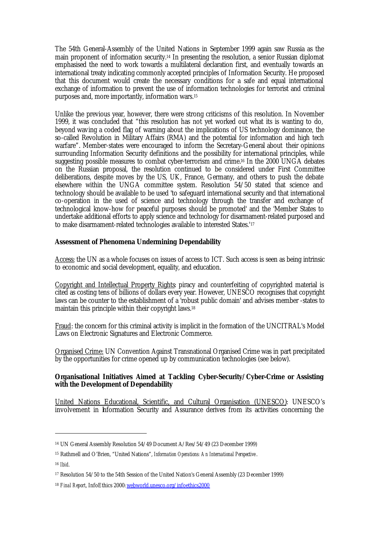The 54th General-Assembly of the United Nations in September 1999 again saw Russia as the main proponent of information security.14 In presenting the resolution, a senior Russian diplomat emphasised the need to work towards a multilateral declaration first, and eventually towards an international treaty indicating commonly accepted principles of Information Security. He proposed that this document would create the necessary conditions for a safe and equal international exchange of information to prevent the use of information technologies for terrorist and criminal purposes and, more importantly, information wars.<sup>15</sup>

Unlike the previous year, however, there were strong criticisms of this resolution. In November 1999, it was concluded that "this resolution has not yet worked out what its is wanting to do, beyond waving a coded flag of warning about the implications of US technology dominance, the so-called Revolution in Military Affairs (RMA) and the potential for information and high tech warfare". Member-states were encouraged to inform the Secretary-General about their opinions surrounding Information Security definitions and the possibility for international principles, while suggesting possible measures to combat cyber-terrorism and crime.16 In the 2000 UNGA debates on the Russian proposal, the resolution continued to be considered under First Committee deliberations, despite moves by the US, UK, France, Germany, and others to push the debate elsewhere within the UNGA committee system. Resolution 54/50 stated that science and technology should be available to be used 'to safeguard international security and that international co-operation in the used of science and technology through the transfer and exchange of technological know-how for peaceful purposes should be promoted' and the 'Member States to undertake additional efforts to apply science and technology for disarmament-related purposed and to make disarmament-related technologies available to interested States.'<sup>17</sup>

## **Assessment of Phenomena Undermining Dependability**

Access: the UN as a whole focuses on issues of access to ICT. Such access is seen as being intrinsic to economic and social development, equality, and education.

Copyright and Intellectual Property Rights: piracy and counterfeiting of copyrighted material is cited as costing tens of billions of dollars every year. However, UNESCO recognises that copyright laws can be counter to the establishment of a 'robust public domain' and advises member -states to maintain this principle within their copyright laws.<sup>18</sup>

Fraud: the concern for this criminal activity is implicit in the formation of the UNCITRAL's Model Laws on Electronic Signatures and Electronic Commerce.

Organised Crime: UN Convention Against Transnational Organised Crime was in part precipitated by the opportunities for crime opened up by communication technologies (see below).

## **Organisational Initiatives Aimed at Tackling Cyber-Security/Cyber-Crime or Assisting with the Development of Dependability**

United Nations Educational, Scientific, and Cultural Organisation (UNESCO): UNESCO's involvement in Information Security and Assurance derives from its activities concerning the

<sup>14</sup> UN General Assembly Resolution 54/49 Document A/Res/54/49 (23 December 1999)

<sup>15</sup> Rathmell and O'Brien, "United Nations", *Information Operations: An International Perspective* .

<sup>16</sup> *Ibid*.

<sup>17</sup> Resolution 54/50 to the 54th Session of the United Nation's General Assembly (23 December 1999)

<sup>18</sup> *Final Report*, InfoEthics 2000: webworld.unesco.org/infoethics2000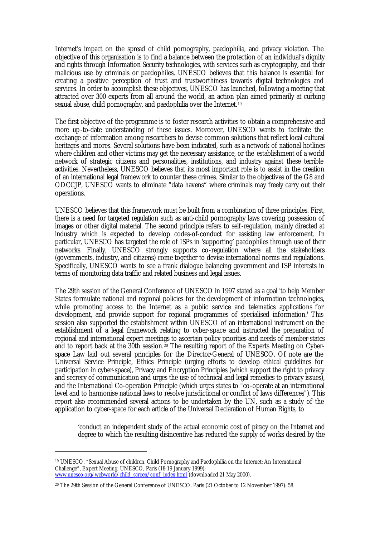Internet's impact on the spread of child pornography, paedophilia, and privacy violation. The objective of this organisation is to find a balance between the protection of an individual's dignity and rights through Information Security technologies, with services such as cryptography, and their malicious use by criminals or paedophiles. UNESCO believes that this balance is essential for creating a positive perception of trust and trustworthiness towards digital technologies and services. In order to accomplish these objectives, UNESCO has launched, following a meeting that attracted over 300 experts from all around the world, an action plan aimed primarily at curbing sexual abuse, child pornography, and paedophilia over the Internet.<sup>19</sup>

The first objective of the programme is to foster research activities to obtain a comprehensive and more up-to-date understanding of these issues. Moreover, UNESCO wants to facilitate the exchange of information among researchers to devise common solutions that reflect local cultural heritages and mores. Several solutions have been indicated, such as a network of national hotlines where children and other victims may get the necessary assistance, or the establishment of a world network of strategic citizens and personalities, institutions, and industry against these terrible activities. Nevertheless, UNESCO believes that its most important role is to assist in the creation of an international legal framework to counter these crimes. Similar to the objectives of the G8 and ODCCJP, UNESCO wants to eliminate "data havens" where criminals may freely carry out their operations.

UNESCO believes that this framework must be built from a combination of three principles. First, there is a need for targeted regulation such as anti-child pornography laws covering possession of images or other digital material. The second principle refers to self-regulation, mainly directed at industry which is expected to develop codes-of-conduct for assisting law enforcement. In particular, UNESCO has targeted the role of ISPs in 'supporting' paedophiles through use of their networks. Finally, UNESCO strongly supports co-regulation where all the stakeholders (governments, industry, and citizens) come together to devise international norms and regulations. Specifically, UNESCO wants to see a frank dialogue balancing government and ISP interests in terms of monitoring data traffic and related business and legal issues.

The 29th session of the General Conference of UNESCO in 1997 stated as a goal 'to help Member States formulate national and regional policies for the development of information technologies, while promoting access to the Internet as a public service and telematics applications for development, and provide support for regional programmes of specialised information.' This session also supported the establishment within UNESCO of an international instrument on the establishment of a legal framework relating to cyber-space and instructed the preparation of regional and international expert meetings to ascertain policy priorities and needs of member-states and to report back at the  $30$ th session.<sup>20</sup> The resulting report of the Experts Meeting on Cyberspace Law laid out several principles for the Director-General of UNESCO. Of note are the Universal Service Principle, Ethics Principle (urging efforts to develop ethical guidelines for participation in cyber-space), Privacy and Encryption Principles (which support the right to privacy and secrecy of communication and urges the use of technical and legal remedies to privacy issues), and the International Co-operation Principle (which urges states to "co-operate at an international level and to harmonise national laws to resolve jurisdictional or conflict of laws differences"). This report also recommended several actions to be undertaken by the UN, such as a study of the application to cyber-space for each article of the Universal Declaration of Human Rights, to

'conduct an independent study of the actual economic cost of piracy on the Internet and degree to which the resulting disincentive has reduced the supply of works desired by the

<sup>19</sup> UNESCO, "Sexual Abuse of children, Child Pornography and Paedophilia on the Internet: An International Challenge", Expert Meeting, UNESCO, Paris (18-19 January 1999): www.unesco.org/webworld/child\_screen/conf\_index.html (downloaded 21 May 2000).

<sup>20</sup> The 29th Session of the General Conference of UNESCO. Paris (21 October to 12 November 1997): 58.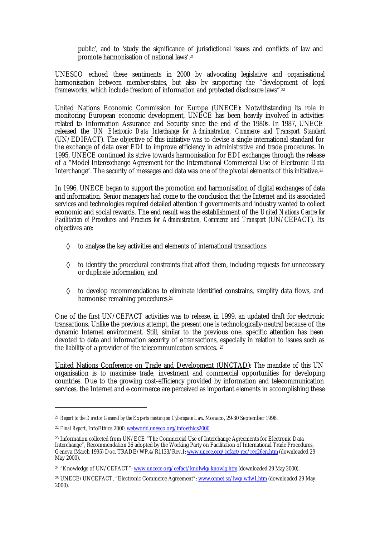public', and to 'study the significance of jurisdictional issues and conflicts of law and promote harmonisation of national laws'.<sup>21</sup>

UNESCO echoed these sentiments in 2000 by advocating legislative and organisational harmonisation between member-states, but also by supporting the "development of legal frameworks, which include freedom of information and protected disclosure laws".<sup>22</sup>

United Nations Economic Commission for Europe (UNECE): Notwithstanding its role in monitoring European economic development, UNECE has been heavily involved in activities related to Information Assurance and Security since the end of the 1980s. In 1987, UNECE released the *UN Electronic Data Interchange for Administration, Commerce and Transport Standard* (UN/EDIFACT). The objective of this initiative was to devise a single international standard for the exchange of data over EDI to improve efficiency in administrative and trade procedures. In 1995, UNECE continued its strive towards harmonisation for EDI exchanges through the release of a "Model Interexchange Agreement for the International Commercial Use of Electronic Data Interchange". The security of messages and data was one of the pivotal elements of this initiative.<sup>23</sup>

In 1996, UNECE began to support the promotion and harmonisation of digital exchanges of data and information. Senior managers had come to the conclusion that the Internet and its associated services and technologies required detailed attention if governments and industry wanted to collect economic and social rewards. The end result was the establishment of the *United Nations Centre for Facilitation of Procedures and Practices for Administration, Commerce and Transport* (UN/CEFACT). Its objectives are:

- ◊ to analyse the key activities and elements of international transactions
- $\diamond$  to identify the procedural constraints that affect them, including requests for unnecessary or duplicate information, and
- $\diamond$  to develop recommendations to eliminate identified constrains, simplify data flows, and harmonise remaining procedures.<sup>24</sup>

One of the first UN/CEFACT activities was to release, in 1999, an updated draft for electronic transactions. Unlike the previous attempt, the present one is technologically-neutral because of the dynamic Internet environment. Still, similar to the previous one, specific attention has been devoted to data and information security of e-transactions, especially in relation to issues such as the liability of a provider of the telecommunication services. <sup>25</sup>

United Nations Conference on Trade and Development (UNCTAD): The mandate of this UN organisation is to maximise trade, investment and commercial opportunities for developing countries. Due to the growing cost-efficiency provided by information and telecommunication services, the Internet and e-commerce are perceived as important elements in accomplishing these

<sup>21</sup> *Report to the Director General by the Experts meeting on Cyberspace Law*. Monaco, 29-30 September 1998.

<sup>22</sup> *Final Report*, InfoEthics 2000. webworld.unesco.org/infoethics2000

<sup>23</sup> Information collected from UN/ECE "The Commercial Use of Interchange Agreements for Electronic Data Interchange", Recommendation 26 adopted by the Working Party on Facilitation of International Trade Procedures, Geneva (March 1995) Doc. TRADE/WP.4/R1133/Rev.1: www.unece.org/cefact/rec/rec26en.htm (downloaded 29 May 2000).

<sup>&</sup>lt;sup>24</sup> "Knowledge of UN/CEFACT": www.uncece.org/cefact/knolwlg/knowlg.htm (downloaded 29 May 2000).

<sup>25</sup> UNECE/UNCEFACT, "Electronic Commerce Agreement": www.onnet.se/lwg/w4w1.htm (downloaded 29 May 2000).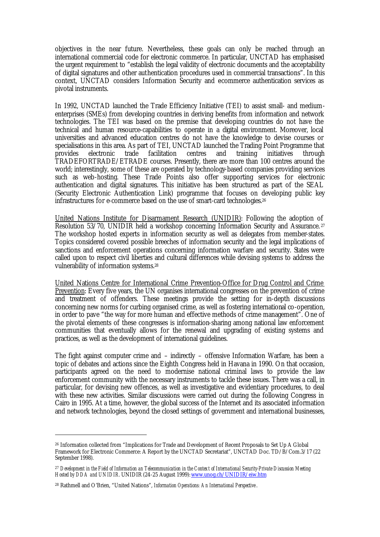objectives in the near future. Nevertheless, these goals can only be reached through an international commercial code for electronic commerce. In particular, UNCTAD has emphasised the urgent requirement to "establish the legal validity of electronic documents and the acceptability of digital signatures and other authentication procedures used in commercial transactions". In this context, UNCTAD considers Information Security and ecommerce authentication services as pivotal instruments.

In 1992, UNCTAD launched the Trade Efficiency Initiative (TEI) to assist small- and mediumenterprises (SMEs) from developing countries in deriving benefits from information and network technologies. The TEI was based on the premise that developing countries do not have the technical and human resource-capabilities to operate in a digital environment. Moreover, local universities and advanced education centres do not have the knowledge to devise courses or specialisations in this area. As part of TEI, UNCTAD launched the Trading Point Programme that provides electronic trade facilitation centres and training initiatives through provides electronic trade facilitation centres and training initiatives through TRADEFORTRADE/ETRADE courses. Presently, there are more than 100 centres around the world; interestingly, some of these are operated by technology-based companies providing services such as web-hosting. These Trade Points also offer supporting services for electronic authentication and digital signatures. This initiative has been structured as part of the SEAL (Security Electronic Authentication Link) programme that focuses on developing public key infrastructures for e-commerce based on the use of smart-card technologies.<sup>26</sup>

United Nations Institute for Disarmament Research (UNIDIR): Following the adoption of Resolution 53/70, UNIDIR held a workshop concerning Information Security and Assurance. <sup>27</sup> The workshop hosted experts in information security as well as delegates from member-states. Topics considered covered possible breeches of information security and the legal implications of sanctions and enforcement operations concerning information warfare and security. States were called upon to respect civil liberties and cultural differences while devising systems to address the vulnerability of information systems.<sup>28</sup>

United Nations Centre for International Crime Prevention-Office for Drug Control and Crime Prevention: Every five years, the UN organises international congresses on the prevention of crime and treatment of offenders. These meetings provide the setting for in-depth discussions concerning new norms for curbing organised crime, as well as fostering international co-operation, in order to pave "the way for more human and effective methods of crime management". One of the pivotal elements of these congresses is information-sharing among national law enforcement communities that eventually allows for the renewal and upgrading of existing systems and practices, as well as the development of international guidelines.

The fight against computer crime and – indirectly – offensive Information Warfare, has been a topic of debates and actions since the Eighth Congress held in Havana in 1990. On that occasion, participants agreed on the need to modernise national criminal laws to provide the law enforcement community with the necessary instruments to tackle these issues. There was a call, in particular, for devising new offences, as well as investigative and evidentiary procedures, to deal with these new activities. Similar discussions were carried out during the following Congress in Cairo in 1995. At a time, however, the global success of the Internet and its associated information and network technologies, beyond the closed settings of government and international businesses,

<sup>26</sup> Information collected from "Implications for Trade and Development of Recent Proposals to Set Up A Global Framework for Electronic Commerce: A Report by the UNCTAD Secretariat", UNCTAD Doc. TD/B/Com.3/17 (22 September 1998).

<sup>27</sup> *Development in the Field of Information an Telecommunication in the Context of International Security-Private Discussion Meeting Hosted by DDA and UNIDIR*. UNIDIR (24-25 August 1999): www.unog.ch/UNIDIR/eiw.htm

<sup>28</sup> Rathmell and O'Brien, "United Nations", *Information Operations: An International Perspective* .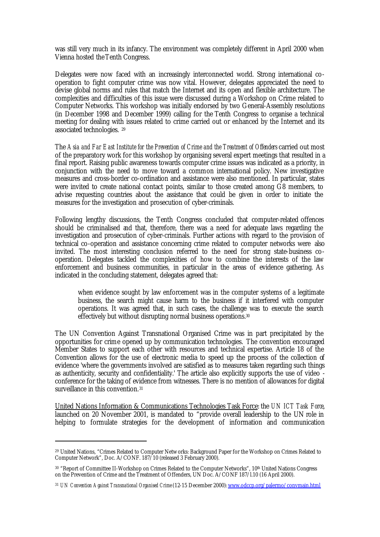was still very much in its infancy. The environment was completely different in April 2000 when Vienna hosted theTenth Congress.

Delegates were now faced with an increasingly interconnected world. Strong international cooperation to fight computer crime was now vital. However, delegates appreciated the need to devise global norms and rules that match the Internet and its open and flexible architecture. The complexities and difficulties of this issue were discussed during a Workshop on Crime related to Computer Networks. This workshop was initially endorsed by two General-Assembly resolutions (in December 1998 and December 1999) calling for the Tenth Congress to organise a technical meeting for dealing with issues related to crime carried out or enhanced by the Internet and its associated technologies. <sup>29</sup>

The *Asia and Far East Institute for the Prevention of Crime and the Treatment of Offenders* carried out most of the preparatory work for this workshop by organising several expert meetings that resulted in a final report. Raising public awareness towards computer crime issues was indicated as a priority, in conjunction with the need to move toward a common international policy. New investigative measures and cross-border co-ordination and assistance were also mentioned. In particular, states were invited to create national contact points, similar to those created among G8 members, to advise requesting countries about the assistance that could be given in order to initiate the measures for the investigation and prosecution of cyber-criminals.

Following lengthy discussions, the Tenth Congress concluded that computer-related offences should be criminalised and that, therefore, there was a need for adequate laws regarding the investigation and prosecution of cyber-criminals. Further actions with regard to the provision of technical co-operation and assistance concerning crime related to computer networks were also invited. The most interesting conclusion referred to the need for strong state-business cooperation. Delegates tackled the complexities of how to combine the interests of the law enforcement and business communities, in particular in the areas of evidence gathering. As indicated in the concluding statement, delegates agreed that:

when evidence sought by law enforcement was in the computer systems of a legitimate business, the search might cause harm to the business if it interfered with computer operations. It was agreed that, in such cases, the challenge was to execute the search effectively but without disrupting normal business operations.<sup>30</sup>

The UN Convention Against Transnational Organised Crime was in part precipitated by the opportunities for crime opened up by communication technologies. The convention encouraged Member States to support each other with resources and technical expertise. Article 18 of the Convention allows for the use of electronic media to speed up the process of the collection of evidence 'where the governments involved are satisfied as to measures taken regarding such things as authenticity, security and confidentiality.' The article also explicitly supports the use of video conference for the taking of evidence from witnesses. There is no mention of allowances for digital surveillance in this convention.<sup>31</sup>

United Nations Information & Communications Technologies Task Force: the *UN ICT Task Force*, launched on 20 November 2001, is mandated to "provide overall leadership to the UN role in helping to formulate strategies for the development of information and communication

<sup>29</sup> United Nations, "Crimes Related to Computer Networks: Background Paper for the Workshop on Crimes Related to Computer Network", Doc. A/CONF. 187/10 (released 3 February 2000).

<sup>&</sup>lt;sup>30</sup> "Report of Committee II-Workshop on Crimes Related to the Computer Networks", 10<sup>th</sup> United Nations Congress on the Prevention of Crime and the Treatment of Offenders, UN Doc. A/CONF 187/l.10 (16 April 2000).

<sup>31</sup> *UN Convention Against Transnational Organised Crime* (12-15 December 2000): www.odccp.org/palermo/convmain.html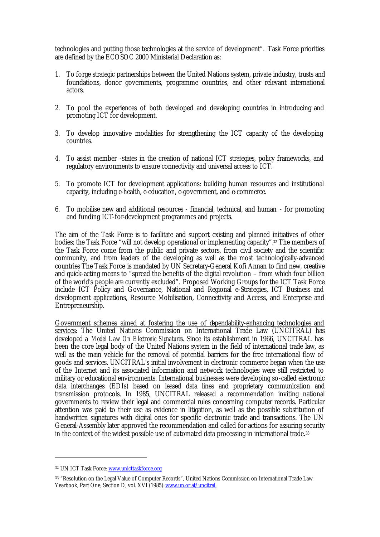technologies and putting those technologies at the service of development". Task Force priorities are defined by the ECOSOC 2000 Ministerial Declaration as:

- 1. To forge strategic partnerships between the United Nations system, private industry, trusts and foundations, donor governments, programme countries, and other relevant international actors.
- 2. To pool the experiences of both developed and developing countries in introducing and promoting ICT for development.
- 3. To develop innovative modalities for strengthening the ICT capacity of the developing countries.
- 4. To assist member -states in the creation of national ICT strategies, policy frameworks, and regulatory environments to ensure connectivity and universal access to ICT.
- 5. To promote ICT for development applications: building human resources and institutional capacity, including e-health, e-education, e-government, and e-commerce.
- 6. To mobilise new and additional resources financial, technical, and human for promoting and funding ICT-for-development programmes and projects.

The aim of the Task Force is to facilitate and support existing and planned initiatives of other bodies; the Task Force "will not develop operational or implementing capacity".<sup>32</sup> The members of the Task Force come from the public and private sectors, from civil society and the scientific community, and from leaders of the developing as well as the most technologically-advanced countries The Task Force is mandated by UN Secretary-General Kofi Annan to find new, creative and quick-acting means to "spread the benefits of the digital revolution – from which four billion of the world's people are currently excluded". Proposed Working Groups for the ICT Task Force include ICT Policy and Governance, National and Regional e-Strategies, ICT Business and development applications, Resource Mobilisation, Connectivity and Access, and Enterprise and Entrepreneurship.

Government schemes aimed at fostering the use of dependability-enhancing technologies and services: The United Nations Commission on International Trade Law (UNCITRAL) has developed a *Model Law On Electronic Signatures*. Since its establishment in 1966, UNCITRAL has been the core legal body of the United Nations system in the field of international trade law, as well as the main vehicle for the removal of potential barriers for the free international flow of goods and services. UNCITRAL's initial involvement in electronic commerce began when the use of the Internet and its associated information and network technologies were still restricted to military or educational environments. International businesses were developing so-called electronic data interchanges (EDIs) based on leased data lines and proprietary communication and transmission protocols. In 1985, UNCITRAL released a recommendation inviting national governments to review their legal and commercial rules concerning computer records. Particular attention was paid to their use as evidence in litigation, as well as the possible substitution of handwritten signatures with digital ones for specific electronic trade and transactions. The UN General-Assembly later approved the recommendation and called for actions for assuring security in the context of the widest possible use of automated data processing in international trade.<sup>33</sup>

<sup>32</sup> UN ICT Task Force: www.unicttaskforce.org

<sup>33</sup> "Resolution on the Legal Value of Computer Records", United Nations Commission on International Trade Law Yearbook, Part One, Section D, vol. XVI (1985): www.un.or.at/uncitral.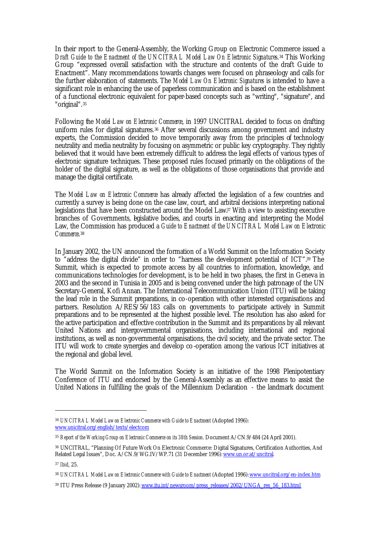In their report to the General-Assembly, the Working Group on Electronic Commerce issued a *Draft Guide to the Enactment of the UNCITRAL Model Law On Electronic Signatures*. <sup>34</sup> This Working Group "expressed overall satisfaction with the structure and contents of the draft Guide to Enactment". Many recommendations towards changes were focused on phraseology and calls for the further elaboration of statements. The *Model Law On Electronic Signatures* is intended to have a significant role in enhancing the use of paperless communication and is based on the establishment of a functional electronic equivalent for paper-based concepts such as "writing", "signature", and "original".<sup>35</sup>

Following the *Model Law on Electronic Commerce*, in 1997 UNCITRAL decided to focus on drafting uniform rules for digital signatures.<sup>36</sup> After several discussions among government and industry experts, the Commission decided to move temporarily away from the principles of technology neutrality and media neutrality by focusing on asymmetric or public key cryptography. They rightly believed that it would have been extremely difficult to address the legal effects of various types of electronic signature techniques. These proposed rules focused primarily on the obligations of the holder of the digital signature, as well as the obligations of those organisations that provide and manage the digital certificate.

The *Model Law on Electronic Commerce* has already affected the legislation of a few countries and currently a survey is being done on the case law, court, and arbitral decisions interpreting national legislations that have been constructed around the Model Law.<sup>37</sup> With a view to assisting executive branches of Governments, legislative bodies, and courts in enacting and interpreting the Model Law, the Commission has produced a *Guide to Enactment of the UNCITRAL Model Law on Electronic Commerce*. 38

In January 2002, the UN announced the formation of a World Summit on the Information Society to "address the digital divide" in order to "harness the development potential of ICT".39 The Summit, which is expected to promote access by all countries to information, knowledge, and communications technologies for development, is to be held in two phases, the first in Geneva in 2003 and the second in Tunisia in 2005 and is being convened under the high patronage of the UN Secretary-General, Kofi Annan. The International Telecommunication Union (ITU) will be taking the lead role in the Summit preparations, in co-operation with other interested organisations and partners. Resolution A/RES/56/183 calls on governments to participate actively in Summit preparations and to be represented at the highest possible level. The resolution has also asked for the active participation and effective contribution in the Summit and its preparations by all relevant United Nations and intergovernmental organisations, including international and regional institutions, as well as non-governmental organisations, the civil society, and the private sector. The ITU will work to create synergies and develop co-operation among the various ICT initiatives at the regional and global level.

The World Summit on the Information Society is an initiative of the 1998 Plenipotentiary Conference of ITU and endorsed by the General-Assembly as an effective means to assist the United Nations in fulfilling the goals of the Millennium Declaration - the landmark document

<sup>&</sup>lt;sup>34</sup> *UNCITRAL Model Law on Electronic Commerce with Guide to Enactment* (Adopted 1996): www.unicitral.org/english/texts/electcom

<sup>35</sup> *Report of the Working Group on Electronic Commerce on its 38th Session*. Document A/CN.9/484 (24 April 2001).

<sup>36</sup> UNCITRAL, "Planning Of Future Work On Electronic Commerce: Digital Signatures, Certification Authorities, And Related Legal Issues", Doc. A/CN.9/WG.IV/WP.71 (31 December 1996): www.un.or.at/uncitral.

<sup>37</sup> *Ibid*, 25.

<sup>38</sup> *UNCITRAL Model Law on Electronic Commerce with Guide to Enactment* (Adopted 1996): www.uncitral.org/en-index.htm

<sup>&</sup>lt;sup>39</sup> ITU Press Release (9 January 2002): www.itu.int/newsroom/press\_releases/2002/UNGA\_res\_56\_183.html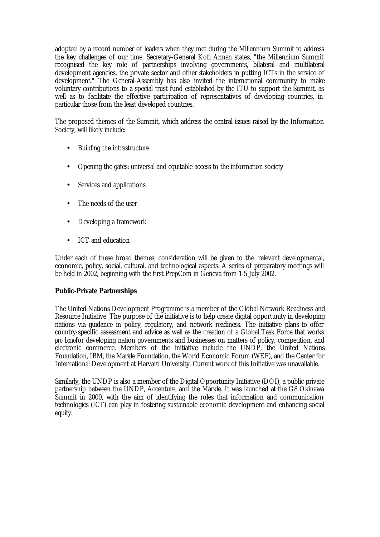adopted by a record number of leaders when they met during the Millennium Summit to address the key challenges of our time. Secretary-General Kofi Annan states, "the Millennium Summit recognised the key role of partnerships involving governments, bilateral and multilateral development agencies, the private sector and other stakeholders in putting ICTs in the service of development." The General-Assembly has also invited the international community to make voluntary contributions to a special trust fund established by the ITU to support the Summit, as well as to facilitate the effective participation of representatives of developing countries, in particular those from the least developed countries.

The proposed themes of the Summit, which address the central issues raised by the Information Society, will likely include:

- Building the infrastructure
- Opening the gates: universal and equitable access to the information society
- Services and applications
- The needs of the user
- Developing a framework
- ICT and education

Under each of these broad themes, consideration will be given to the relevant developmental, economic, policy, social, cultural, and technological aspects. A series of preparatory meetings will be held in 2002, beginning with the first PrepCom in Geneva from 1-5 July 2002.

# **Public-Private Partnerships**

The United Nations Development Programme is a member of the Global Network Readiness and Resource Initiative. The purpose of the initiative is to help create digital opportunity in developing nations via guidance in policy, regulatory, and network readiness. The initiative plans to offer country-specific assessment and advice as well as the creation of a Global Task Force that works *pro bono*for developing nation governments and businesses on matters of policy, competition, and electronic commerce. Members of the initiative include the UNDP, the United Nations Foundation, IBM, the Markle Foundation, the World Economic Forum (WEF), and the Center for International Development at Harvard University. Current work of this Initiative was unavailable.

Similarly, the UNDP is also a member of the Digital Opportunity Initiative (DOI), a public private partnership between the UNDP, Accenture, and the Markle. It was launched at the G8 Okinawa Summit in 2000, with the aim of identifying the roles that information and communication technologies (ICT) can play in fostering sustainable economic development and enhancing social equity.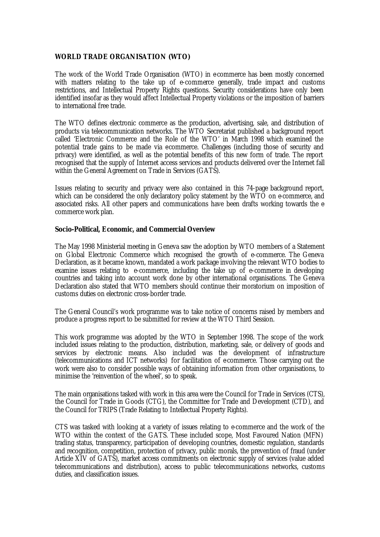## **WORLD TRADE ORGANISATION (WTO)**

The work of the World Trade Organisation (WTO) in ecommerce has been mostly concerned with matters relating to the take up of e-commerce generally, trade impact and customs restrictions, and Intellectual Property Rights questions. Security considerations have only been identified insofar as they would affect Intellectual Property violations or the imposition of barriers to international free trade.

The WTO defines electronic commerce as the production, advertising, sale, and distribution of products via telecommunication networks. The WTO Secretariat published a background report called 'Electronic Commerce and the Role of the WTO' in March 1998 which examined the potential trade gains to be made via ecommerce. Challenges (including those of security and privacy) were identified, as well as the potential benefits of this new form of trade. The report recognised that the supply of Internet access services and products delivered over the Internet fall within the General Agreement on Trade in Services (GATS).

Issues relating to security and privacy were also contained in this 74-page background report, which can be considered the only declaratory policy statement by the WTO on e-commerce, and associated risks. All other papers and communications have been drafts working towards the ecommerce work plan.

#### **Socio-Political, Economic, and Commercial Overview**

The May 1998 Ministerial meeting in Geneva saw the adoption by WTO members of a Statement on Global Electronic Commerce which recognised the growth of e-commerce. The Geneva Declaration, as it became known, mandated a work package involving the relevant WTO bodies to examine issues relating to e-commerce, including the take up of e-commerce in developing countries and taking into account work done by other international organisations. The Geneva Declaration also stated that WTO members should continue their moratorium on imposition of customs duties on electronic cross-border trade.

The General Council's work programme was to take notice of concerns raised by members and produce a progress report to be submitted for review at the WTO Third Session.

This work programme was adopted by the WTO in September 1998. The scope of the work included issues relating to the production, distribution, marketing, sale, or delivery of goods and services by electronic means. Also included was the development of infrastructure (telecommunications and ICT networks) for facilitation of e-commerce. Those carrying out the work were also to consider possible ways of obtaining information from other organisations, to minimise the 'reinvention of the wheel', so to speak.

The main organisations tasked with work in this area were the Council for Trade in Services (CTS), the Council for Trade in Goods (CTG), the Committee for Trade and Development (CTD), and the Council for TRIPS (Trade Relating to Intellectual Property Rights).

CTS was tasked with looking at a variety of issues relating to e-commerce and the work of the WTO within the context of the GATS. These included scope, Most Favoured Nation (MFN) trading status, transparency, participation of developing countries, domestic regulation, standards and recognition, competition, protection of privacy, public morals, the prevention of fraud (under Article XIV of GATS), market access commitments on electronic supply of services (value added telecommunications and distribution), access to public telecommunications networks, customs duties, and classification issues.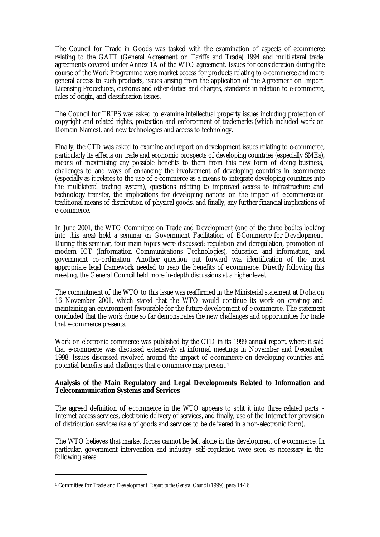The Council for Trade in Goods was tasked with the examination of aspects of ecommerce relating to the GATT (General Agreement on Tariffs and Trade) 1994 and multilateral trade agreements covered under Annex 1A of the WTO agreement. Issues for consideration during the course of the Work Programme were market access for products relating to e-commerce and more general access to such products, issues arising from the application of the Agreement on Import Licensing Procedures, customs and other duties and charges, standards in relation to e-commerce, rules of origin, and classification issues.

The Council for TRIPS was asked to examine intellectual property issues including protection of copyright and related rights, protection and enforcement of trademarks (which included work on Domain Names), and new technologies and access to technology.

Finally, the CTD was asked to examine and report on development issues relating to e-commerce, particularly its effects on trade and economic prospects of developing countries (especially SMEs), means of maximising any possible benefits to them from this new form of doing business, challenges to and ways of enhancing the involvement of developing countries in ecommerce (especially as it relates to the use of e-commerce as a means to integrate developing countries into the multilateral trading system), questions relating to improved access to infrastructure and technology transfer, the implications for developing nations on the impact of ecommerce on traditional means of distribution of physical goods, and finally, any further financial implications of e-commerce.

In June 2001, the WTO Committee on Trade and Development (one of the three bodies looking into this area) held a seminar on Government Facilitation of ECommerce for Development. During this seminar, four main topics were discussed: regulation and deregulation, promotion of modern ICT (Information Communications Technologies), education and information, and government co-ordination. Another question put forward was identification of the most appropriate legal framework needed to reap the benefits of e-commerce. Directly following this meeting, the General Council held more in-depth discussions at a higher level.

The commitment of the WTO to this issue was reaffirmed in the Ministerial statement at Doha on 16 November 2001, which stated that the WTO would continue its work on creating and maintaining an environment favourable for the future development of e-commerce. The statement concluded that the work done so far demonstrates the new challenges and opportunities for trade that e-commerce presents.

Work on electronic commerce was published by the CTD in its 1999 annual report, where it said that e-commerce was discussed extensively at informal meetings in November and December 1998. Issues discussed revolved around the impact of e-commerce on developing countries and potential benefits and challenges that e-commerce may present.<sup>1</sup>

### **Analysis of the Main Regulatory and Legal Developments Related to Information and Telecommunication Systems and Services**

The agreed definition of ecommerce in the WTO appears to split it into three related parts -Internet access services, electronic delivery of services, and finally, use of the Internet for provision of distribution services (sale of goods and services to be delivered in a non-electronic form).

The WTO believes that market forces cannot be left alone in the development of e-commerce. In particular, government intervention and industry self-regulation were seen as necessary in the following areas:

<sup>1</sup> Committee for Trade and Development, *Report to the General Council* (1999): para 14-16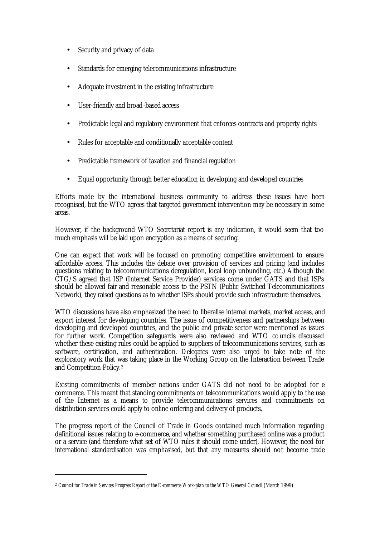- Security and privacy of data
- Standards for emerging telecommunications infrastructure
- Adequate investment in the existing infrastructure
- User-friendly and broad-based access
- Predictable legal and regulatory environment that enforces contracts and property rights
- Rules for acceptable and conditionally acceptable content
- Predictable framework of taxation and financial regulation
- Equal opportunity through better education in developing and developed countries

Efforts made by the international business community to address these issues have been recognised, but the WTO agrees that targeted government intervention may be necessary in some areas.

However, if the background WTO Secretariat report is any indication, it would seem that too much emphasis will be laid upon encryption as a means of securing.

One can expect that work will be focused on promoting competitive environment to ensure affordable access. This includes the debate over provision of services and pricing (and includes questions relating to telecommunications deregulation, local loop unbundling, etc.) Although the CTG/S agreed that ISP (Internet Service Provider) services come under GATS and that ISPs should be allowed fair and reasonable access to the PSTN (Public Switched Telecommunications Network), they raised questions as to whether ISPs should provide such infrastructure themselves.

WTO discussions have also emphasized the need to liberalise internal markets, market access, and export interest for developing countries. The issue of competitiveness and partnerships between developing and developed countries, and the public and private sector were mentioned as issues for further work. Competition safeguards were also reviewed and WTO councils discussed whether these existing rules could be applied to suppliers of telecommunications services, such as software, certification, and authentication. Delegates were also urged to take note of the exploratory work that was taking place in the Working Group on the Interaction between Trade and Competition Policy.<sup>2</sup>

Existing commitments of member nations under GATS did not need to be adopted for ecommerce. This meant that standing commitments on telecommunications would apply to the use of the Internet as a means to provide telecommunications services and commitments on distribution services could apply to online ordering and delivery of products.

The progress report of the Council of Trade in Goods contained much information regarding definitional issues relating to e-commerce, and whether something purchased online was a product or a service (and therefore what set of WTO rules it should come under). However, the need for international standardisation was emphasised, but that any measures should not become trade

<sup>2</sup> *Council for Trade in Services Progress Report of the E-commerce Work-plan to the WTO General Council* (March 1999)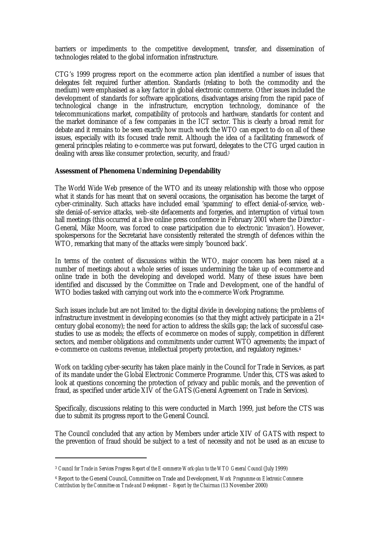barriers or impediments to the competitive development, transfer, and dissemination of technologies related to the global information infrastructure.

CTG's 1999 progress report on the e-commerce action plan identified a number of issues that delegates felt required further attention. Standards (relating to both the commodity and the medium) were emphasised as a key factor in global electronic commerce. Other issues included the development of standards for software applications, disadvantages arising from the rapid pace of technological change in the infrastructure, encryption technology, dominance of the telecommunications market, compatibility of protocols and hardware, standards for content and the market dominance of a few companies in the ICT sector. This is clearly a broad remit for debate and it remains to be seen exactly how much work the WTO can expect to do on all of these issues, especially with its focused trade remit. Although the idea of a facilitating framework of general principles relating to e-commerce was put forward, delegates to the CTG urged caution in dealing with areas like consumer protection, security, and fraud.<sup>3</sup>

#### **Assessment of Phenomena Undermining Dependability**

The World Wide Web presence of the WTO and its uneasy relationship with those who oppose what it stands for has meant that on several occasions, the organisation has become the target of cyber-criminality. Such attacks have included email 'spamming' to effect denial-of-service, website denial-of-service attacks, web-site defacements and forgeries, and interruption of virtual town hall meetings (this occurred at a live online press conference in February 2001 where the Director -General, Mike Moore, was forced to cease participation due to electronic 'invasion'). However, spokespersons for the Secretariat have consistently reiterated the strength of defences within the WTO, remarking that many of the attacks were simply 'bounced back'.

In terms of the content of discussions within the WTO, major concern has been raised at a number of meetings about a whole series of issues undermining the take up of e-commerce and online trade in both the developing and developed world. Many of these issues have been identified and discussed by the Committee on Trade and Development, one of the handful of WTO bodies tasked with carrying out work into the e-commerce Work Programme.

Such issues include but are not limited to: the digital divide in developing nations; the problems of infrastructure investment in developing economies (so that they might actively participate in a  $21<sup>st</sup>$ century global economy); the need for action to address the skills gap; the lack of successful casestudies to use as models; the effects of e-commerce on modes of supply, competition in different sectors, and member obligations and commitments under current WTO agreements; the impact of e-commerce on customs revenue, intellectual property protection, and regulatory regimes.<sup>4</sup>

Work on tackling cyber-security has taken place mainly in the Council for Trade in Services, as part of its mandate under the Global Electronic Commerce Programme. Under this, CTS was asked to look at questions concerning the protection of privacy and public morals, and the prevention of fraud, as specified under article XIV of the GATS (General Agreement on Trade in Services).

Specifically, discussions relating to this were conducted in March 1999, just before the CTS was due to submit its progress report to the General Council.

The Council concluded that any action by Members under article XIV of GATS with respect to the prevention of fraud should be subject to a test of necessity and not be used as an excuse to

<sup>3</sup> *Council for Trade in Services Progress Report of the E-commerce Work-plan to the WTO General Council* (July 1999)

<sup>4</sup> Report to the General Council, Committee on Trade and Development, *Work Programme on Electronic Commerce: Contribution by the Committee on Trade and Development – Report by the Chairman* (13 November 2000)